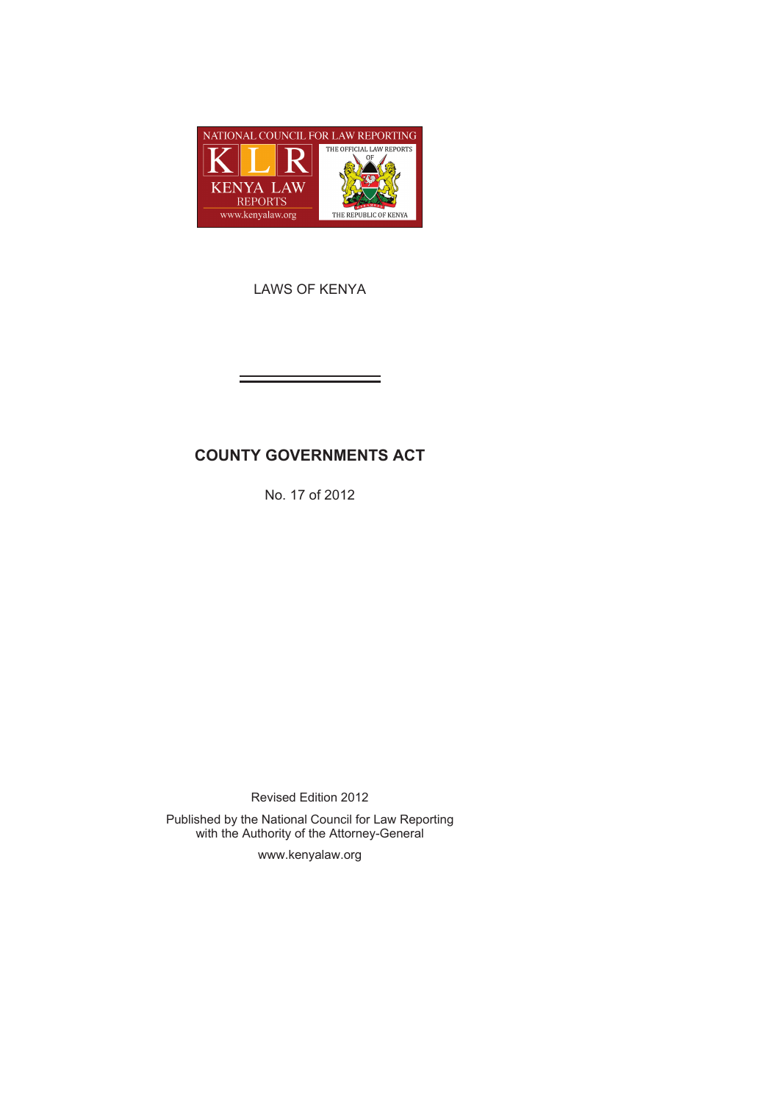

LAWS OF KENYA

# **COUNTY GOVERNMENTS ACT**

No. 17 of 2012

Revised Edition 2012

Published by the National Council for Law Reporting with the Authority of the Attorney-General

www.kenyalaw.org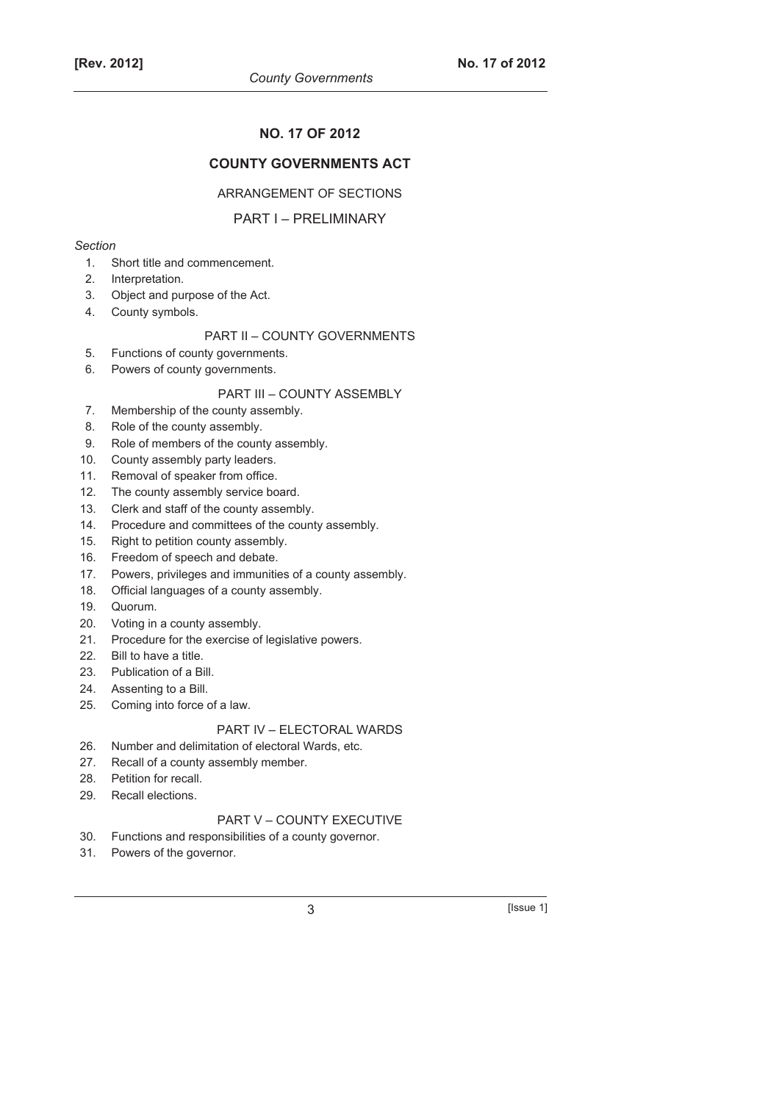## **NO. 17 OF 2012**

## **COUNTY GOVERNMENTS ACT**

#### ARRANGEMENT OF SECTIONS

### PART I – PRELIMINARY

#### *Section*

- 1. Short title and commencement.
- 2. Interpretation.
- 3. Object and purpose of the Act.
- 4. County symbols.

## PART II – COUNTY GOVERNMENTS

- 5. Functions of county governments.
- 6. Powers of county governments.

## PART III – COUNTY ASSEMBLY

- 7. Membership of the county assembly.
- 8. Role of the county assembly.
- 9. Role of members of the county assembly.
- 10. County assembly party leaders.
- 11. Removal of speaker from office.
- 12. The county assembly service board.
- 13. Clerk and staff of the county assembly.
- 14. Procedure and committees of the county assembly.
- 15. Right to petition county assembly.
- 16. Freedom of speech and debate.
- 17. Powers, privileges and immunities of a county assembly.
- 18. Official languages of a county assembly.
- 19. Quorum.
- 20. Voting in a county assembly.
- 21. Procedure for the exercise of legislative powers.
- 22. Bill to have a title.
- 23. Publication of a Bill.
- 24. Assenting to a Bill.
- 25. Coming into force of a law.

## PART IV – ELECTORAL WARDS

- 26. Number and delimitation of electoral Wards, etc.
- 27. Recall of a county assembly member.
- 28. Petition for recall.
- 29. Recall elections.

## PART V – COUNTY EXECUTIVE

- 30. Functions and responsibilities of a county governor.
- 31. Powers of the governor.

 $3$  [Issue 1]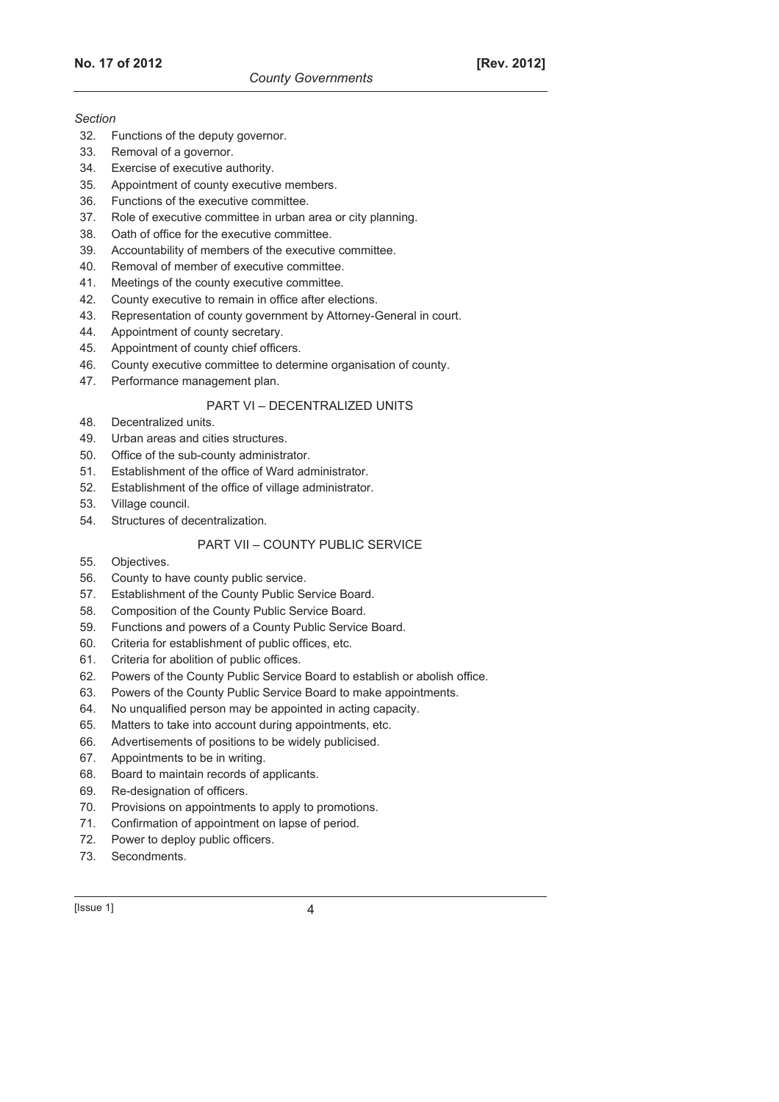#### *Section*

- 32. Functions of the deputy governor.
- 33. Removal of a governor.
- 34. Exercise of executive authority.
- 35. Appointment of county executive members.
- 36. Functions of the executive committee.
- 37. Role of executive committee in urban area or city planning.
- 38. Oath of office for the executive committee.
- 39. Accountability of members of the executive committee.
- 40. Removal of member of executive committee.
- 41. Meetings of the county executive committee.
- 42. County executive to remain in office after elections.
- 43. Representation of county government by Attorney-General in court.
- 44. Appointment of county secretary.
- 45. Appointment of county chief officers.
- 46. County executive committee to determine organisation of county.
- 47. Performance management plan.

## PART VI – DECENTRALIZED UNITS

- 48. Decentralized units.
- 49. Urban areas and cities structures.
- 50. Office of the sub-county administrator.
- 51. Establishment of the office of Ward administrator.
- 52. Establishment of the office of village administrator.
- 53. Village council.
- 54. Structures of decentralization.

## PART VII – COUNTY PUBLIC SERVICE

- 55. Objectives.
- 56. County to have county public service.
- 57. Establishment of the County Public Service Board.
- 58. Composition of the County Public Service Board.
- 59. Functions and powers of a County Public Service Board.
- 60. Criteria for establishment of public offices, etc.
- 61. Criteria for abolition of public offices.
- 62. Powers of the County Public Service Board to establish or abolish office.
- 63. Powers of the County Public Service Board to make appointments.
- 64. No unqualified person may be appointed in acting capacity.
- 65. Matters to take into account during appointments, etc.
- 66. Advertisements of positions to be widely publicised.
- 67. Appointments to be in writing.
- 68. Board to maintain records of applicants.
- 69. Re-designation of officers.
- 70. Provisions on appointments to apply to promotions.
- 71. Confirmation of appointment on lapse of period.
- 72. Power to deploy public officers.
- 73. Secondments.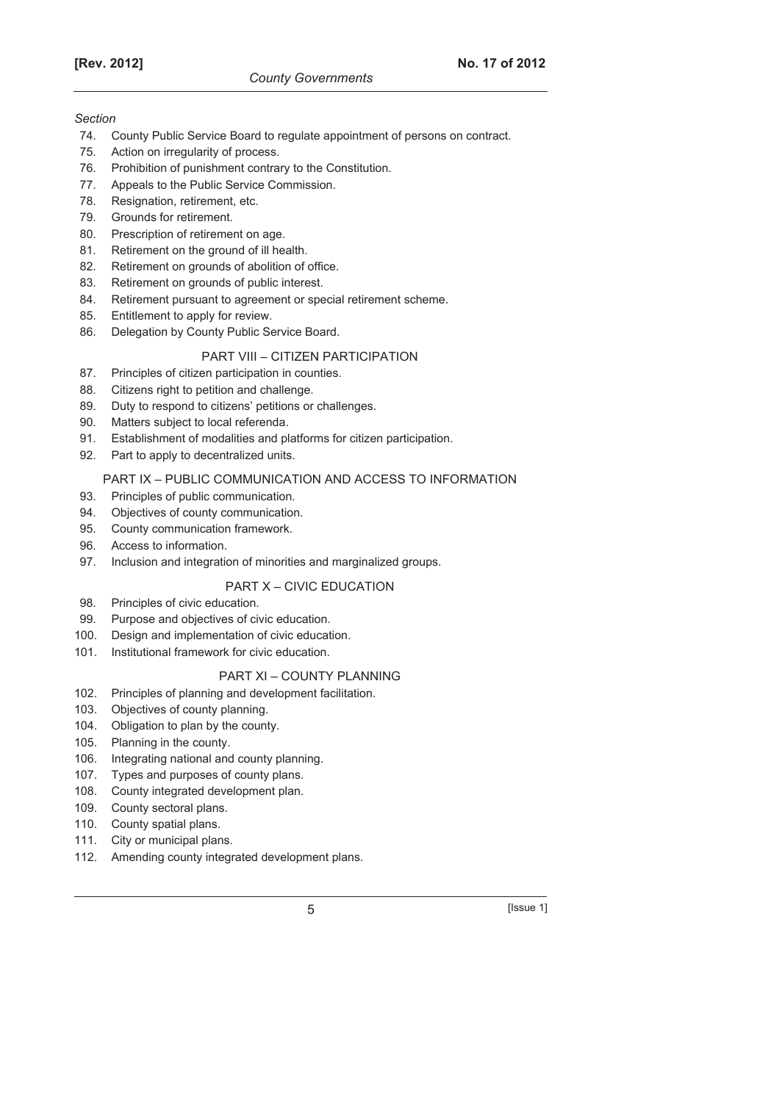#### *Section*

- 74. County Public Service Board to regulate appointment of persons on contract.
- 75. Action on irregularity of process.
- 76. Prohibition of punishment contrary to the Constitution.
- 77. Appeals to the Public Service Commission.
- 78. Resignation, retirement, etc.
- 79. Grounds for retirement.
- 80. Prescription of retirement on age.
- 81. Retirement on the ground of ill health.
- 82. Retirement on grounds of abolition of office.
- 83. Retirement on grounds of public interest.
- 84. Retirement pursuant to agreement or special retirement scheme.
- 85. Entitlement to apply for review.
- 86. Delegation by County Public Service Board.

## PART VIII – CITIZEN PARTICIPATION

- 87. Principles of citizen participation in counties.
- 88. Citizens right to petition and challenge.
- 89. Duty to respond to citizens' petitions or challenges.
- 90. Matters subject to local referenda.
- 91. Establishment of modalities and platforms for citizen participation.
- 92. Part to apply to decentralized units.

## PART IX – PUBLIC COMMUNICATION AND ACCESS TO INFORMATION

- 93. Principles of public communication.
- 94. Objectives of county communication.
- 95. County communication framework.
- 96. Access to information.
- 97. Inclusion and integration of minorities and marginalized groups.

## PART X – CIVIC EDUCATION

- 98. Principles of civic education.
- 99. Purpose and objectives of civic education.
- 100. Design and implementation of civic education.
- 101. Institutional framework for civic education.

## PART XI – COUNTY PLANNING

- 102. Principles of planning and development facilitation.
- 103. Objectives of county planning.
- 104. Obligation to plan by the county.
- 105. Planning in the county.
- 106. Integrating national and county planning.
- 107. Types and purposes of county plans.
- 108. County integrated development plan.
- 109. County sectoral plans.
- 110. County spatial plans.
- 111. City or municipal plans.
- 112. Amending county integrated development plans.

5 [Issue 1]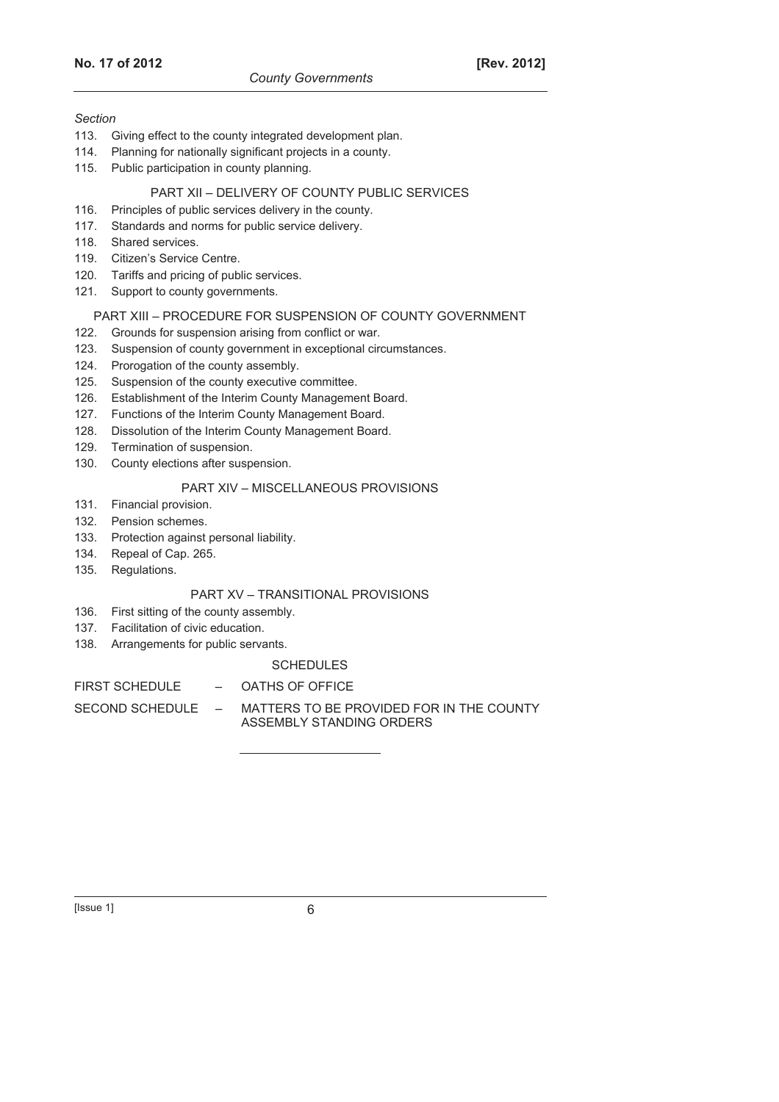#### *Section*

- 113. Giving effect to the county integrated development plan.
- 114. Planning for nationally significant projects in a county.
- 115. Public participation in county planning.

## PART XII – DELIVERY OF COUNTY PUBLIC SERVICES

- 116. Principles of public services delivery in the county.
- 117. Standards and norms for public service delivery.
- 118. Shared services.
- 119. Citizen's Service Centre.
- 120. Tariffs and pricing of public services.
- 121. Support to county governments.

#### PART XIII – PROCEDURE FOR SUSPENSION OF COUNTY GOVERNMENT

- 122. Grounds for suspension arising from conflict or war.
- 123. Suspension of county government in exceptional circumstances.
- 124. Prorogation of the county assembly.
- 125. Suspension of the county executive committee.
- 126. Establishment of the Interim County Management Board.
- 127. Functions of the Interim County Management Board.
- 128. Dissolution of the Interim County Management Board.
- 129. Termination of suspension.
- 130. County elections after suspension.

#### PART XIV – MISCELLANEOUS PROVISIONS

- 131. Financial provision.
- 132. Pension schemes.
- 133. Protection against personal liability.
- 134. Repeal of Cap. 265.
- 135. Regulations.

## PART XV – TRANSITIONAL PROVISIONS

- 136. First sitting of the county assembly.
- 137. Facilitation of civic education.
- 138. Arrangements for public servants.

# **SCHEDULES**

### FIRST SCHEDULE - OATHS OF OFFICE

SECOND SCHEDULE – MATTERS TO BE PROVIDED FOR IN THE COUNTY ASSEMBLY STANDING ORDERS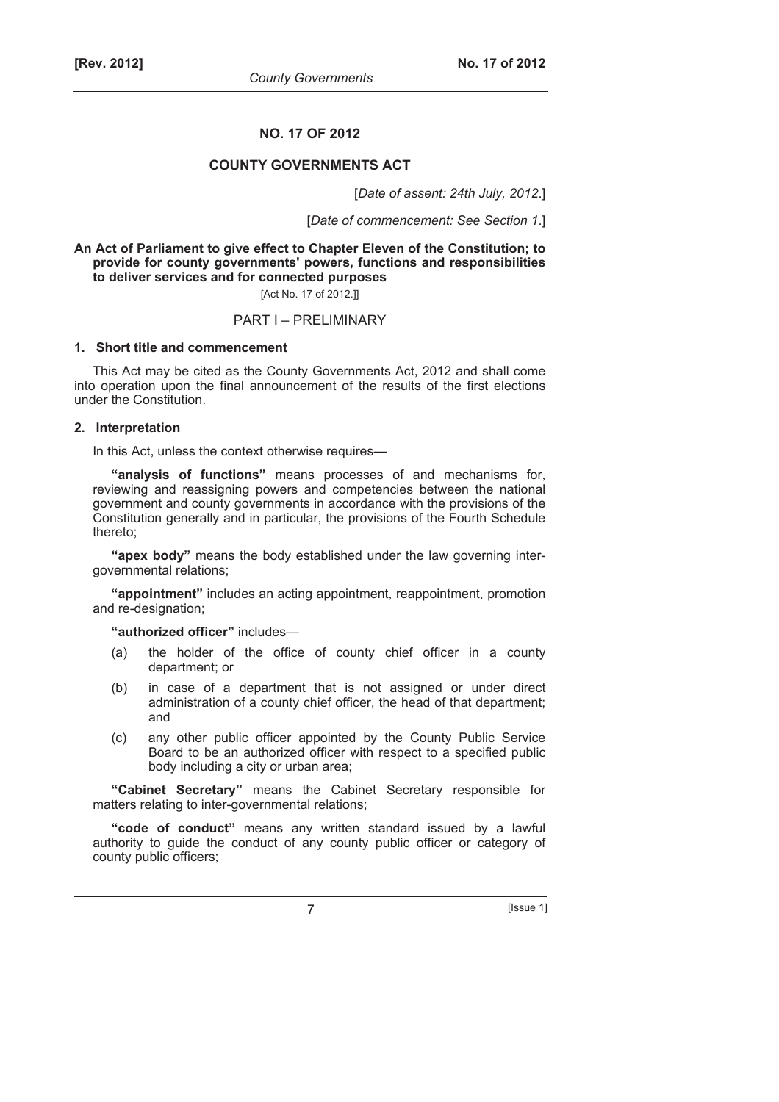#### **NO. 17 OF 2012**

## **COUNTY GOVERNMENTS ACT**

[*Date of assent: 24th July, 2012*.]

[*Date of commencement: See Section 1*.]

**An Act of Parliament to give effect to Chapter Eleven of the Constitution; to provide for county governments' powers, functions and responsibilities to deliver services and for connected purposes** 

[Act No. 17 of 2012.]]

#### PART I – PRELIMINARY

#### **1. Short title and commencement**

This Act may be cited as the County Governments Act, 2012 and shall come into operation upon the final announcement of the results of the first elections under the Constitution.

### **2. Interpretation**

In this Act, unless the context otherwise requires—

**"analysis of functions"** means processes of and mechanisms for, reviewing and reassigning powers and competencies between the national government and county governments in accordance with the provisions of the Constitution generally and in particular, the provisions of the Fourth Schedule thereto;

**"apex body"** means the body established under the law governing intergovernmental relations;

**"appointment"** includes an acting appointment, reappointment, promotion and re-designation;

**"authorized officer"** includes—

- (a) the holder of the office of county chief officer in a county department; or
- (b) in case of a department that is not assigned or under direct administration of a county chief officer, the head of that department; and
- (c) any other public officer appointed by the County Public Service Board to be an authorized officer with respect to a specified public body including a city or urban area;

**"Cabinet Secretary"** means the Cabinet Secretary responsible for matters relating to inter-governmental relations;

**"code of conduct"** means any written standard issued by a lawful authority to guide the conduct of any county public officer or category of county public officers;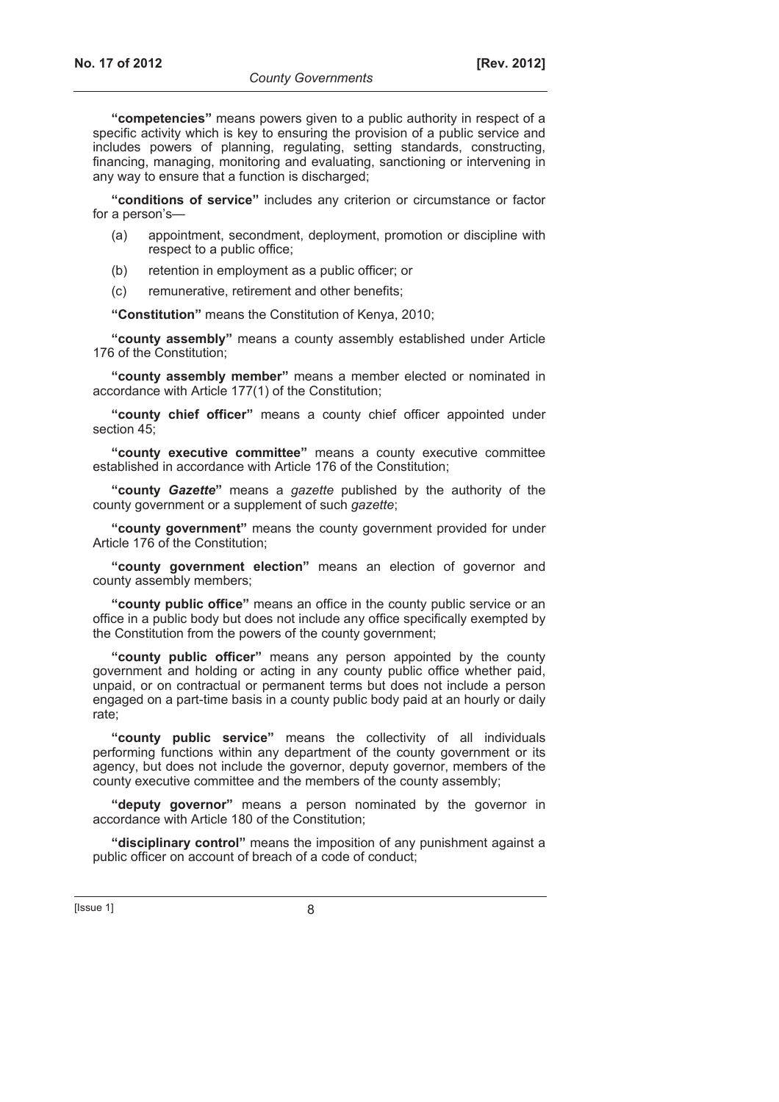**"competencies"** means powers given to a public authority in respect of a specific activity which is key to ensuring the provision of a public service and includes powers of planning, regulating, setting standards, constructing, financing, managing, monitoring and evaluating, sanctioning or intervening in any way to ensure that a function is discharged;

**"conditions of service"** includes any criterion or circumstance or factor for a person's—

- (a) appointment, secondment, deployment, promotion or discipline with respect to a public office;
- (b) retention in employment as a public officer; or
- (c) remunerative, retirement and other benefits;

**"Constitution"** means the Constitution of Kenya, 2010;

**"county assembly"** means a county assembly established under Article 176 of the Constitution;

**"county assembly member"** means a member elected or nominated in accordance with Article 177(1) of the Constitution;

**"county chief officer"** means a county chief officer appointed under section 45;

**"county executive committee"** means a county executive committee established in accordance with Article 176 of the Constitution;

**"county** *Gazette***"** means a *gazette* published by the authority of the county government or a supplement of such *gazette*;

**"county government"** means the county government provided for under Article 176 of the Constitution;

**"county government election"** means an election of governor and county assembly members;

**"county public office"** means an office in the county public service or an office in a public body but does not include any office specifically exempted by the Constitution from the powers of the county government;

**"county public officer"** means any person appointed by the county government and holding or acting in any county public office whether paid, unpaid, or on contractual or permanent terms but does not include a person engaged on a part-time basis in a county public body paid at an hourly or daily rate;

**"county public service"** means the collectivity of all individuals performing functions within any department of the county government or its agency, but does not include the governor, deputy governor, members of the county executive committee and the members of the county assembly;

**"deputy governor"** means a person nominated by the governor in accordance with Article 180 of the Constitution;

**"disciplinary control"** means the imposition of any punishment against a public officer on account of breach of a code of conduct;

 $[|$ Ssue 1 $|$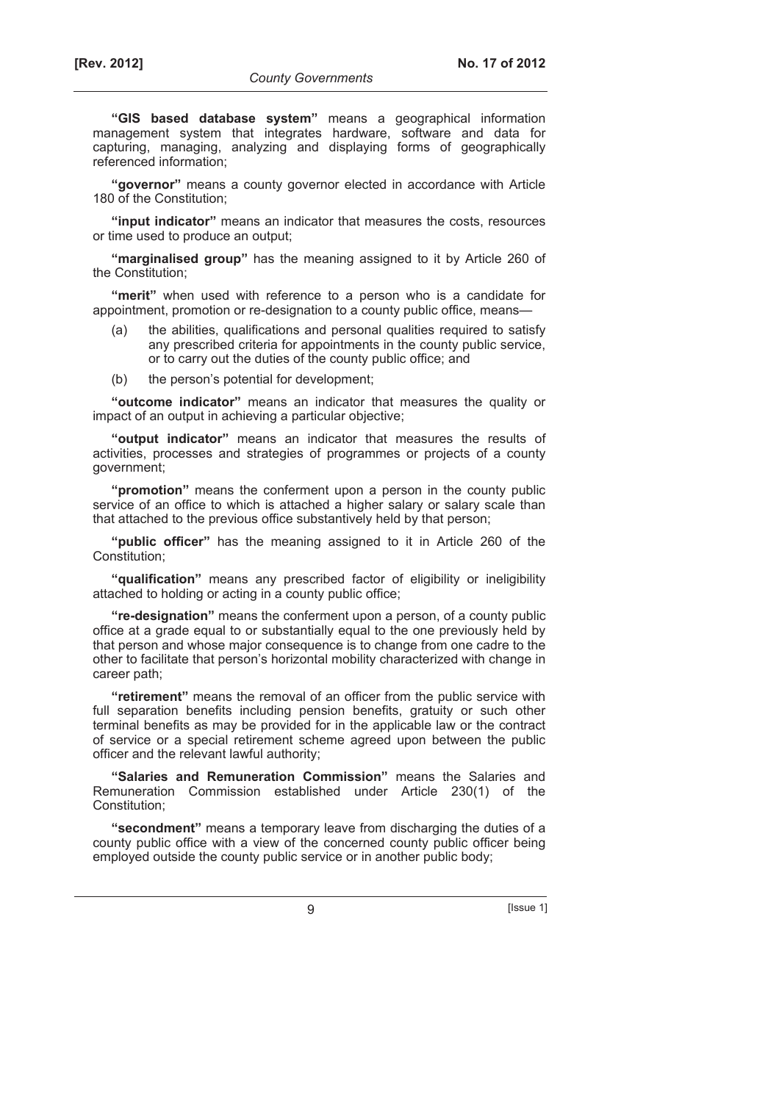**"GIS based database system"** means a geographical information management system that integrates hardware, software and data for capturing, managing, analyzing and displaying forms of geographically referenced information;

**"governor"** means a county governor elected in accordance with Article 180 of the Constitution;

**"input indicator"** means an indicator that measures the costs, resources or time used to produce an output;

**"marginalised group"** has the meaning assigned to it by Article 260 of the Constitution;

**"merit"** when used with reference to a person who is a candidate for appointment, promotion or re-designation to a county public office, means—

- the abilities, qualifications and personal qualities required to satisfy any prescribed criteria for appointments in the county public service, or to carry out the duties of the county public office; and
- (b) the person's potential for development;

**"outcome indicator"** means an indicator that measures the quality or impact of an output in achieving a particular objective;

**"output indicator"** means an indicator that measures the results of activities, processes and strategies of programmes or projects of a county government;

**"promotion"** means the conferment upon a person in the county public service of an office to which is attached a higher salary or salary scale than that attached to the previous office substantively held by that person;

**"public officer"** has the meaning assigned to it in Article 260 of the Constitution;

**"qualification"** means any prescribed factor of eligibility or ineligibility attached to holding or acting in a county public office;

**"re-designation"** means the conferment upon a person, of a county public office at a grade equal to or substantially equal to the one previously held by that person and whose major consequence is to change from one cadre to the other to facilitate that person's horizontal mobility characterized with change in career path;

**"retirement"** means the removal of an officer from the public service with full separation benefits including pension benefits, gratuity or such other terminal benefits as may be provided for in the applicable law or the contract of service or a special retirement scheme agreed upon between the public officer and the relevant lawful authority;

**"Salaries and Remuneration Commission"** means the Salaries and Remuneration Commission established under Article 230(1) of the Constitution;

**"secondment"** means a temporary leave from discharging the duties of a county public office with a view of the concerned county public officer being employed outside the county public service or in another public body;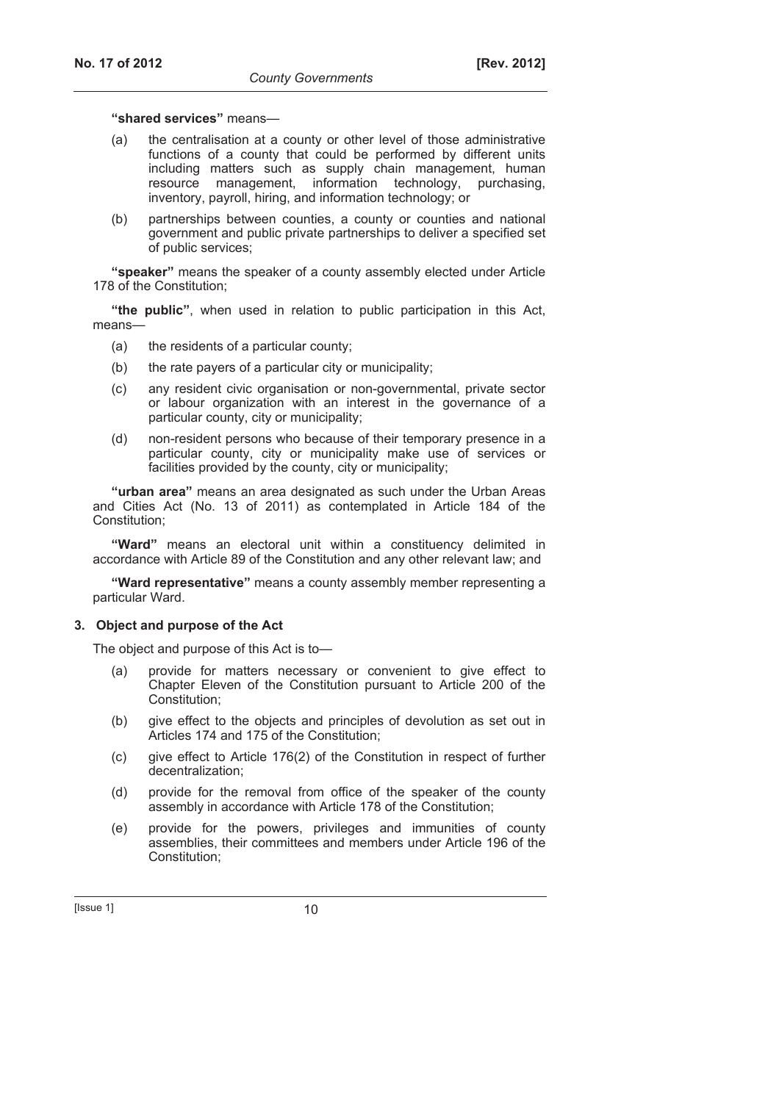#### **"shared services"** means—

- (a) the centralisation at a county or other level of those administrative functions of a county that could be performed by different units including matters such as supply chain management, human resource management, information technology, purchasing, inventory, payroll, hiring, and information technology; or
- (b) partnerships between counties, a county or counties and national government and public private partnerships to deliver a specified set of public services;

**"speaker"** means the speaker of a county assembly elected under Article 178 of the Constitution;

**"the public"**, when used in relation to public participation in this Act, means—

- (a) the residents of a particular county;
- (b) the rate payers of a particular city or municipality;
- (c) any resident civic organisation or non-governmental, private sector or labour organization with an interest in the governance of a particular county, city or municipality;
- (d) non-resident persons who because of their temporary presence in a particular county, city or municipality make use of services or facilities provided by the county, city or municipality;

**"urban area"** means an area designated as such under the Urban Areas and Cities Act (No. 13 of 2011) as contemplated in Article 184 of the Constitution;

**"Ward"** means an electoral unit within a constituency delimited in accordance with Article 89 of the Constitution and any other relevant law; and

**"Ward representative"** means a county assembly member representing a particular Ward.

#### **3. Object and purpose of the Act**

The object and purpose of this Act is to—

- (a) provide for matters necessary or convenient to give effect to Chapter Eleven of the Constitution pursuant to Article 200 of the Constitution;
- (b) give effect to the objects and principles of devolution as set out in Articles 174 and 175 of the Constitution;
- (c) give effect to Article 176(2) of the Constitution in respect of further decentralization;
- (d) provide for the removal from office of the speaker of the county assembly in accordance with Article 178 of the Constitution;
- (e) provide for the powers, privileges and immunities of county assemblies, their committees and members under Article 196 of the Constitution;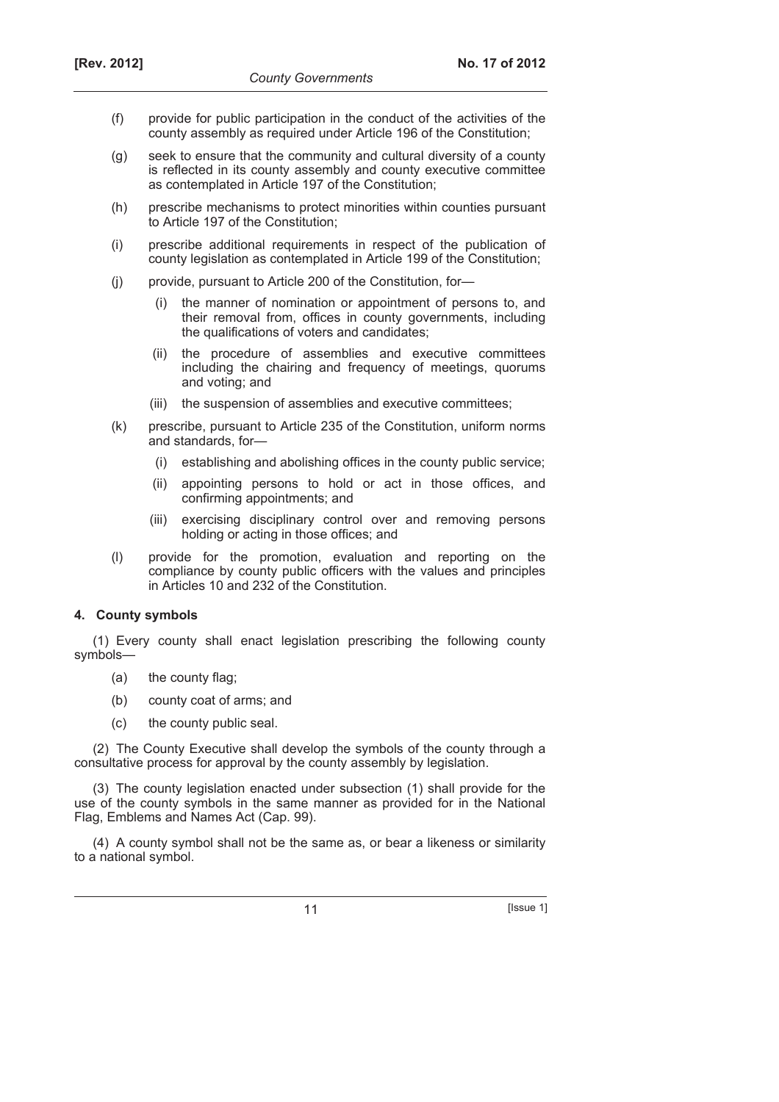- (f) provide for public participation in the conduct of the activities of the county assembly as required under Article 196 of the Constitution;
- (g) seek to ensure that the community and cultural diversity of a county is reflected in its county assembly and county executive committee as contemplated in Article 197 of the Constitution;
- (h) prescribe mechanisms to protect minorities within counties pursuant to Article 197 of the Constitution;
- (i) prescribe additional requirements in respect of the publication of county legislation as contemplated in Article 199 of the Constitution;
- (j) provide, pursuant to Article 200 of the Constitution, for—
	- (i) the manner of nomination or appointment of persons to, and their removal from, offices in county governments, including the qualifications of voters and candidates;
	- (ii) the procedure of assemblies and executive committees including the chairing and frequency of meetings, quorums and voting; and
	- (iii) the suspension of assemblies and executive committees;
- (k) prescribe, pursuant to Article 235 of the Constitution, uniform norms and standards, for—
	- (i) establishing and abolishing offices in the county public service;
	- (ii) appointing persons to hold or act in those offices, and confirming appointments; and
	- (iii) exercising disciplinary control over and removing persons holding or acting in those offices; and
- (l) provide for the promotion, evaluation and reporting on the compliance by county public officers with the values and principles in Articles 10 and 232 of the Constitution.

## **4. County symbols**

(1) Every county shall enact legislation prescribing the following county symbols—

- (a) the county flag;
- (b) county coat of arms; and
- (c) the county public seal.

(2) The County Executive shall develop the symbols of the county through a consultative process for approval by the county assembly by legislation.

(3) The county legislation enacted under subsection (1) shall provide for the use of the county symbols in the same manner as provided for in the National Flag, Emblems and Names Act (Cap. 99).

(4) A county symbol shall not be the same as, or bear a likeness or similarity to a national symbol.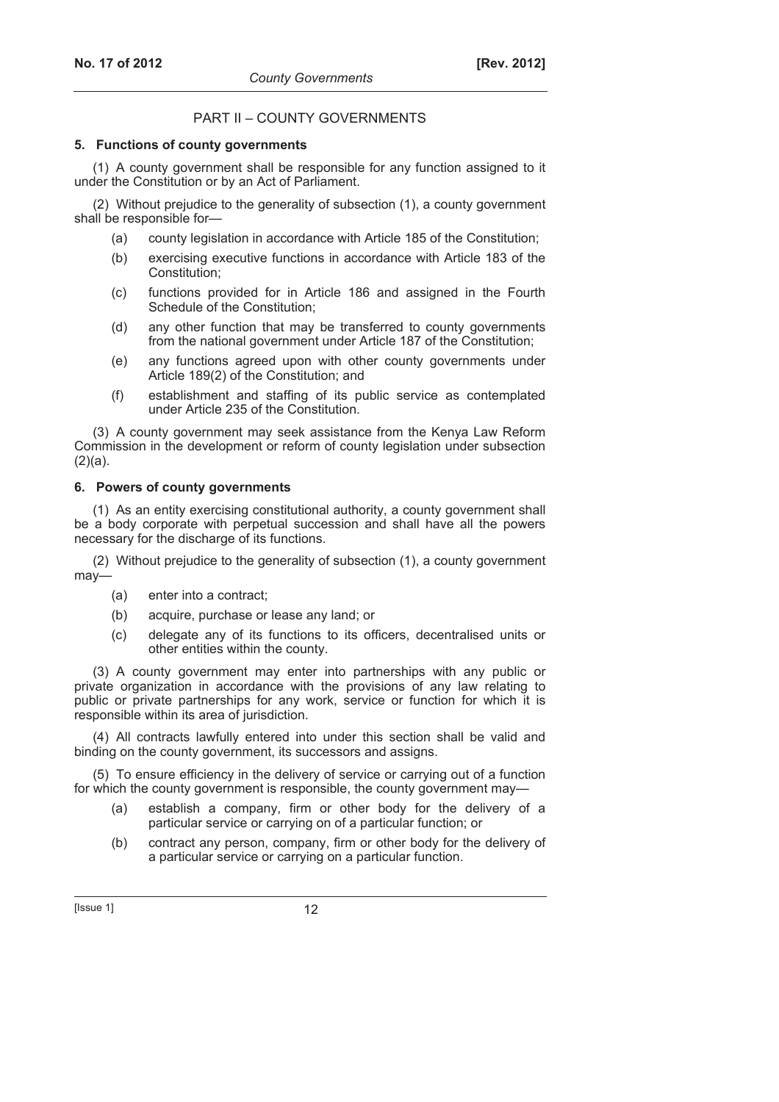## PART II – COUNTY GOVERNMENTS

## **5. Functions of county governments**

(1) A county government shall be responsible for any function assigned to it under the Constitution or by an Act of Parliament.

(2) Without prejudice to the generality of subsection (1), a county government shall be responsible for—

- (a) county legislation in accordance with Article 185 of the Constitution;
- (b) exercising executive functions in accordance with Article 183 of the Constitution;
- (c) functions provided for in Article 186 and assigned in the Fourth Schedule of the Constitution;
- (d) any other function that may be transferred to county governments from the national government under Article 187 of the Constitution;
- (e) any functions agreed upon with other county governments under Article 189(2) of the Constitution; and
- (f) establishment and staffing of its public service as contemplated under Article 235 of the Constitution.

(3) A county government may seek assistance from the Kenya Law Reform Commission in the development or reform of county legislation under subsection  $(2)(a)$ .

## **6. Powers of county governments**

(1) As an entity exercising constitutional authority, a county government shall be a body corporate with perpetual succession and shall have all the powers necessary for the discharge of its functions.

(2) Without prejudice to the generality of subsection (1), a county government may—

- (a) enter into a contract;
- (b) acquire, purchase or lease any land; or
- (c) delegate any of its functions to its officers, decentralised units or other entities within the county.

(3) A county government may enter into partnerships with any public or private organization in accordance with the provisions of any law relating to public or private partnerships for any work, service or function for which it is responsible within its area of jurisdiction.

(4) All contracts lawfully entered into under this section shall be valid and binding on the county government, its successors and assigns.

(5) To ensure efficiency in the delivery of service or carrying out of a function for which the county government is responsible, the county government may—

- (a) establish a company, firm or other body for the delivery of a particular service or carrying on of a particular function; or
- (b) contract any person, company, firm or other body for the delivery of a particular service or carrying on a particular function.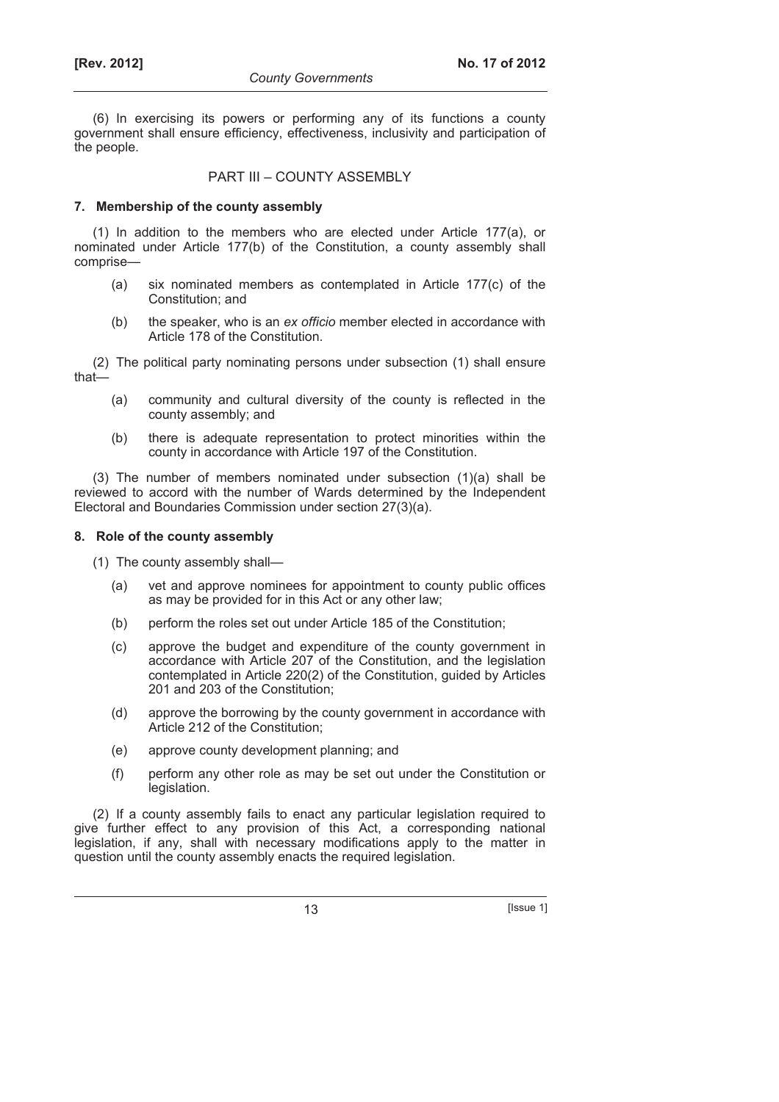(6) In exercising its powers or performing any of its functions a county government shall ensure efficiency, effectiveness, inclusivity and participation of the people.

## PART III – COUNTY ASSEMBLY

## **7. Membership of the county assembly**

(1) In addition to the members who are elected under Article 177(a), or nominated under Article 177(b) of the Constitution, a county assembly shall comprise—

- (a) six nominated members as contemplated in Article 177(c) of the Constitution; and
- (b) the speaker, who is an *ex officio* member elected in accordance with Article 178 of the Constitution.

(2) The political party nominating persons under subsection (1) shall ensure that—

- (a) community and cultural diversity of the county is reflected in the county assembly; and
- (b) there is adequate representation to protect minorities within the county in accordance with Article 197 of the Constitution.

(3) The number of members nominated under subsection (1)(a) shall be reviewed to accord with the number of Wards determined by the Independent Electoral and Boundaries Commission under section 27(3)(a).

## **8. Role of the county assembly**

- (1) The county assembly shall—
	- (a) vet and approve nominees for appointment to county public offices as may be provided for in this Act or any other law;
	- (b) perform the roles set out under Article 185 of the Constitution;
	- (c) approve the budget and expenditure of the county government in accordance with Article 207 of the Constitution, and the legislation contemplated in Article 220(2) of the Constitution, guided by Articles 201 and 203 of the Constitution;
	- (d) approve the borrowing by the county government in accordance with Article 212 of the Constitution;
	- (e) approve county development planning; and
	- (f) perform any other role as may be set out under the Constitution or legislation.

(2) If a county assembly fails to enact any particular legislation required to give further effect to any provision of this Act, a corresponding national legislation, if any, shall with necessary modifications apply to the matter in question until the county assembly enacts the required legislation.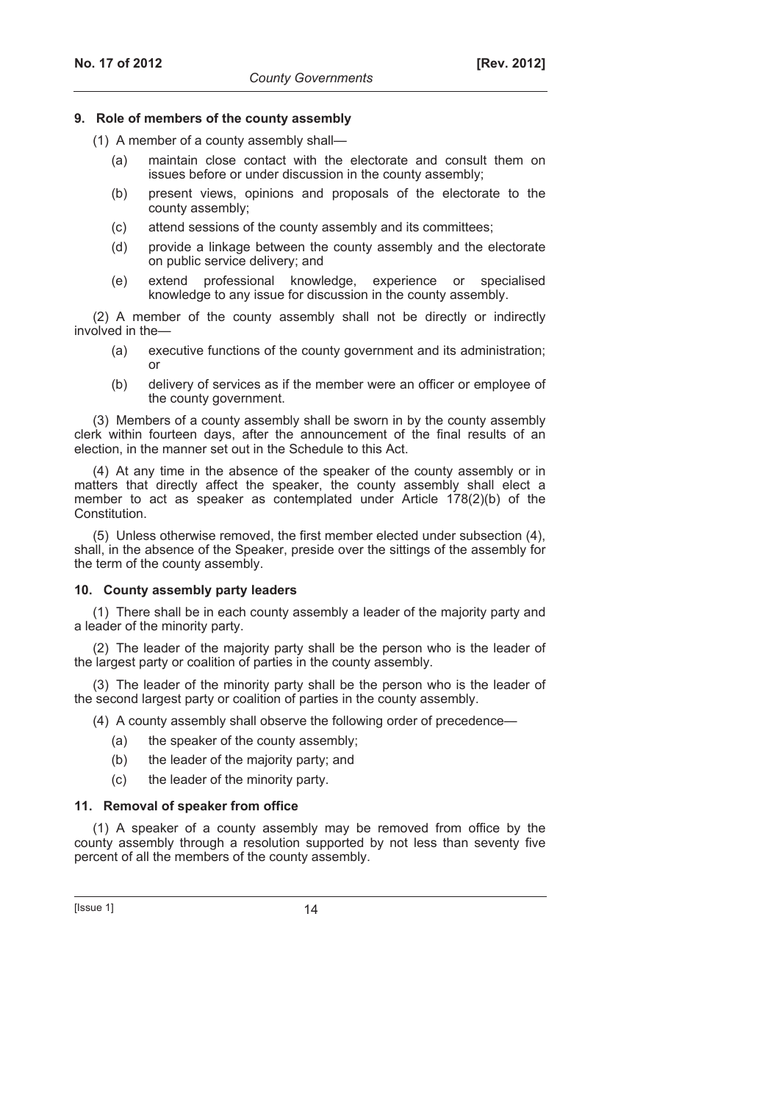## **9. Role of members of the county assembly**

- (1) A member of a county assembly shall—
	- (a) maintain close contact with the electorate and consult them on issues before or under discussion in the county assembly;
	- (b) present views, opinions and proposals of the electorate to the county assembly;
	- (c) attend sessions of the county assembly and its committees;
	- (d) provide a linkage between the county assembly and the electorate on public service delivery; and
	- (e) extend professional knowledge, experience or specialised knowledge to any issue for discussion in the county assembly.

(2) A member of the county assembly shall not be directly or indirectly involved in the—

- (a) executive functions of the county government and its administration; or
- (b) delivery of services as if the member were an officer or employee of the county government.

(3) Members of a county assembly shall be sworn in by the county assembly clerk within fourteen days, after the announcement of the final results of an election, in the manner set out in the Schedule to this Act.

(4) At any time in the absence of the speaker of the county assembly or in matters that directly affect the speaker, the county assembly shall elect a member to act as speaker as contemplated under Article 178(2)(b) of the Constitution.

(5) Unless otherwise removed, the first member elected under subsection (4), shall, in the absence of the Speaker, preside over the sittings of the assembly for the term of the county assembly.

#### **10. County assembly party leaders**

(1) There shall be in each county assembly a leader of the majority party and a leader of the minority party.

(2) The leader of the majority party shall be the person who is the leader of the largest party or coalition of parties in the county assembly.

(3) The leader of the minority party shall be the person who is the leader of the second largest party or coalition of parties in the county assembly.

(4) A county assembly shall observe the following order of precedence—

- (a) the speaker of the county assembly;
- (b) the leader of the majority party; and
- (c) the leader of the minority party.

#### **11. Removal of speaker from office**

(1) A speaker of a county assembly may be removed from office by the county assembly through a resolution supported by not less than seventy five percent of all the members of the county assembly.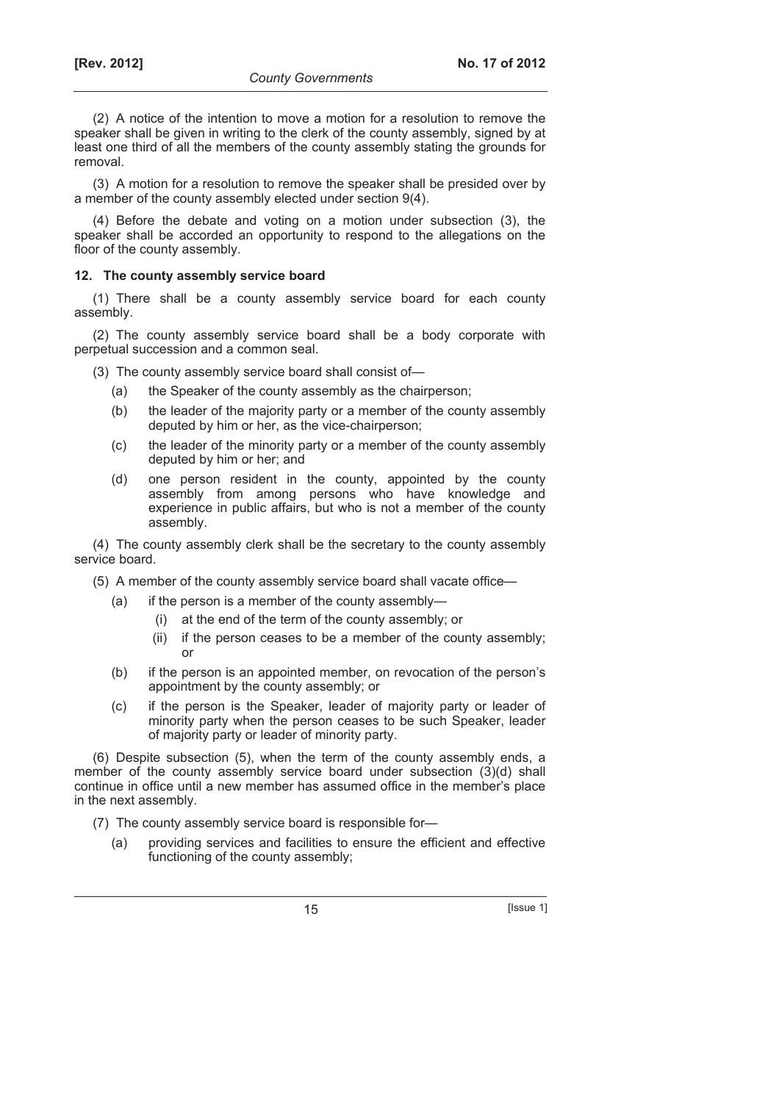(2) A notice of the intention to move a motion for a resolution to remove the speaker shall be given in writing to the clerk of the county assembly, signed by at least one third of all the members of the county assembly stating the grounds for removal.

(3) A motion for a resolution to remove the speaker shall be presided over by a member of the county assembly elected under section 9(4).

(4) Before the debate and voting on a motion under subsection (3), the speaker shall be accorded an opportunity to respond to the allegations on the floor of the county assembly.

### **12. The county assembly service board**

(1) There shall be a county assembly service board for each county assembly.

(2) The county assembly service board shall be a body corporate with perpetual succession and a common seal.

(3) The county assembly service board shall consist of—

- (a) the Speaker of the county assembly as the chairperson;
- (b) the leader of the majority party or a member of the county assembly deputed by him or her, as the vice-chairperson;
- (c) the leader of the minority party or a member of the county assembly deputed by him or her; and
- (d) one person resident in the county, appointed by the county assembly from among persons who have knowledge and experience in public affairs, but who is not a member of the county assembly.

(4) The county assembly clerk shall be the secretary to the county assembly service board.

(5) A member of the county assembly service board shall vacate office—

- (a) if the person is a member of the county assembly—
	- (i) at the end of the term of the county assembly; or
	- (ii) if the person ceases to be a member of the county assembly; or
- (b) if the person is an appointed member, on revocation of the person's appointment by the county assembly; or
- (c) if the person is the Speaker, leader of majority party or leader of minority party when the person ceases to be such Speaker, leader of majority party or leader of minority party.

(6) Despite subsection (5), when the term of the county assembly ends, a member of the county assembly service board under subsection (3)(d) shall continue in office until a new member has assumed office in the member's place in the next assembly.

(7) The county assembly service board is responsible for—

 (a) providing services and facilities to ensure the efficient and effective functioning of the county assembly;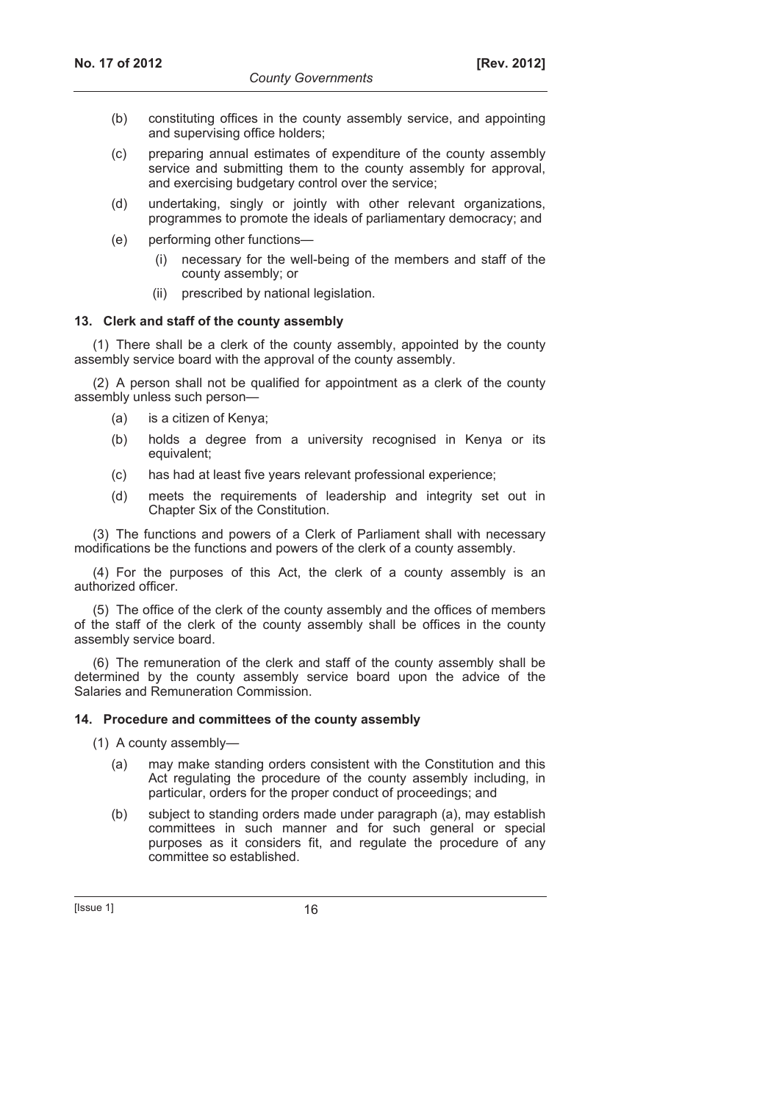- (b) constituting offices in the county assembly service, and appointing and supervising office holders;
- (c) preparing annual estimates of expenditure of the county assembly service and submitting them to the county assembly for approval. and exercising budgetary control over the service;
- (d) undertaking, singly or jointly with other relevant organizations, programmes to promote the ideals of parliamentary democracy; and
- (e) performing other functions—
	- (i) necessary for the well-being of the members and staff of the county assembly; or
	- (ii) prescribed by national legislation.

## **13. Clerk and staff of the county assembly**

(1) There shall be a clerk of the county assembly, appointed by the county assembly service board with the approval of the county assembly.

(2) A person shall not be qualified for appointment as a clerk of the county assembly unless such person—

- (a) is a citizen of Kenya;
- (b) holds a degree from a university recognised in Kenya or its equivalent;
- (c) has had at least five years relevant professional experience;
- (d) meets the requirements of leadership and integrity set out in Chapter Six of the Constitution.

(3) The functions and powers of a Clerk of Parliament shall with necessary modifications be the functions and powers of the clerk of a county assembly.

(4) For the purposes of this Act, the clerk of a county assembly is an authorized officer.

(5) The office of the clerk of the county assembly and the offices of members of the staff of the clerk of the county assembly shall be offices in the county assembly service board.

(6) The remuneration of the clerk and staff of the county assembly shall be determined by the county assembly service board upon the advice of the Salaries and Remuneration Commission.

#### **14. Procedure and committees of the county assembly**

(1) A county assembly—

- (a) may make standing orders consistent with the Constitution and this Act regulating the procedure of the county assembly including, in particular, orders for the proper conduct of proceedings; and
- (b) subject to standing orders made under paragraph (a), may establish committees in such manner and for such general or special purposes as it considers fit, and regulate the procedure of any committee so established.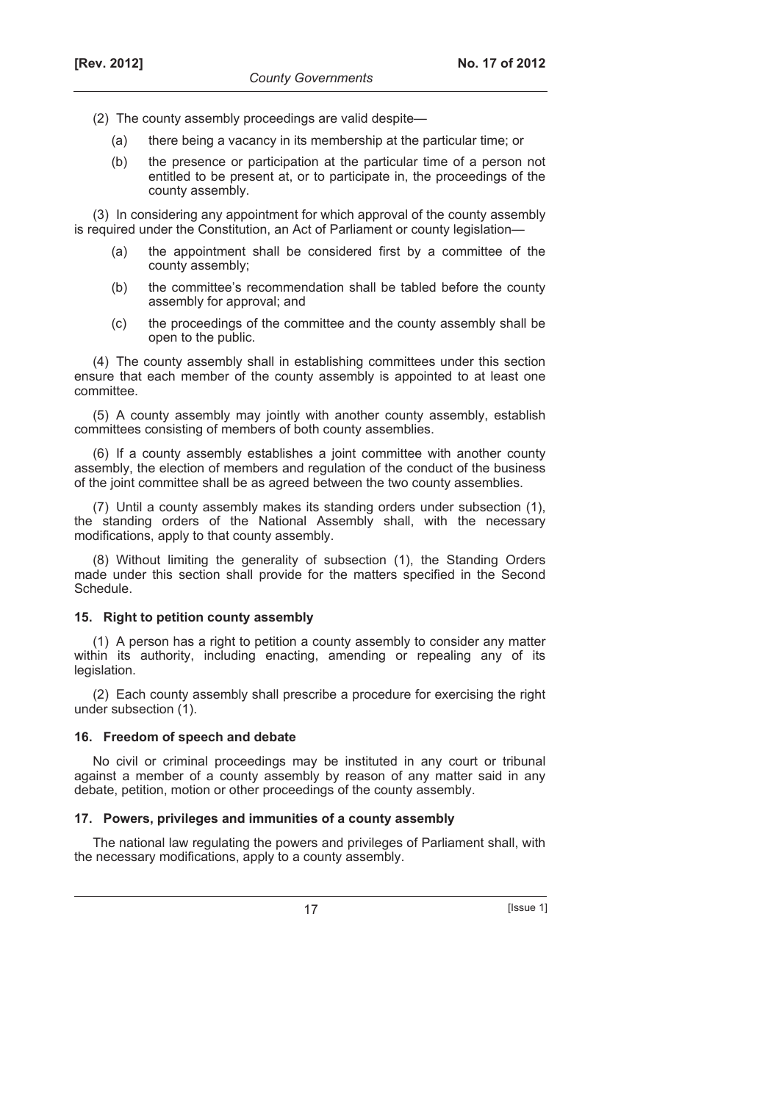- (2) The county assembly proceedings are valid despite—
	- (a) there being a vacancy in its membership at the particular time; or
	- (b) the presence or participation at the particular time of a person not entitled to be present at, or to participate in, the proceedings of the county assembly.

(3) In considering any appointment for which approval of the county assembly is required under the Constitution, an Act of Parliament or county legislation—

- (a) the appointment shall be considered first by a committee of the county assembly;
- (b) the committee's recommendation shall be tabled before the county assembly for approval; and
- (c) the proceedings of the committee and the county assembly shall be open to the public.

(4) The county assembly shall in establishing committees under this section ensure that each member of the county assembly is appointed to at least one committee.

(5) A county assembly may jointly with another county assembly, establish committees consisting of members of both county assemblies.

(6) If a county assembly establishes a joint committee with another county assembly, the election of members and regulation of the conduct of the business of the joint committee shall be as agreed between the two county assemblies.

(7) Until a county assembly makes its standing orders under subsection (1), the standing orders of the National Assembly shall, with the necessary modifications, apply to that county assembly.

(8) Without limiting the generality of subsection (1), the Standing Orders made under this section shall provide for the matters specified in the Second Schedule.

## **15. Right to petition county assembly**

(1) A person has a right to petition a county assembly to consider any matter within its authority, including enacting, amending or repealing any of its legislation.

(2) Each county assembly shall prescribe a procedure for exercising the right under subsection (1).

## **16. Freedom of speech and debate**

No civil or criminal proceedings may be instituted in any court or tribunal against a member of a county assembly by reason of any matter said in any debate, petition, motion or other proceedings of the county assembly.

## **17. Powers, privileges and immunities of a county assembly**

The national law regulating the powers and privileges of Parliament shall, with the necessary modifications, apply to a county assembly.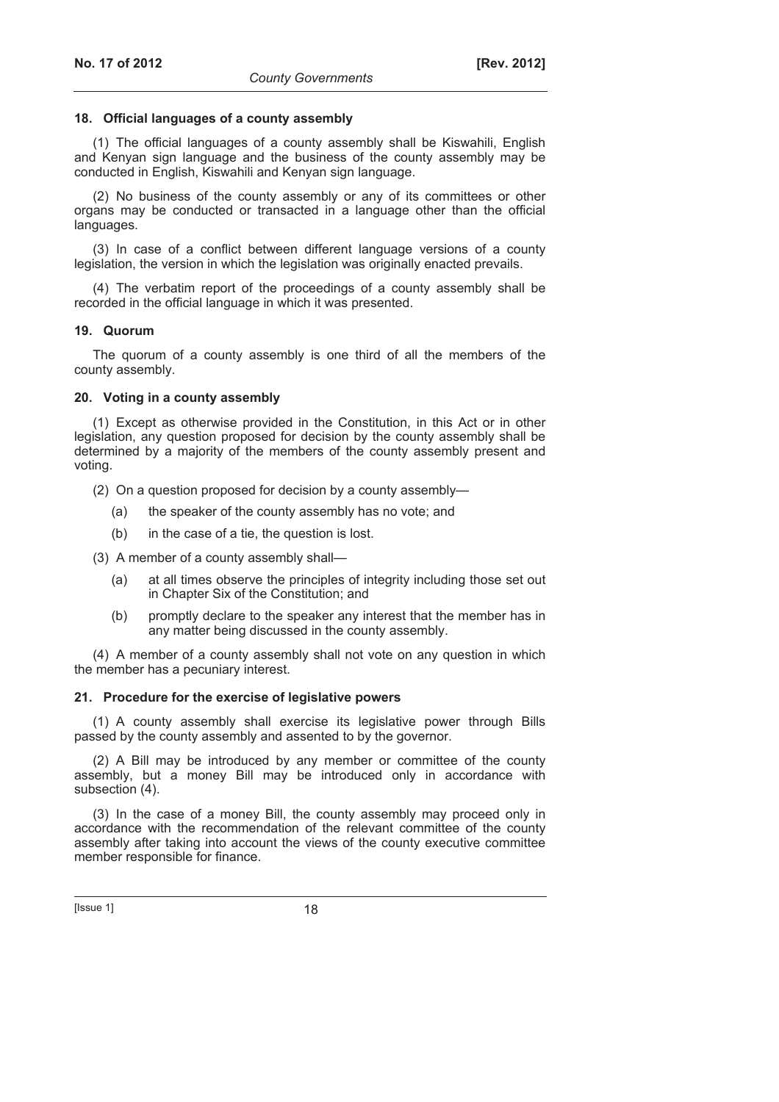## **18. Official languages of a county assembly**

(1) The official languages of a county assembly shall be Kiswahili, English and Kenyan sign language and the business of the county assembly may be conducted in English, Kiswahili and Kenyan sign language.

(2) No business of the county assembly or any of its committees or other organs may be conducted or transacted in a language other than the official languages.

(3) In case of a conflict between different language versions of a county legislation, the version in which the legislation was originally enacted prevails.

(4) The verbatim report of the proceedings of a county assembly shall be recorded in the official language in which it was presented.

### **19. Quorum**

The quorum of a county assembly is one third of all the members of the county assembly.

### **20. Voting in a county assembly**

(1) Except as otherwise provided in the Constitution, in this Act or in other legislation, any question proposed for decision by the county assembly shall be determined by a majority of the members of the county assembly present and voting.

(2) On a question proposed for decision by a county assembly—

- (a) the speaker of the county assembly has no vote; and
- (b) in the case of a tie, the question is lost.

(3) A member of a county assembly shall—

- (a) at all times observe the principles of integrity including those set out in Chapter Six of the Constitution; and
- (b) promptly declare to the speaker any interest that the member has in any matter being discussed in the county assembly.

(4) A member of a county assembly shall not vote on any question in which the member has a pecuniary interest.

#### **21. Procedure for the exercise of legislative powers**

(1) A county assembly shall exercise its legislative power through Bills passed by the county assembly and assented to by the governor.

(2) A Bill may be introduced by any member or committee of the county assembly, but a money Bill may be introduced only in accordance with subsection (4).

(3) In the case of a money Bill, the county assembly may proceed only in accordance with the recommendation of the relevant committee of the county assembly after taking into account the views of the county executive committee member responsible for finance.

 $[|$ ssue 1 $]$  18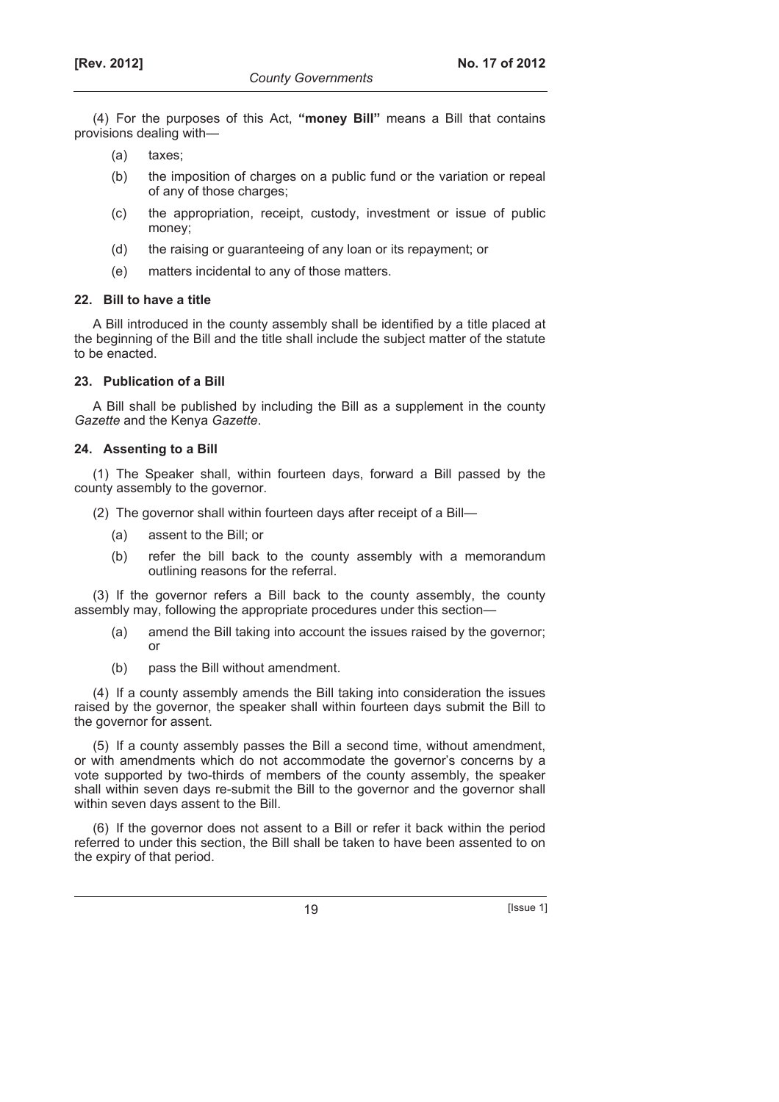(4) For the purposes of this Act, **"money Bill"** means a Bill that contains provisions dealing with—

- (a) taxes;
- (b) the imposition of charges on a public fund or the variation or repeal of any of those charges;
- (c) the appropriation, receipt, custody, investment or issue of public money;
- (d) the raising or guaranteeing of any loan or its repayment; or
- (e) matters incidental to any of those matters.

### **22. Bill to have a title**

A Bill introduced in the county assembly shall be identified by a title placed at the beginning of the Bill and the title shall include the subject matter of the statute to be enacted.

### **23. Publication of a Bill**

A Bill shall be published by including the Bill as a supplement in the county *Gazette* and the Kenya *Gazette*.

#### **24. Assenting to a Bill**

(1) The Speaker shall, within fourteen days, forward a Bill passed by the county assembly to the governor.

- (2) The governor shall within fourteen days after receipt of a Bill—
	- (a) assent to the Bill; or
	- (b) refer the bill back to the county assembly with a memorandum outlining reasons for the referral.

(3) If the governor refers a Bill back to the county assembly, the county assembly may, following the appropriate procedures under this section—

- (a) amend the Bill taking into account the issues raised by the governor; or
- (b) pass the Bill without amendment.

(4) If a county assembly amends the Bill taking into consideration the issues raised by the governor, the speaker shall within fourteen days submit the Bill to the governor for assent.

(5) If a county assembly passes the Bill a second time, without amendment, or with amendments which do not accommodate the governor's concerns by a vote supported by two-thirds of members of the county assembly, the speaker shall within seven days re-submit the Bill to the governor and the governor shall within seven days assent to the Bill.

(6) If the governor does not assent to a Bill or refer it back within the period referred to under this section, the Bill shall be taken to have been assented to on the expiry of that period.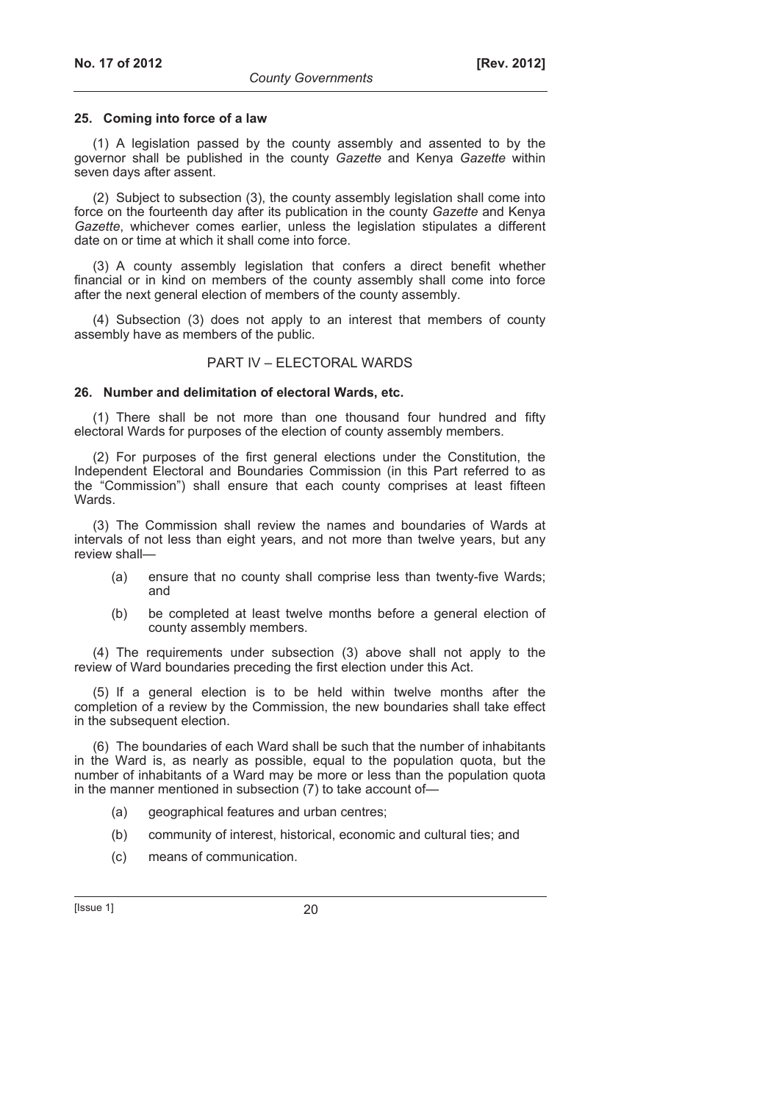### **25. Coming into force of a law**

(1) A legislation passed by the county assembly and assented to by the governor shall be published in the county *Gazette* and Kenya *Gazette* within seven days after assent.

(2) Subject to subsection (3), the county assembly legislation shall come into force on the fourteenth day after its publication in the county *Gazette* and Kenya *Gazette*, whichever comes earlier, unless the legislation stipulates a different date on or time at which it shall come into force.

(3) A county assembly legislation that confers a direct benefit whether financial or in kind on members of the county assembly shall come into force after the next general election of members of the county assembly.

(4) Subsection (3) does not apply to an interest that members of county assembly have as members of the public.

## PART IV – ELECTORAL WARDS

### **26. Number and delimitation of electoral Wards, etc.**

(1) There shall be not more than one thousand four hundred and fifty electoral Wards for purposes of the election of county assembly members.

(2) For purposes of the first general elections under the Constitution, the Independent Electoral and Boundaries Commission (in this Part referred to as the "Commission") shall ensure that each county comprises at least fifteen Wards.

(3) The Commission shall review the names and boundaries of Wards at intervals of not less than eight years, and not more than twelve years, but any review shall—

- (a) ensure that no county shall comprise less than twenty-five Wards; and
- (b) be completed at least twelve months before a general election of county assembly members.

(4) The requirements under subsection (3) above shall not apply to the review of Ward boundaries preceding the first election under this Act.

(5) If a general election is to be held within twelve months after the completion of a review by the Commission, the new boundaries shall take effect in the subsequent election.

(6) The boundaries of each Ward shall be such that the number of inhabitants in the Ward is, as nearly as possible, equal to the population quota, but the number of inhabitants of a Ward may be more or less than the population quota in the manner mentioned in subsection (7) to take account of—

- (a) geographical features and urban centres;
- (b) community of interest, historical, economic and cultural ties; and
- (c) means of communication.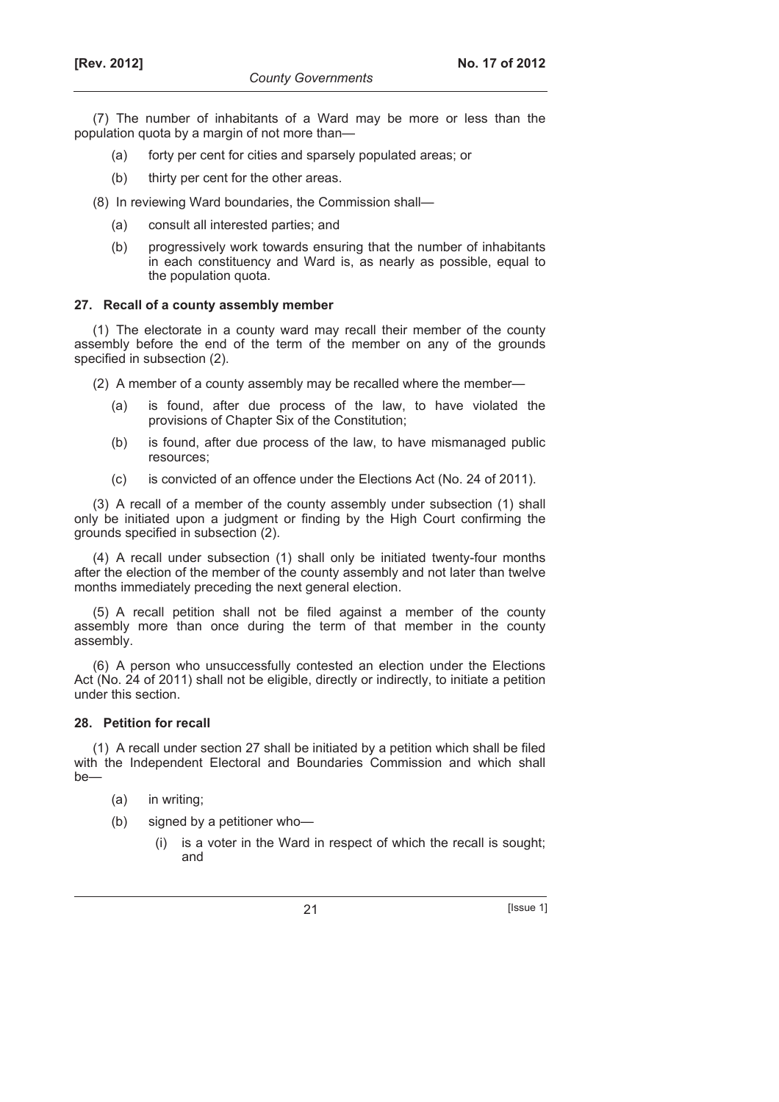(7) The number of inhabitants of a Ward may be more or less than the population quota by a margin of not more than—

- (a) forty per cent for cities and sparsely populated areas; or
- (b) thirty per cent for the other areas.
- (8) In reviewing Ward boundaries, the Commission shall—
	- (a) consult all interested parties; and
	- (b) progressively work towards ensuring that the number of inhabitants in each constituency and Ward is, as nearly as possible, equal to the population quota.

### **27. Recall of a county assembly member**

(1) The electorate in a county ward may recall their member of the county assembly before the end of the term of the member on any of the grounds specified in subsection (2).

- (2) A member of a county assembly may be recalled where the member—
	- (a) is found, after due process of the law, to have violated the provisions of Chapter Six of the Constitution;
	- (b) is found, after due process of the law, to have mismanaged public resources;
	- (c) is convicted of an offence under the Elections Act (No. 24 of 2011).

(3) A recall of a member of the county assembly under subsection (1) shall only be initiated upon a judgment or finding by the High Court confirming the grounds specified in subsection (2).

(4) A recall under subsection (1) shall only be initiated twenty-four months after the election of the member of the county assembly and not later than twelve months immediately preceding the next general election.

(5) A recall petition shall not be filed against a member of the county assembly more than once during the term of that member in the county assembly.

(6) A person who unsuccessfully contested an election under the Elections Act (No. 24 of 2011) shall not be eligible, directly or indirectly, to initiate a petition under this section.

## **28. Petition for recall**

(1) A recall under section 27 shall be initiated by a petition which shall be filed with the Independent Electoral and Boundaries Commission and which shall  $ha$ —

- (a) in writing;
- (b) signed by a petitioner who—
	- (i) is a voter in the Ward in respect of which the recall is sought; and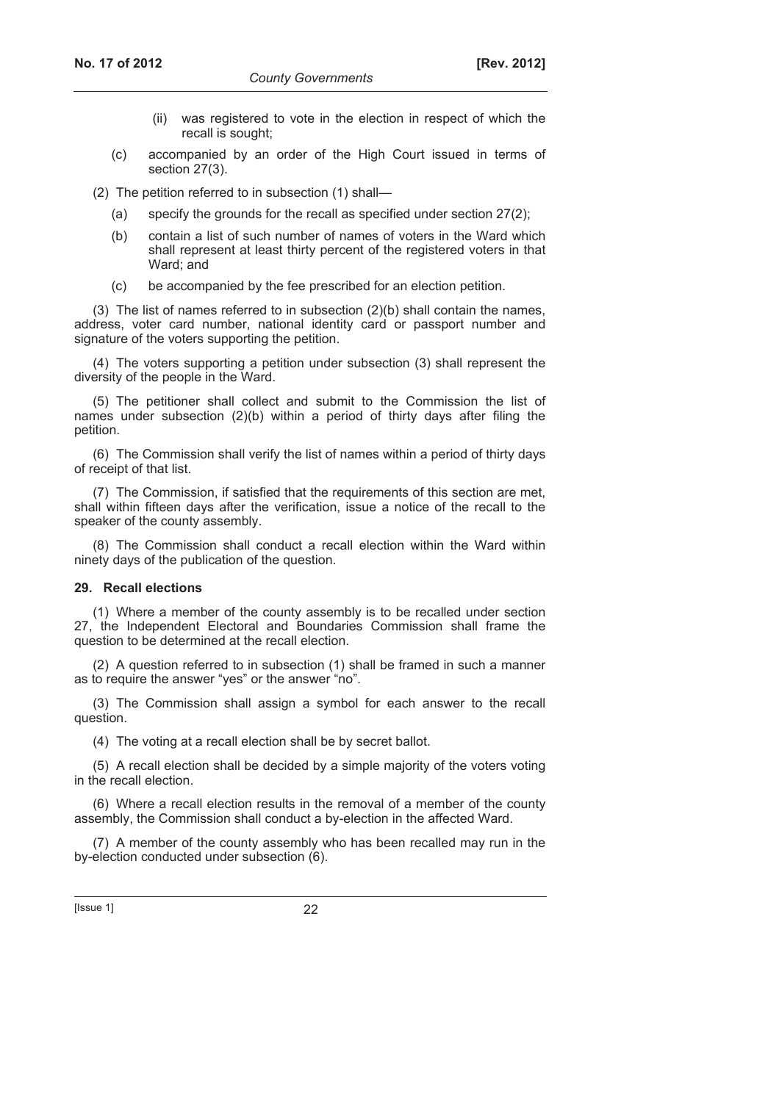- (ii) was registered to vote in the election in respect of which the recall is sought;
- (c) accompanied by an order of the High Court issued in terms of section 27(3).

(2) The petition referred to in subsection (1) shall—

- (a) specify the grounds for the recall as specified under section 27(2);
- (b) contain a list of such number of names of voters in the Ward which shall represent at least thirty percent of the registered voters in that Ward; and
- (c) be accompanied by the fee prescribed for an election petition.

(3) The list of names referred to in subsection (2)(b) shall contain the names, address, voter card number, national identity card or passport number and signature of the voters supporting the petition.

(4) The voters supporting a petition under subsection (3) shall represent the diversity of the people in the Ward.

(5) The petitioner shall collect and submit to the Commission the list of names under subsection (2)(b) within a period of thirty days after filing the petition.

(6) The Commission shall verify the list of names within a period of thirty days of receipt of that list.

(7) The Commission, if satisfied that the requirements of this section are met, shall within fifteen days after the verification, issue a notice of the recall to the speaker of the county assembly.

(8) The Commission shall conduct a recall election within the Ward within ninety days of the publication of the question.

## **29. Recall elections**

(1) Where a member of the county assembly is to be recalled under section 27, the Independent Electoral and Boundaries Commission shall frame the question to be determined at the recall election.

(2) A question referred to in subsection (1) shall be framed in such a manner as to require the answer "yes" or the answer "no".

(3) The Commission shall assign a symbol for each answer to the recall question.

(4) The voting at a recall election shall be by secret ballot.

(5) A recall election shall be decided by a simple majority of the voters voting in the recall election.

(6) Where a recall election results in the removal of a member of the county assembly, the Commission shall conduct a by-election in the affected Ward.

(7) A member of the county assembly who has been recalled may run in the by-election conducted under subsection (6).

[Issue 1] 22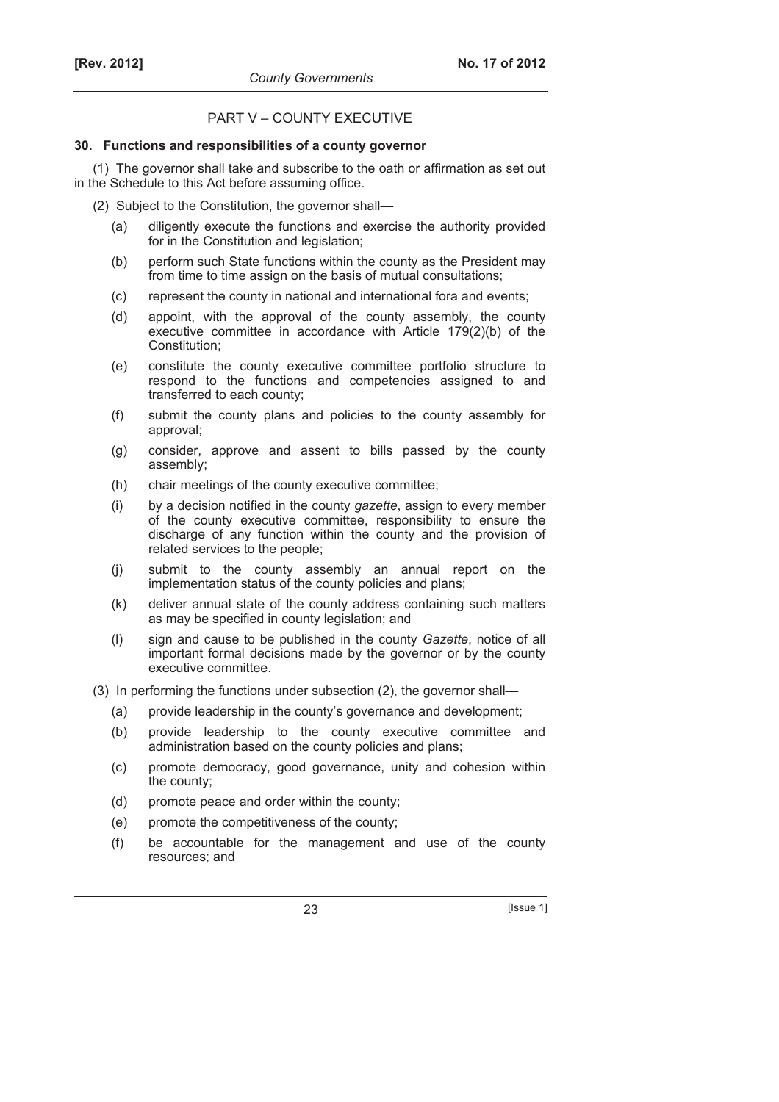## PART V – COUNTY EXECUTIVE

## **30. Functions and responsibilities of a county governor**

(1) The governor shall take and subscribe to the oath or affirmation as set out in the Schedule to this Act before assuming office.

- (2) Subject to the Constitution, the governor shall—
	- (a) diligently execute the functions and exercise the authority provided for in the Constitution and legislation:
	- (b) perform such State functions within the county as the President may from time to time assign on the basis of mutual consultations;
	- (c) represent the county in national and international fora and events;
	- (d) appoint, with the approval of the county assembly, the county executive committee in accordance with Article 179(2)(b) of the Constitution;
	- (e) constitute the county executive committee portfolio structure to respond to the functions and competencies assigned to and transferred to each county;
	- (f) submit the county plans and policies to the county assembly for approval;
	- (g) consider, approve and assent to bills passed by the county assembly;
	- (h) chair meetings of the county executive committee;
	- (i) by a decision notified in the county *gazette*, assign to every member of the county executive committee, responsibility to ensure the discharge of any function within the county and the provision of related services to the people;
	- (j) submit to the county assembly an annual report on the implementation status of the county policies and plans;
	- (k) deliver annual state of the county address containing such matters as may be specified in county legislation; and
	- (l) sign and cause to be published in the county *Gazette*, notice of all important formal decisions made by the governor or by the county executive committee.
- (3) In performing the functions under subsection (2), the governor shall—
	- (a) provide leadership in the county's governance and development;
	- (b) provide leadership to the county executive committee and administration based on the county policies and plans;
	- (c) promote democracy, good governance, unity and cohesion within the county;
	- (d) promote peace and order within the county;
	- (e) promote the competitiveness of the county;
	- (f) be accountable for the management and use of the county resources; and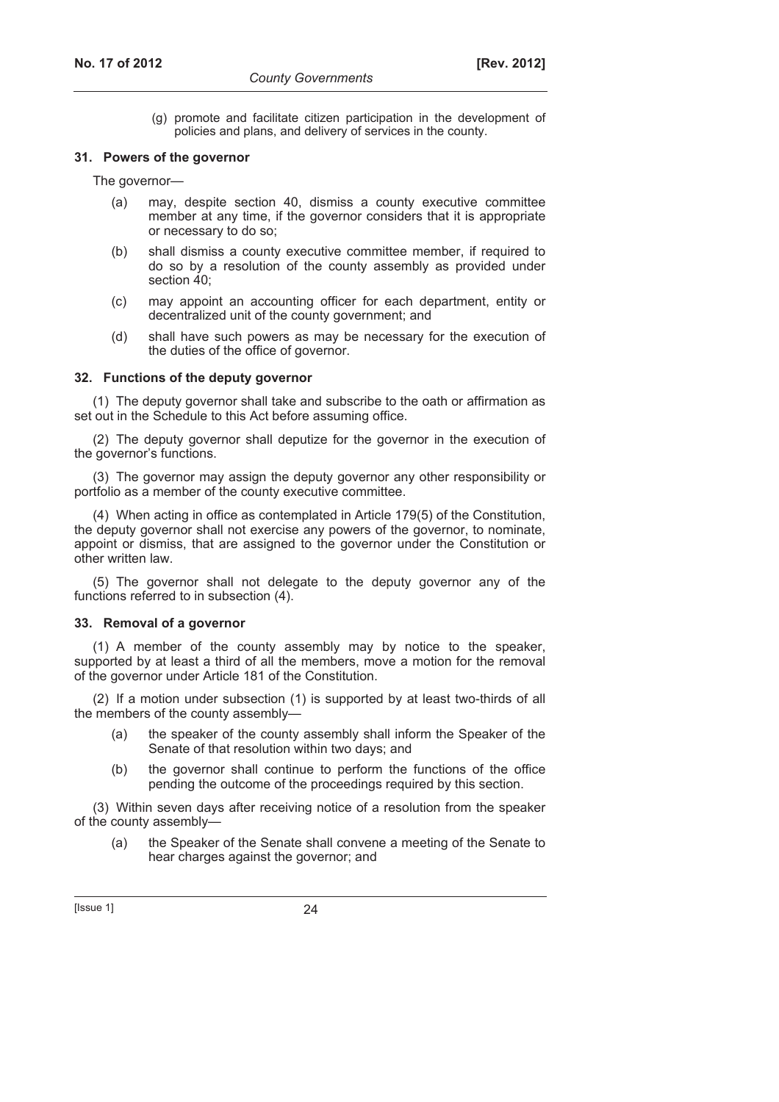(g) promote and facilitate citizen participation in the development of policies and plans, and delivery of services in the county.

#### **31. Powers of the governor**

The governor—

- (a) may, despite section 40, dismiss a county executive committee member at any time, if the governor considers that it is appropriate or necessary to do so;
- (b) shall dismiss a county executive committee member, if required to do so by a resolution of the county assembly as provided under section 40:
- (c) may appoint an accounting officer for each department, entity or decentralized unit of the county government; and
- (d) shall have such powers as may be necessary for the execution of the duties of the office of governor.

### **32. Functions of the deputy governor**

(1) The deputy governor shall take and subscribe to the oath or affirmation as set out in the Schedule to this Act before assuming office.

(2) The deputy governor shall deputize for the governor in the execution of the governor's functions.

(3) The governor may assign the deputy governor any other responsibility or portfolio as a member of the county executive committee.

(4) When acting in office as contemplated in Article 179(5) of the Constitution, the deputy governor shall not exercise any powers of the governor, to nominate, appoint or dismiss, that are assigned to the governor under the Constitution or other written law.

(5) The governor shall not delegate to the deputy governor any of the functions referred to in subsection (4).

## **33. Removal of a governor**

(1) A member of the county assembly may by notice to the speaker, supported by at least a third of all the members, move a motion for the removal of the governor under Article 181 of the Constitution.

(2) If a motion under subsection (1) is supported by at least two-thirds of all the members of the county assembly—

- (a) the speaker of the county assembly shall inform the Speaker of the Senate of that resolution within two days; and
- (b) the governor shall continue to perform the functions of the office pending the outcome of the proceedings required by this section.

(3) Within seven days after receiving notice of a resolution from the speaker of the county assembly-

 (a) the Speaker of the Senate shall convene a meeting of the Senate to hear charges against the governor; and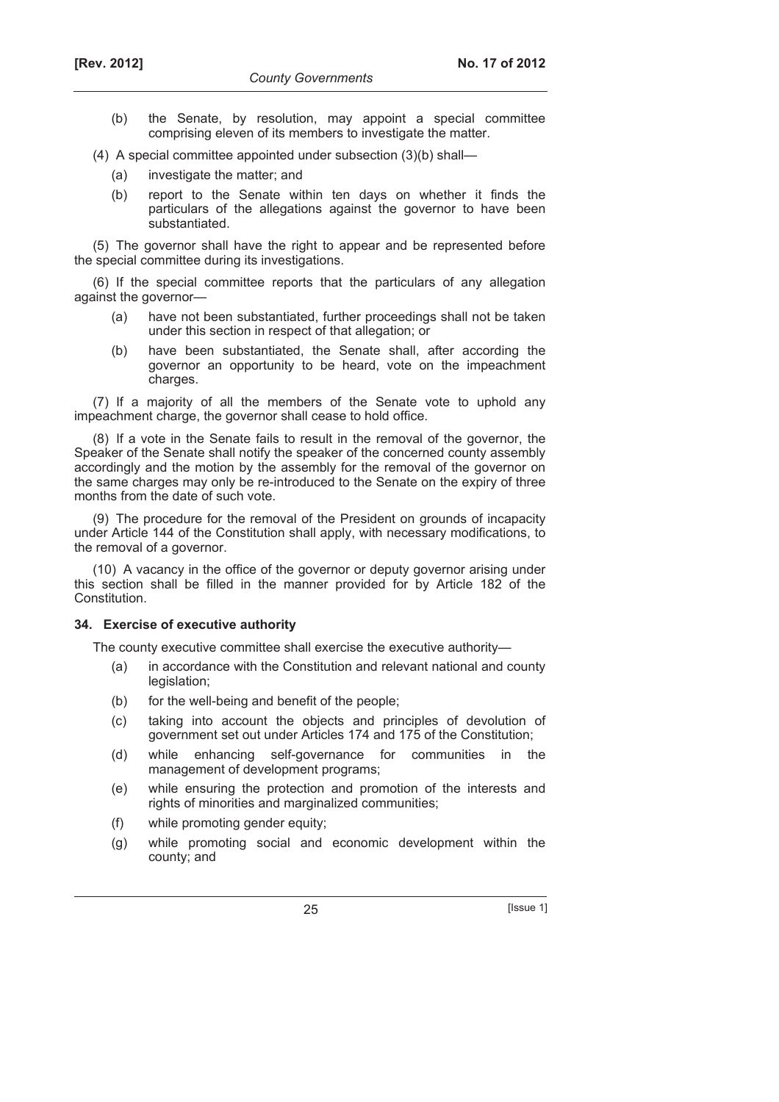- (b) the Senate, by resolution, may appoint a special committee comprising eleven of its members to investigate the matter.
- (4) A special committee appointed under subsection (3)(b) shall—
	- (a) investigate the matter; and
	- (b) report to the Senate within ten days on whether it finds the particulars of the allegations against the governor to have been substantiated.

(5) The governor shall have the right to appear and be represented before the special committee during its investigations.

(6) If the special committee reports that the particulars of any allegation against the governor—

- (a) have not been substantiated, further proceedings shall not be taken under this section in respect of that allegation; or
- (b) have been substantiated, the Senate shall, after according the governor an opportunity to be heard, vote on the impeachment charges.

(7) If a majority of all the members of the Senate vote to uphold any impeachment charge, the governor shall cease to hold office.

(8) If a vote in the Senate fails to result in the removal of the governor, the Speaker of the Senate shall notify the speaker of the concerned county assembly accordingly and the motion by the assembly for the removal of the governor on the same charges may only be re-introduced to the Senate on the expiry of three months from the date of such vote.

(9) The procedure for the removal of the President on grounds of incapacity under Article 144 of the Constitution shall apply, with necessary modifications, to the removal of a governor.

(10) A vacancy in the office of the governor or deputy governor arising under this section shall be filled in the manner provided for by Article 182 of the Constitution.

## **34. Exercise of executive authority**

The county executive committee shall exercise the executive authority—

- (a) in accordance with the Constitution and relevant national and county legislation;
- (b) for the well-being and benefit of the people;
- (c) taking into account the objects and principles of devolution of government set out under Articles 174 and 175 of the Constitution;
- (d) while enhancing self-governance for communities in the management of development programs;
- (e) while ensuring the protection and promotion of the interests and rights of minorities and marginalized communities;
- (f) while promoting gender equity;
- (g) while promoting social and economic development within the county; and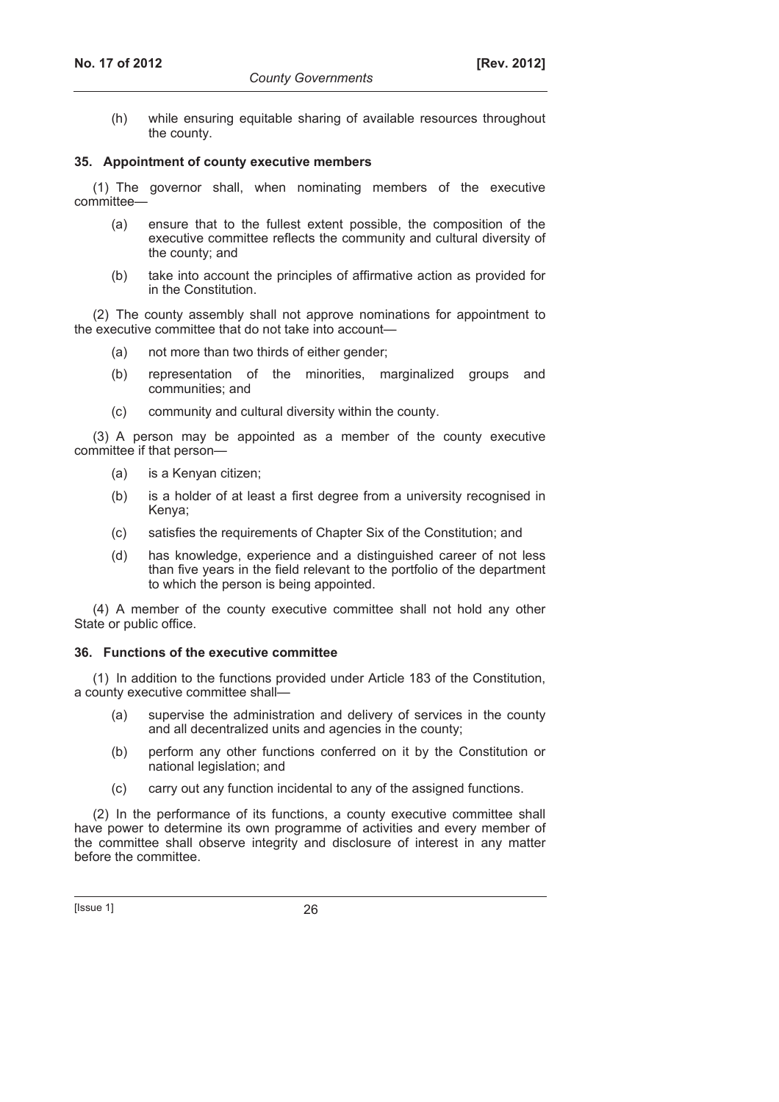(h) while ensuring equitable sharing of available resources throughout the county.

### **35. Appointment of county executive members**

(1) The governor shall, when nominating members of the executive committee—

- (a) ensure that to the fullest extent possible, the composition of the executive committee reflects the community and cultural diversity of the county; and
- (b) take into account the principles of affirmative action as provided for in the Constitution.

(2) The county assembly shall not approve nominations for appointment to the executive committee that do not take into account—

- (a) not more than two thirds of either gender;
- (b) representation of the minorities, marginalized groups and communities; and
- (c) community and cultural diversity within the county.

(3) A person may be appointed as a member of the county executive committee if that person—

- (a) is a Kenyan citizen;
- (b) is a holder of at least a first degree from a university recognised in Kenya;
- (c) satisfies the requirements of Chapter Six of the Constitution; and
- (d) has knowledge, experience and a distinguished career of not less than five years in the field relevant to the portfolio of the department to which the person is being appointed.

(4) A member of the county executive committee shall not hold any other State or public office.

## **36. Functions of the executive committee**

(1) In addition to the functions provided under Article 183 of the Constitution, a county executive committee shall—

- (a) supervise the administration and delivery of services in the county and all decentralized units and agencies in the county;
- (b) perform any other functions conferred on it by the Constitution or national legislation; and
- (c) carry out any function incidental to any of the assigned functions.

(2) In the performance of its functions, a county executive committee shall have power to determine its own programme of activities and every member of the committee shall observe integrity and disclosure of interest in any matter before the committee.

[Issue 1] 26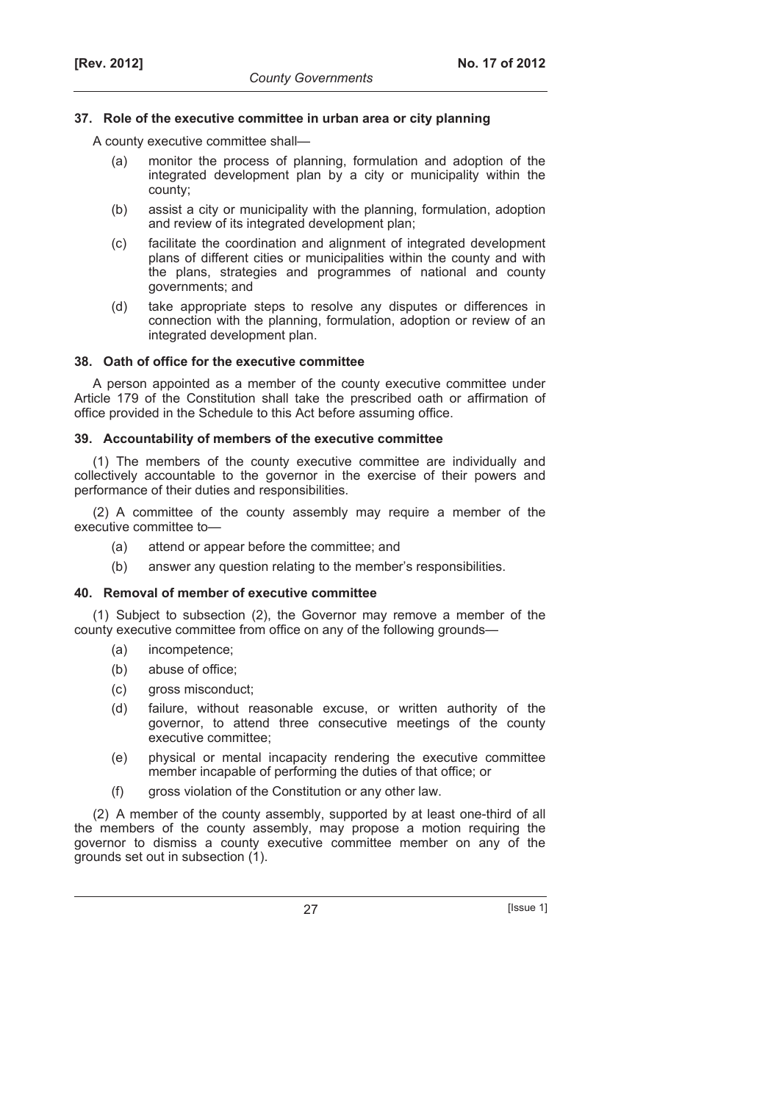## **37. Role of the executive committee in urban area or city planning**

A county executive committee shall—

- (a) monitor the process of planning, formulation and adoption of the integrated development plan by a city or municipality within the county;
- (b) assist a city or municipality with the planning, formulation, adoption and review of its integrated development plan;
- (c) facilitate the coordination and alignment of integrated development plans of different cities or municipalities within the county and with the plans, strategies and programmes of national and county governments; and
- (d) take appropriate steps to resolve any disputes or differences in connection with the planning, formulation, adoption or review of an integrated development plan.

### **38. Oath of office for the executive committee**

A person appointed as a member of the county executive committee under Article 179 of the Constitution shall take the prescribed oath or affirmation of office provided in the Schedule to this Act before assuming office.

### **39. Accountability of members of the executive committee**

(1) The members of the county executive committee are individually and collectively accountable to the governor in the exercise of their powers and performance of their duties and responsibilities.

(2) A committee of the county assembly may require a member of the executive committee to—

- (a) attend or appear before the committee; and
- (b) answer any question relating to the member's responsibilities.

## **40. Removal of member of executive committee**

(1) Subject to subsection (2), the Governor may remove a member of the county executive committee from office on any of the following grounds—

- (a) incompetence;
- (b) abuse of office;
- (c) gross misconduct;
- (d) failure, without reasonable excuse, or written authority of the governor, to attend three consecutive meetings of the county executive committee;
- (e) physical or mental incapacity rendering the executive committee member incapable of performing the duties of that office; or
- (f) gross violation of the Constitution or any other law.

(2) A member of the county assembly, supported by at least one-third of all the members of the county assembly, may propose a motion requiring the governor to dismiss a county executive committee member on any of the grounds set out in subsection (1).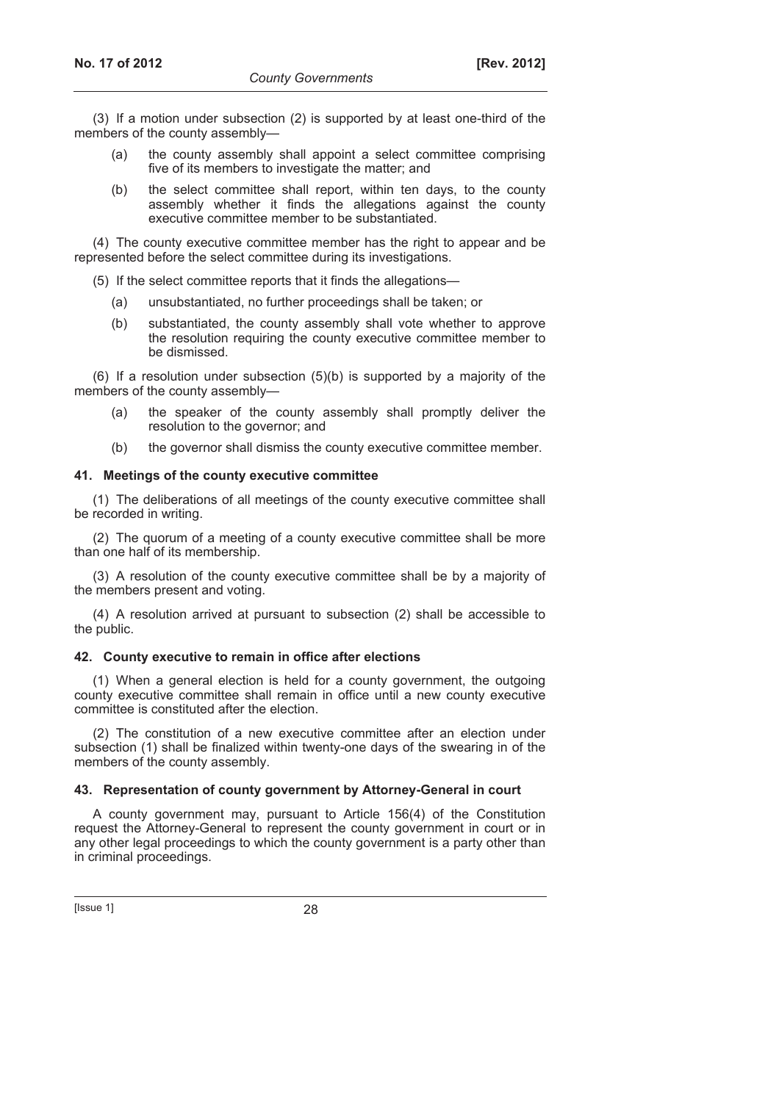(3) If a motion under subsection (2) is supported by at least one-third of the members of the county assembly—

- (a) the county assembly shall appoint a select committee comprising five of its members to investigate the matter; and
- (b) the select committee shall report, within ten days, to the county assembly whether it finds the allegations against the county executive committee member to be substantiated.

(4) The county executive committee member has the right to appear and be represented before the select committee during its investigations.

(5) If the select committee reports that it finds the allegations—

- (a) unsubstantiated, no further proceedings shall be taken; or
- (b) substantiated, the county assembly shall vote whether to approve the resolution requiring the county executive committee member to be dismissed.

(6) If a resolution under subsection (5)(b) is supported by a majority of the members of the county assembly—

- (a) the speaker of the county assembly shall promptly deliver the resolution to the governor; and
- (b) the governor shall dismiss the county executive committee member.

### **41. Meetings of the county executive committee**

(1) The deliberations of all meetings of the county executive committee shall be recorded in writing.

(2) The quorum of a meeting of a county executive committee shall be more than one half of its membership.

(3) A resolution of the county executive committee shall be by a majority of the members present and voting.

(4) A resolution arrived at pursuant to subsection (2) shall be accessible to the public.

## **42. County executive to remain in office after elections**

(1) When a general election is held for a county government, the outgoing county executive committee shall remain in office until a new county executive committee is constituted after the election.

(2) The constitution of a new executive committee after an election under subsection (1) shall be finalized within twenty-one days of the swearing in of the members of the county assembly.

## **43. Representation of county government by Attorney-General in court**

A county government may, pursuant to Article 156(4) of the Constitution request the Attorney-General to represent the county government in court or in any other legal proceedings to which the county government is a party other than in criminal proceedings.

[Issue 1] 28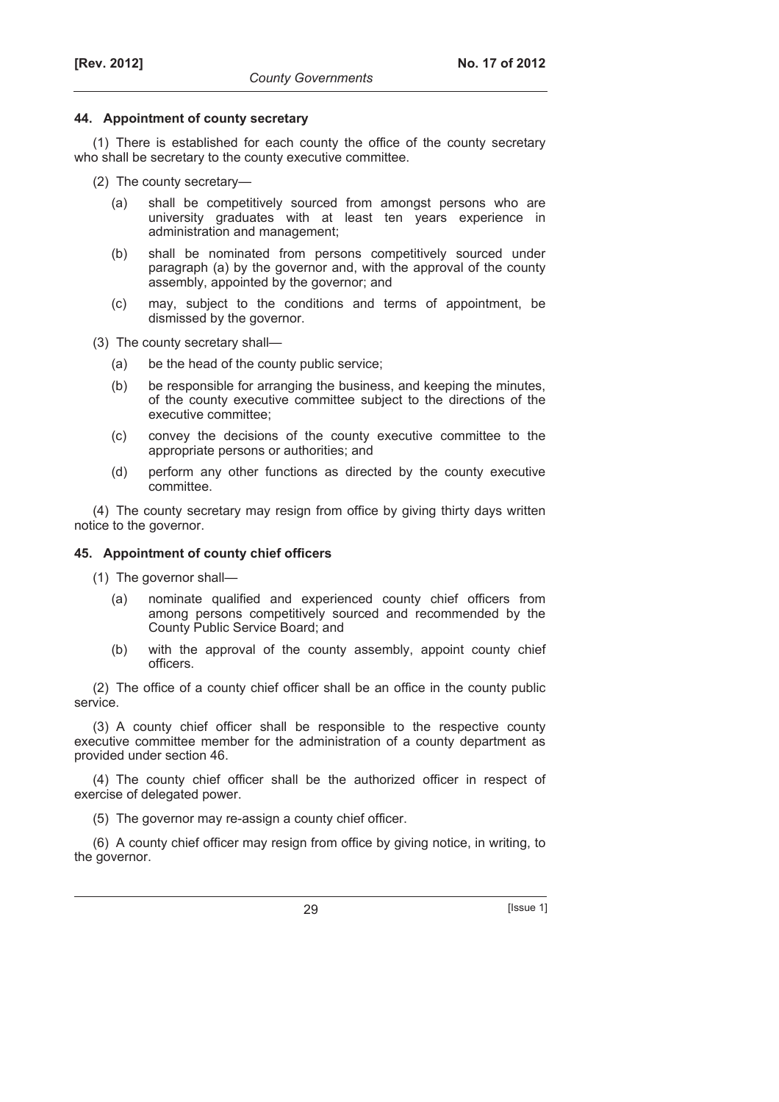### **44. Appointment of county secretary**

(1) There is established for each county the office of the county secretary who shall be secretary to the county executive committee.

- (2) The county secretary—
	- (a) shall be competitively sourced from amongst persons who are university graduates with at least ten years experience in administration and management;
	- (b) shall be nominated from persons competitively sourced under paragraph (a) by the governor and, with the approval of the county assembly, appointed by the governor; and
	- (c) may, subject to the conditions and terms of appointment, be dismissed by the governor.
- (3) The county secretary shall—
	- (a) be the head of the county public service;
	- (b) be responsible for arranging the business, and keeping the minutes, of the county executive committee subject to the directions of the executive committee;
	- (c) convey the decisions of the county executive committee to the appropriate persons or authorities; and
	- (d) perform any other functions as directed by the county executive committee.

(4) The county secretary may resign from office by giving thirty days written notice to the governor.

## **45. Appointment of county chief officers**

(1) The governor shall—

- (a) nominate qualified and experienced county chief officers from among persons competitively sourced and recommended by the County Public Service Board; and
- (b) with the approval of the county assembly, appoint county chief officers.

(2) The office of a county chief officer shall be an office in the county public service.

(3) A county chief officer shall be responsible to the respective county executive committee member for the administration of a county department as provided under section 46.

(4) The county chief officer shall be the authorized officer in respect of exercise of delegated power.

(5) The governor may re-assign a county chief officer.

(6) A county chief officer may resign from office by giving notice, in writing, to the governor.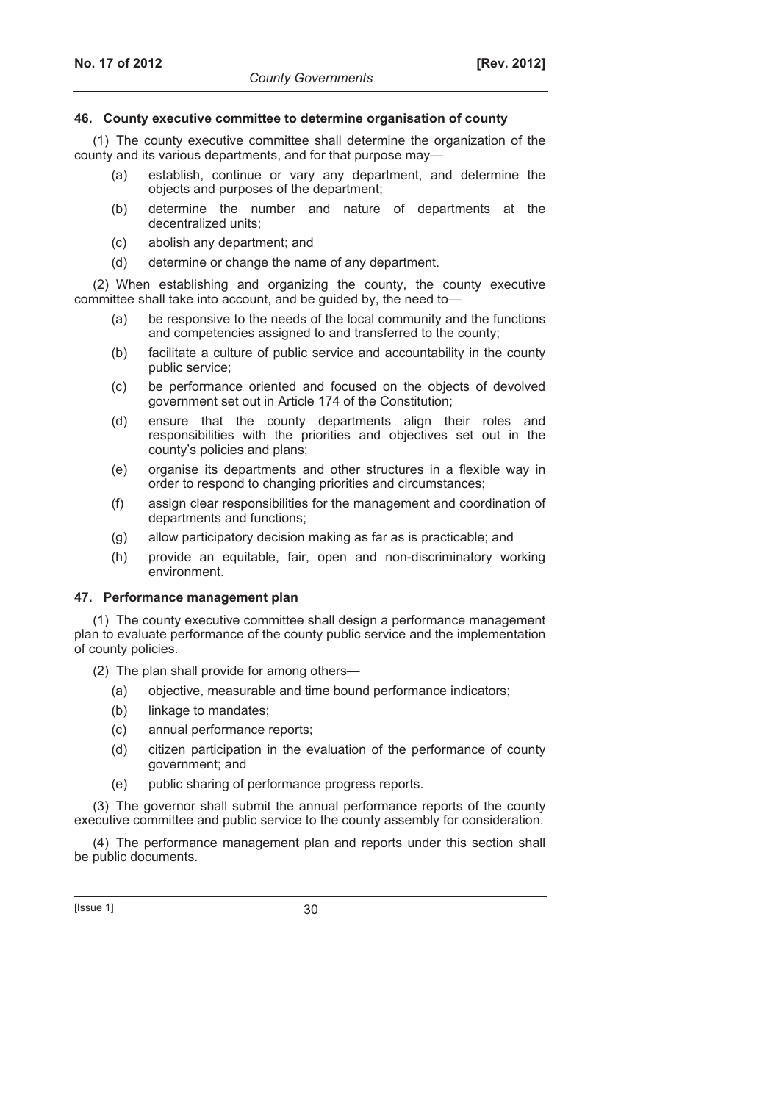## **46. County executive committee to determine organisation of county**

(1) The county executive committee shall determine the organization of the county and its various departments, and for that purpose may—

- (a) establish, continue or vary any department, and determine the objects and purposes of the department;
- (b) determine the number and nature of departments at the decentralized units;
- (c) abolish any department; and
- (d) determine or change the name of any department.

(2) When establishing and organizing the county, the county executive committee shall take into account, and be guided by, the need to—

- (a) be responsive to the needs of the local community and the functions and competencies assigned to and transferred to the county;
- (b) facilitate a culture of public service and accountability in the county public service;
- (c) be performance oriented and focused on the objects of devolved government set out in Article 174 of the Constitution;
- (d) ensure that the county departments align their roles and responsibilities with the priorities and objectives set out in the county's policies and plans;
- (e) organise its departments and other structures in a flexible way in order to respond to changing priorities and circumstances;
- (f) assign clear responsibilities for the management and coordination of departments and functions;
- (g) allow participatory decision making as far as is practicable; and
- (h) provide an equitable, fair, open and non-discriminatory working environment.

#### **47. Performance management plan**

(1) The county executive committee shall design a performance management plan to evaluate performance of the county public service and the implementation of county policies.

- (2) The plan shall provide for among others—
	- (a) objective, measurable and time bound performance indicators;
	- (b) linkage to mandates;
	- (c) annual performance reports;
	- (d) citizen participation in the evaluation of the performance of county government; and
	- (e) public sharing of performance progress reports.

(3) The governor shall submit the annual performance reports of the county executive committee and public service to the county assembly for consideration.

(4) The performance management plan and reports under this section shall be public documents.

 $[|$ ssue 1 $]$  30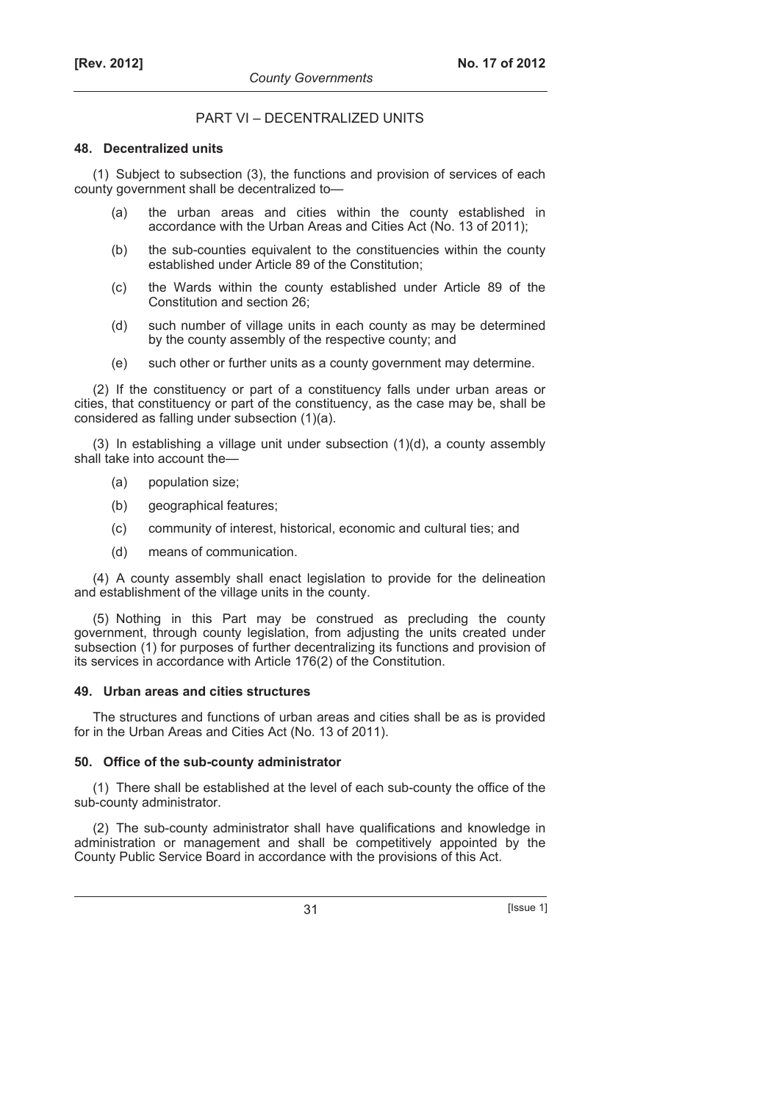## PART VI – DECENTRALIZED UNITS

## **48. Decentralized units**

(1) Subject to subsection (3), the functions and provision of services of each county government shall be decentralized to—

- (a) the urban areas and cities within the county established in accordance with the Urban Areas and Cities Act (No. 13 of 2011);
- (b) the sub-counties equivalent to the constituencies within the county established under Article 89 of the Constitution;
- (c) the Wards within the county established under Article 89 of the Constitution and section 26;
- (d) such number of village units in each county as may be determined by the county assembly of the respective county; and
- (e) such other or further units as a county government may determine.

(2) If the constituency or part of a constituency falls under urban areas or cities, that constituency or part of the constituency, as the case may be, shall be considered as falling under subsection (1)(a).

(3) In establishing a village unit under subsection (1)(d), a county assembly shall take into account the—

- (a) population size;
- (b) geographical features;
- (c) community of interest, historical, economic and cultural ties; and
- (d) means of communication.

(4) A county assembly shall enact legislation to provide for the delineation and establishment of the village units in the county.

(5) Nothing in this Part may be construed as precluding the county government, through county legislation, from adjusting the units created under subsection (1) for purposes of further decentralizing its functions and provision of its services in accordance with Article 176(2) of the Constitution.

## **49. Urban areas and cities structures**

The structures and functions of urban areas and cities shall be as is provided for in the Urban Areas and Cities Act (No. 13 of 2011).

## **50. Office of the sub-county administrator**

(1) There shall be established at the level of each sub-county the office of the sub-county administrator.

(2) The sub-county administrator shall have qualifications and knowledge in administration or management and shall be competitively appointed by the County Public Service Board in accordance with the provisions of this Act.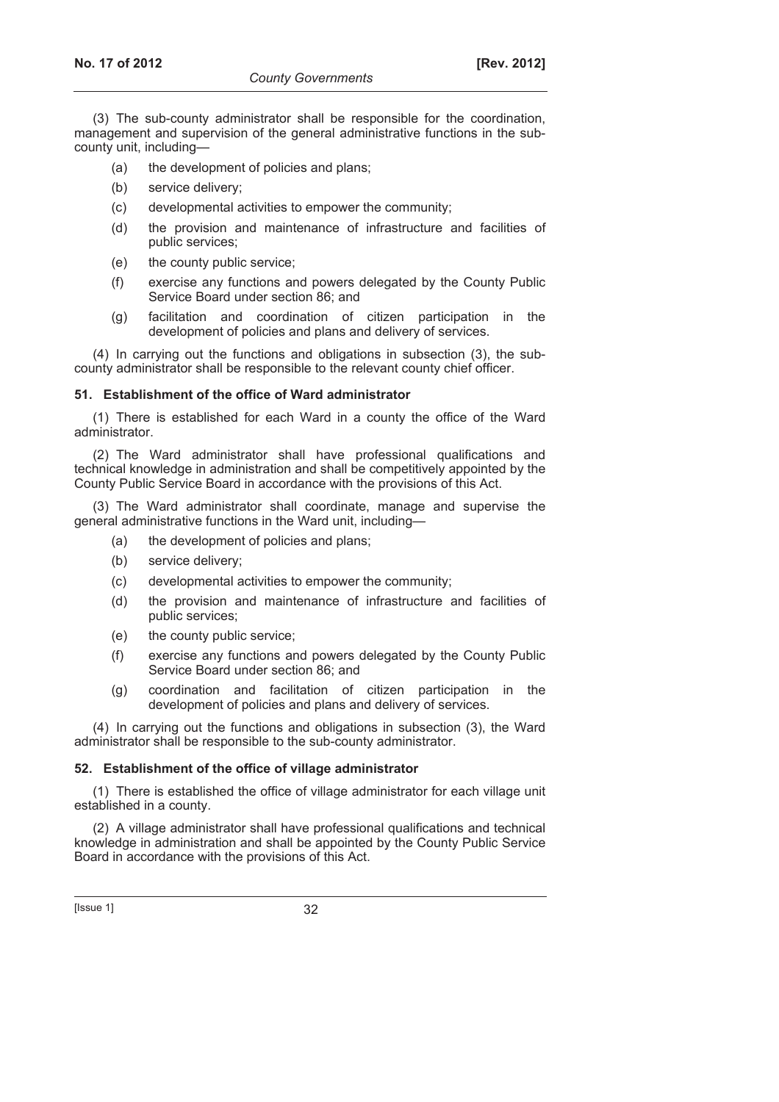(3) The sub-county administrator shall be responsible for the coordination, management and supervision of the general administrative functions in the subcounty unit, including—

- (a) the development of policies and plans;
- (b) service delivery;
- (c) developmental activities to empower the community;
- (d) the provision and maintenance of infrastructure and facilities of public services;
- (e) the county public service;
- (f) exercise any functions and powers delegated by the County Public Service Board under section 86; and
- (g) facilitation and coordination of citizen participation in the development of policies and plans and delivery of services.

(4) In carrying out the functions and obligations in subsection (3), the subcounty administrator shall be responsible to the relevant county chief officer.

## **51. Establishment of the office of Ward administrator**

(1) There is established for each Ward in a county the office of the Ward administrator.

(2) The Ward administrator shall have professional qualifications and technical knowledge in administration and shall be competitively appointed by the County Public Service Board in accordance with the provisions of this Act.

(3) The Ward administrator shall coordinate, manage and supervise the general administrative functions in the Ward unit, including—

- (a) the development of policies and plans;
- (b) service delivery;
- (c) developmental activities to empower the community;
- (d) the provision and maintenance of infrastructure and facilities of public services;
- (e) the county public service;
- (f) exercise any functions and powers delegated by the County Public Service Board under section 86; and
- (g) coordination and facilitation of citizen participation in the development of policies and plans and delivery of services.

(4) In carrying out the functions and obligations in subsection (3), the Ward administrator shall be responsible to the sub-county administrator.

## **52. Establishment of the office of village administrator**

(1) There is established the office of village administrator for each village unit established in a county.

(2) A village administrator shall have professional qualifications and technical knowledge in administration and shall be appointed by the County Public Service Board in accordance with the provisions of this Act.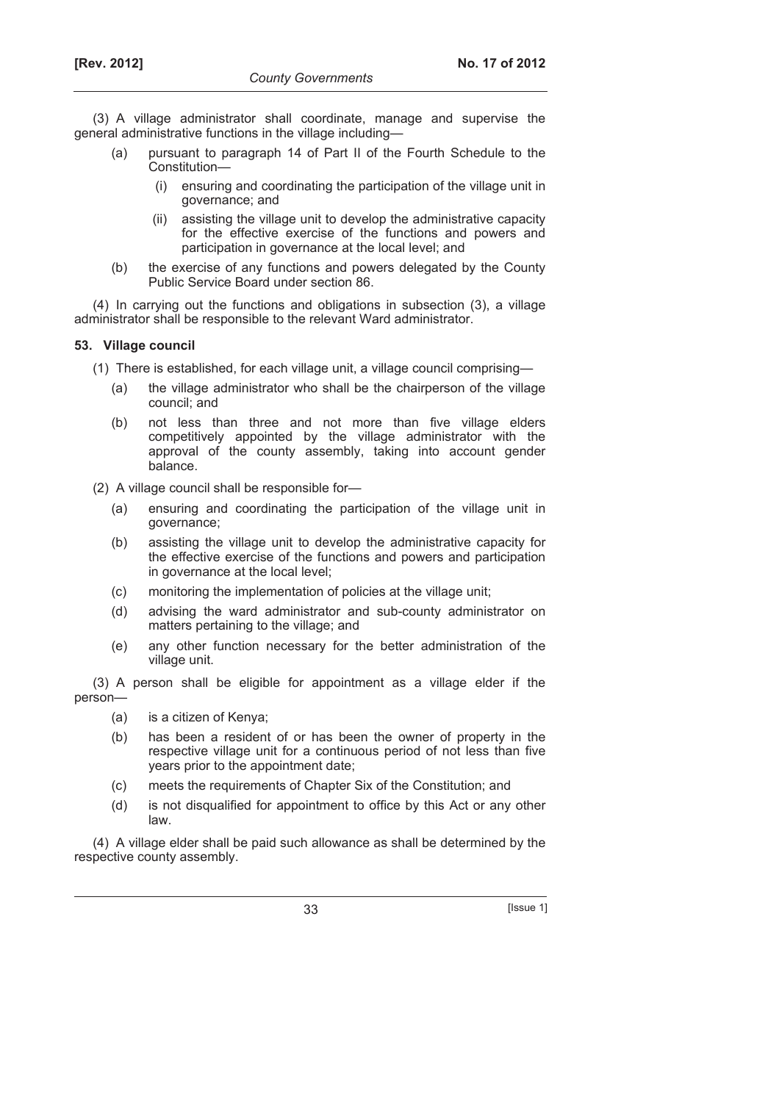(3) A village administrator shall coordinate, manage and supervise the general administrative functions in the village including—

- (a) pursuant to paragraph 14 of Part II of the Fourth Schedule to the Constitution—
	- (i) ensuring and coordinating the participation of the village unit in governance; and
	- (ii) assisting the village unit to develop the administrative capacity for the effective exercise of the functions and powers and participation in governance at the local level; and
- (b) the exercise of any functions and powers delegated by the County Public Service Board under section 86.

(4) In carrying out the functions and obligations in subsection (3), a village administrator shall be responsible to the relevant Ward administrator.

## **53. Village council**

(1) There is established, for each village unit, a village council comprising—

- (a) the village administrator who shall be the chairperson of the village council; and
- (b) not less than three and not more than five village elders competitively appointed by the village administrator with the approval of the county assembly, taking into account gender balance.

(2) A village council shall be responsible for—

- (a) ensuring and coordinating the participation of the village unit in governance;
- (b) assisting the village unit to develop the administrative capacity for the effective exercise of the functions and powers and participation in governance at the local level;
- (c) monitoring the implementation of policies at the village unit;
- (d) advising the ward administrator and sub-county administrator on matters pertaining to the village; and
- (e) any other function necessary for the better administration of the village unit.

(3) A person shall be eligible for appointment as a village elder if the person—

- (a) is a citizen of Kenya;
- (b) has been a resident of or has been the owner of property in the respective village unit for a continuous period of not less than five years prior to the appointment date;
- (c) meets the requirements of Chapter Six of the Constitution; and
- (d) is not disqualified for appointment to office by this Act or any other law.

(4) A village elder shall be paid such allowance as shall be determined by the respective county assembly.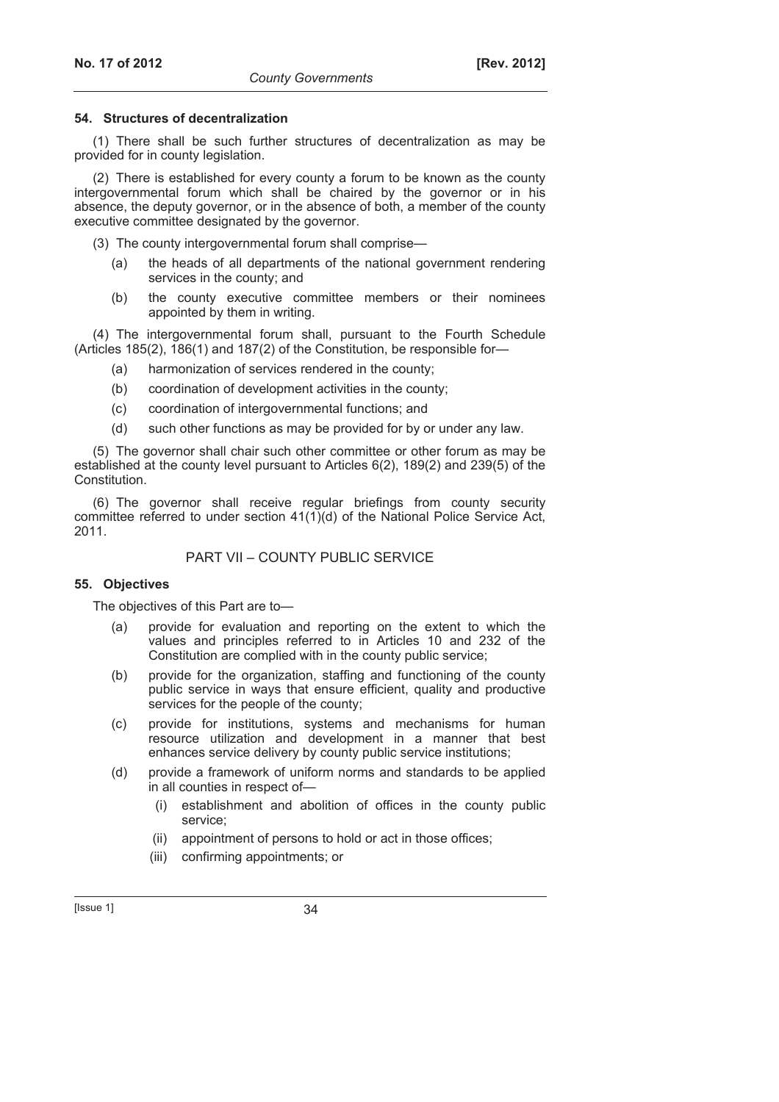## **54. Structures of decentralization**

(1) There shall be such further structures of decentralization as may be provided for in county legislation.

(2) There is established for every county a forum to be known as the county intergovernmental forum which shall be chaired by the governor or in his absence, the deputy governor, or in the absence of both, a member of the county executive committee designated by the governor.

- (3) The county intergovernmental forum shall comprise—
	- (a) the heads of all departments of the national government rendering services in the county; and
	- (b) the county executive committee members or their nominees appointed by them in writing.

(4) The intergovernmental forum shall, pursuant to the Fourth Schedule (Articles 185(2), 186(1) and 187(2) of the Constitution, be responsible for—

- (a) harmonization of services rendered in the county;
- (b) coordination of development activities in the county;
- (c) coordination of intergovernmental functions; and
- (d) such other functions as may be provided for by or under any law.

(5) The governor shall chair such other committee or other forum as may be established at the county level pursuant to Articles 6(2), 189(2) and 239(5) of the Constitution.

(6) The governor shall receive regular briefings from county security committee referred to under section 41(1)(d) of the National Police Service Act, 2011.

## PART VII – COUNTY PUBLIC SERVICE

## **55. Objectives**

The objectives of this Part are to—

- (a) provide for evaluation and reporting on the extent to which the values and principles referred to in Articles 10 and 232 of the Constitution are complied with in the county public service;
- (b) provide for the organization, staffing and functioning of the county public service in ways that ensure efficient, quality and productive services for the people of the county;
- (c) provide for institutions, systems and mechanisms for human resource utilization and development in a manner that best enhances service delivery by county public service institutions;
- (d) provide a framework of uniform norms and standards to be applied in all counties in respect of—
	- (i) establishment and abolition of offices in the county public service;
	- (ii) appointment of persons to hold or act in those offices;
	- (iii) confirming appointments; or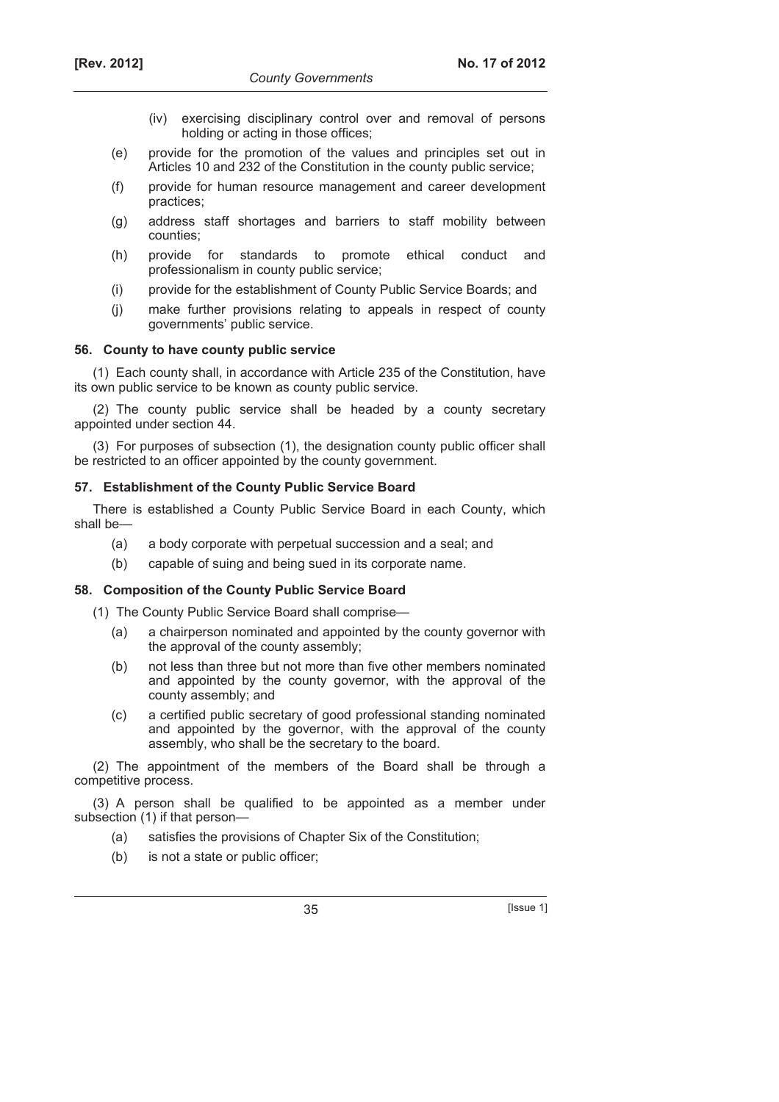- (iv) exercising disciplinary control over and removal of persons holding or acting in those offices;
- (e) provide for the promotion of the values and principles set out in Articles 10 and 232 of the Constitution in the county public service;
- (f) provide for human resource management and career development practices;
- (g) address staff shortages and barriers to staff mobility between counties;
- (h) provide for standards to promote ethical conduct and professionalism in county public service;
- (i) provide for the establishment of County Public Service Boards; and
- (j) make further provisions relating to appeals in respect of county governments' public service.

## **56. County to have county public service**

(1) Each county shall, in accordance with Article 235 of the Constitution, have its own public service to be known as county public service.

(2) The county public service shall be headed by a county secretary appointed under section 44.

(3) For purposes of subsection (1), the designation county public officer shall be restricted to an officer appointed by the county government.

## **57. Establishment of the County Public Service Board**

There is established a County Public Service Board in each County, which shall be—

- (a) a body corporate with perpetual succession and a seal; and
- (b) capable of suing and being sued in its corporate name.

## **58. Composition of the County Public Service Board**

(1) The County Public Service Board shall comprise—

- (a) a chairperson nominated and appointed by the county governor with the approval of the county assembly;
- (b) not less than three but not more than five other members nominated and appointed by the county governor, with the approval of the county assembly; and
- (c) a certified public secretary of good professional standing nominated and appointed by the governor, with the approval of the county assembly, who shall be the secretary to the board.

(2) The appointment of the members of the Board shall be through a competitive process.

(3) A person shall be qualified to be appointed as a member under subsection (1) if that person—

- (a) satisfies the provisions of Chapter Six of the Constitution;
- (b) is not a state or public officer;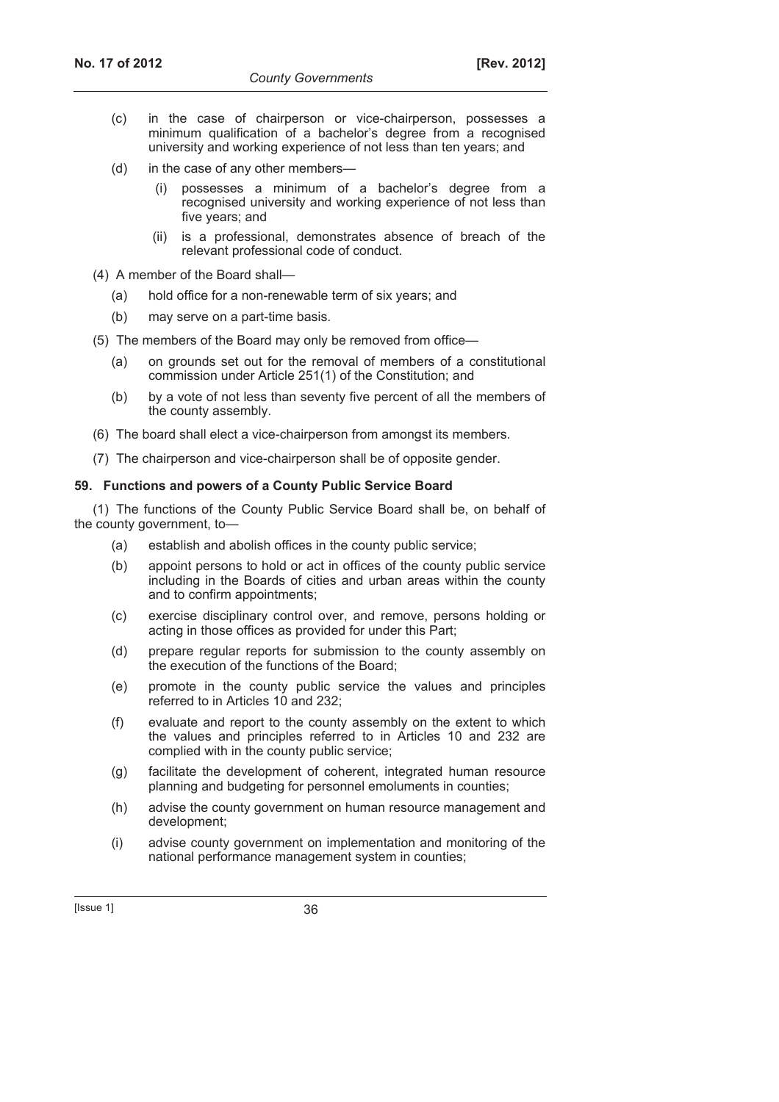- (c) in the case of chairperson or vice-chairperson, possesses a minimum qualification of a bachelor's degree from a recognised university and working experience of not less than ten years; and
- (d) in the case of any other members—
	- (i) possesses a minimum of a bachelor's degree from a recognised university and working experience of not less than five years; and
	- (ii) is a professional, demonstrates absence of breach of the relevant professional code of conduct.
- (4) A member of the Board shall—
	- (a) hold office for a non-renewable term of six years; and
	- (b) may serve on a part-time basis.
- (5) The members of the Board may only be removed from office—
	- (a) on grounds set out for the removal of members of a constitutional commission under Article 251(1) of the Constitution; and
	- (b) by a vote of not less than seventy five percent of all the members of the county assembly.
- (6) The board shall elect a vice-chairperson from amongst its members.
- (7) The chairperson and vice-chairperson shall be of opposite gender.

## **59. Functions and powers of a County Public Service Board**

(1) The functions of the County Public Service Board shall be, on behalf of the county government, to—

- (a) establish and abolish offices in the county public service;
- (b) appoint persons to hold or act in offices of the county public service including in the Boards of cities and urban areas within the county and to confirm appointments;
- (c) exercise disciplinary control over, and remove, persons holding or acting in those offices as provided for under this Part;
- (d) prepare regular reports for submission to the county assembly on the execution of the functions of the Board;
- (e) promote in the county public service the values and principles referred to in Articles 10 and 232;
- (f) evaluate and report to the county assembly on the extent to which the values and principles referred to in Articles 10 and 232 are complied with in the county public service;
- (g) facilitate the development of coherent, integrated human resource planning and budgeting for personnel emoluments in counties;
- (h) advise the county government on human resource management and development;
- (i) advise county government on implementation and monitoring of the national performance management system in counties;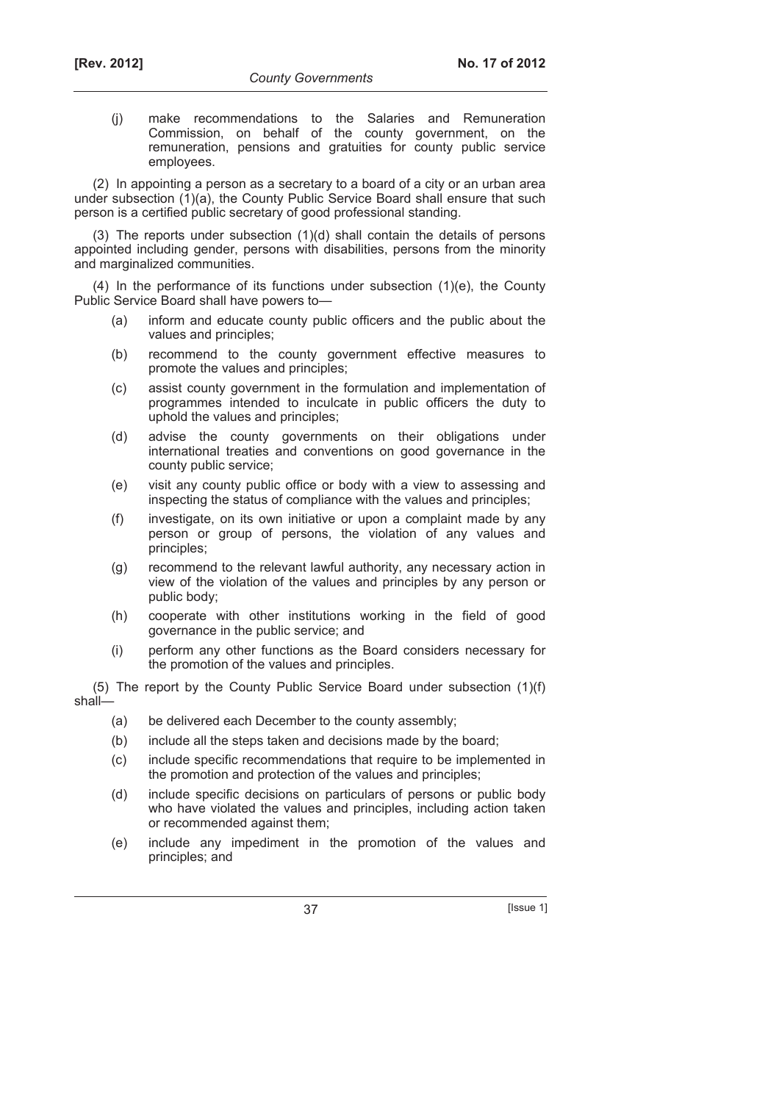(j) make recommendations to the Salaries and Remuneration Commission, on behalf of the county government, on the remuneration, pensions and gratuities for county public service employees.

(2) In appointing a person as a secretary to a board of a city or an urban area under subsection (1)(a), the County Public Service Board shall ensure that such person is a certified public secretary of good professional standing.

(3) The reports under subsection (1)(d) shall contain the details of persons appointed including gender, persons with disabilities, persons from the minority and marginalized communities.

 $(4)$  In the performance of its functions under subsection  $(1)(e)$ , the County Public Service Board shall have powers to—

- (a) inform and educate county public officers and the public about the values and principles;
- (b) recommend to the county government effective measures to promote the values and principles;
- (c) assist county government in the formulation and implementation of programmes intended to inculcate in public officers the duty to uphold the values and principles;
- (d) advise the county governments on their obligations under international treaties and conventions on good governance in the county public service;
- (e) visit any county public office or body with a view to assessing and inspecting the status of compliance with the values and principles;
- (f) investigate, on its own initiative or upon a complaint made by any person or group of persons, the violation of any values and principles;
- (g) recommend to the relevant lawful authority, any necessary action in view of the violation of the values and principles by any person or public body;
- (h) cooperate with other institutions working in the field of good governance in the public service; and
- (i) perform any other functions as the Board considers necessary for the promotion of the values and principles.

(5) The report by the County Public Service Board under subsection (1)(f) shall—

- (a) be delivered each December to the county assembly;
- (b) include all the steps taken and decisions made by the board;
- (c) include specific recommendations that require to be implemented in the promotion and protection of the values and principles;
- (d) include specific decisions on particulars of persons or public body who have violated the values and principles, including action taken or recommended against them;
- (e) include any impediment in the promotion of the values and principles; and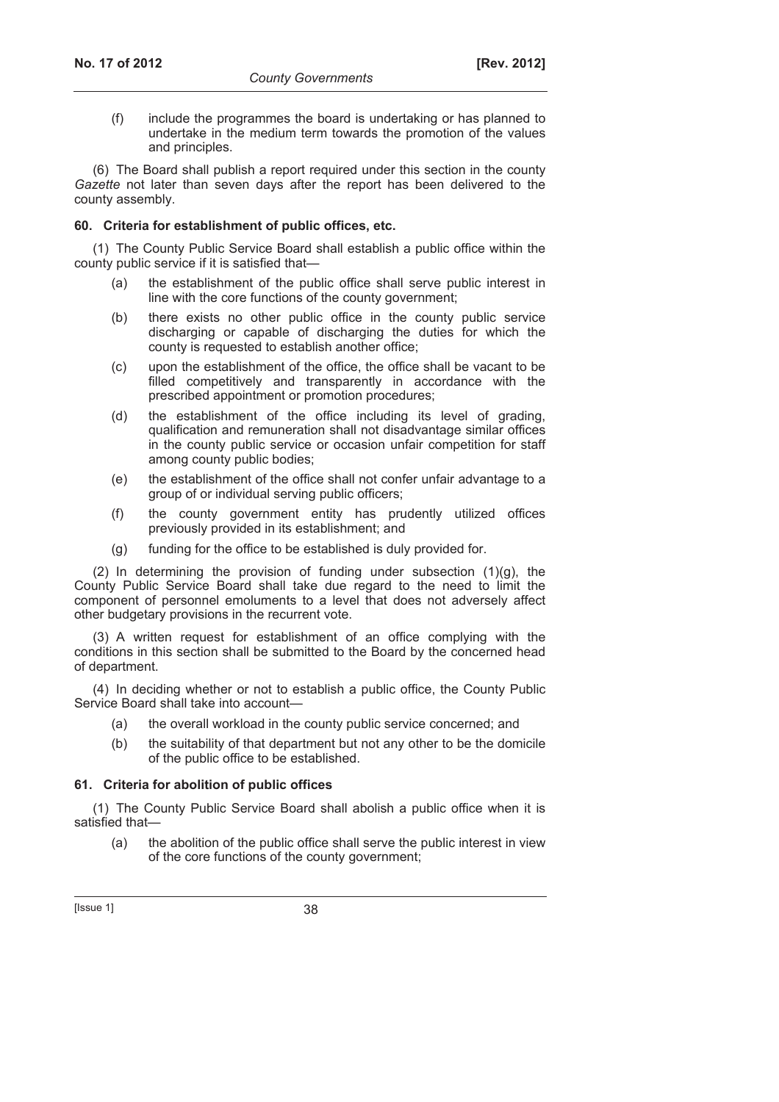(f) include the programmes the board is undertaking or has planned to undertake in the medium term towards the promotion of the values and principles.

(6) The Board shall publish a report required under this section in the county *Gazette* not later than seven days after the report has been delivered to the county assembly.

### **60. Criteria for establishment of public offices, etc.**

(1) The County Public Service Board shall establish a public office within the county public service if it is satisfied that—

- (a) the establishment of the public office shall serve public interest in line with the core functions of the county government;
- (b) there exists no other public office in the county public service discharging or capable of discharging the duties for which the county is requested to establish another office;
- (c) upon the establishment of the office, the office shall be vacant to be filled competitively and transparently in accordance with the prescribed appointment or promotion procedures;
- (d) the establishment of the office including its level of grading, qualification and remuneration shall not disadvantage similar offices in the county public service or occasion unfair competition for staff among county public bodies;
- (e) the establishment of the office shall not confer unfair advantage to a group of or individual serving public officers;
- (f) the county government entity has prudently utilized offices previously provided in its establishment; and
- (g) funding for the office to be established is duly provided for.

(2) In determining the provision of funding under subsection  $(1)(g)$ , the County Public Service Board shall take due regard to the need to limit the component of personnel emoluments to a level that does not adversely affect other budgetary provisions in the recurrent vote.

(3) A written request for establishment of an office complying with the conditions in this section shall be submitted to the Board by the concerned head of department.

(4) In deciding whether or not to establish a public office, the County Public Service Board shall take into account—

- (a) the overall workload in the county public service concerned; and
- (b) the suitability of that department but not any other to be the domicile of the public office to be established.

## **61. Criteria for abolition of public offices**

(1) The County Public Service Board shall abolish a public office when it is satisfied that—

 (a) the abolition of the public office shall serve the public interest in view of the core functions of the county government;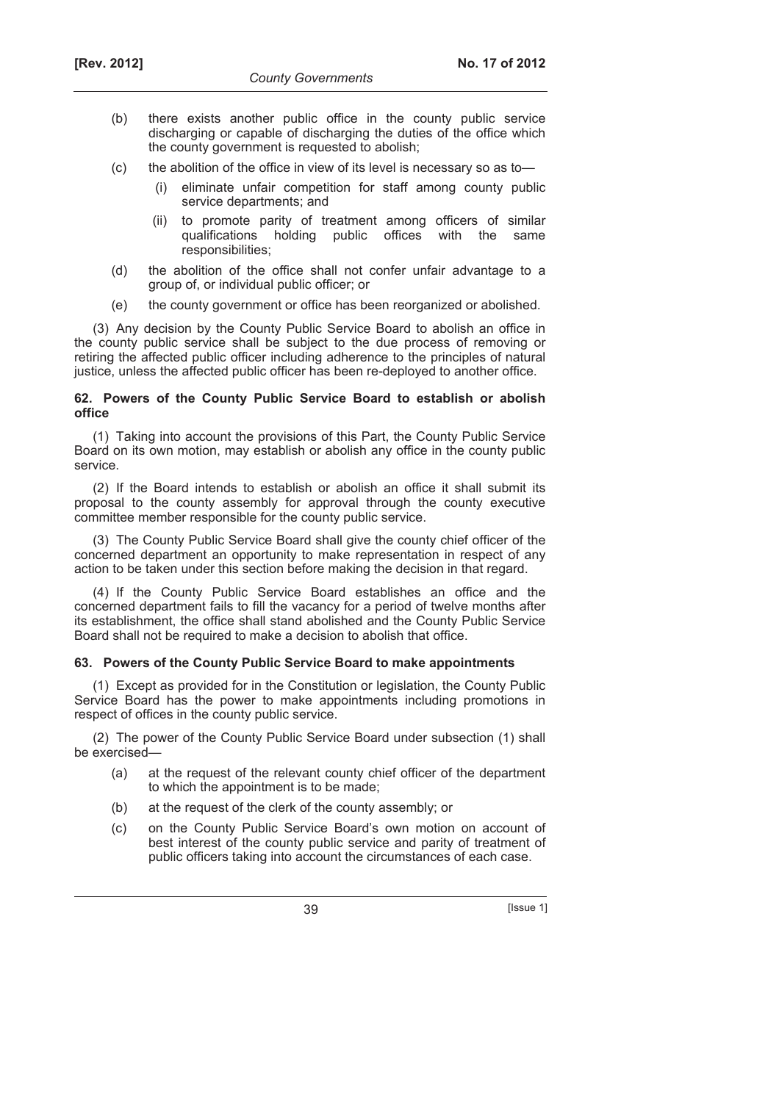- (b) there exists another public office in the county public service discharging or capable of discharging the duties of the office which the county government is requested to abolish;
- (c) the abolition of the office in view of its level is necessary so as to—
	- (i) eliminate unfair competition for staff among county public service departments; and
	- (ii) to promote parity of treatment among officers of similar qualifications holding public offices with the same responsibilities;
- (d) the abolition of the office shall not confer unfair advantage to a group of, or individual public officer; or
- (e) the county government or office has been reorganized or abolished.

(3) Any decision by the County Public Service Board to abolish an office in the county public service shall be subject to the due process of removing or retiring the affected public officer including adherence to the principles of natural justice, unless the affected public officer has been re-deployed to another office.

### **62. Powers of the County Public Service Board to establish or abolish office**

(1) Taking into account the provisions of this Part, the County Public Service Board on its own motion, may establish or abolish any office in the county public service.

(2) If the Board intends to establish or abolish an office it shall submit its proposal to the county assembly for approval through the county executive committee member responsible for the county public service.

(3) The County Public Service Board shall give the county chief officer of the concerned department an opportunity to make representation in respect of any action to be taken under this section before making the decision in that regard.

(4) If the County Public Service Board establishes an office and the concerned department fails to fill the vacancy for a period of twelve months after its establishment, the office shall stand abolished and the County Public Service Board shall not be required to make a decision to abolish that office.

## **63. Powers of the County Public Service Board to make appointments**

(1) Except as provided for in the Constitution or legislation, the County Public Service Board has the power to make appointments including promotions in respect of offices in the county public service.

(2) The power of the County Public Service Board under subsection (1) shall be exercised—

- (a) at the request of the relevant county chief officer of the department to which the appointment is to be made;
- (b) at the request of the clerk of the county assembly; or
- (c) on the County Public Service Board's own motion on account of best interest of the county public service and parity of treatment of public officers taking into account the circumstances of each case.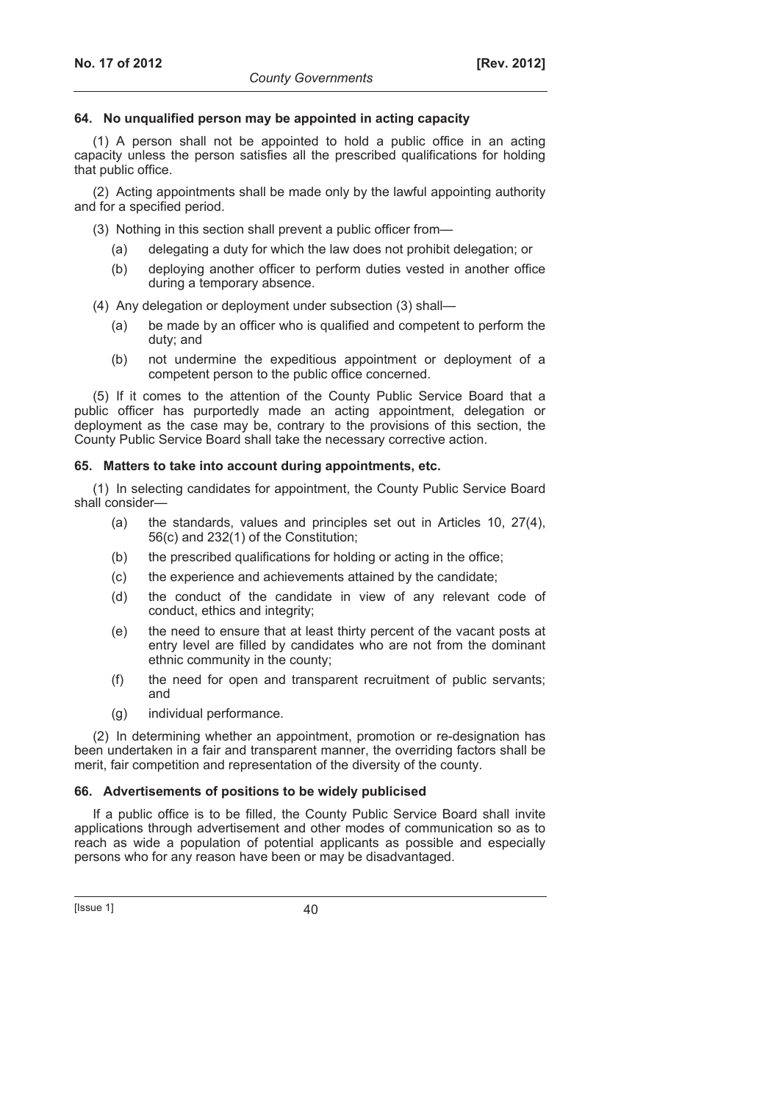### **64. No unqualified person may be appointed in acting capacity**

(1) A person shall not be appointed to hold a public office in an acting capacity unless the person satisfies all the prescribed qualifications for holding that public office.

(2) Acting appointments shall be made only by the lawful appointing authority and for a specified period.

(3) Nothing in this section shall prevent a public officer from—

- (a) delegating a duty for which the law does not prohibit delegation; or
- (b) deploying another officer to perform duties vested in another office during a temporary absence.
- (4) Any delegation or deployment under subsection (3) shall—
	- (a) be made by an officer who is qualified and competent to perform the duty; and
	- (b) not undermine the expeditious appointment or deployment of a competent person to the public office concerned.

(5) If it comes to the attention of the County Public Service Board that a public officer has purportedly made an acting appointment, delegation or deployment as the case may be, contrary to the provisions of this section, the County Public Service Board shall take the necessary corrective action.

## **65. Matters to take into account during appointments, etc.**

(1) In selecting candidates for appointment, the County Public Service Board shall consider—

- (a) the standards, values and principles set out in Articles 10, 27(4), 56(c) and 232(1) of the Constitution;
- (b) the prescribed qualifications for holding or acting in the office;
- (c) the experience and achievements attained by the candidate;
- (d) the conduct of the candidate in view of any relevant code of conduct, ethics and integrity;
- (e) the need to ensure that at least thirty percent of the vacant posts at entry level are filled by candidates who are not from the dominant ethnic community in the county;
- (f) the need for open and transparent recruitment of public servants; and
- (g) individual performance.

(2) In determining whether an appointment, promotion or re-designation has been undertaken in a fair and transparent manner, the overriding factors shall be merit, fair competition and representation of the diversity of the county.

## **66. Advertisements of positions to be widely publicised**

If a public office is to be filled, the County Public Service Board shall invite applications through advertisement and other modes of communication so as to reach as wide a population of potential applicants as possible and especially persons who for any reason have been or may be disadvantaged.

 $[|$ ssue 1 $]$  40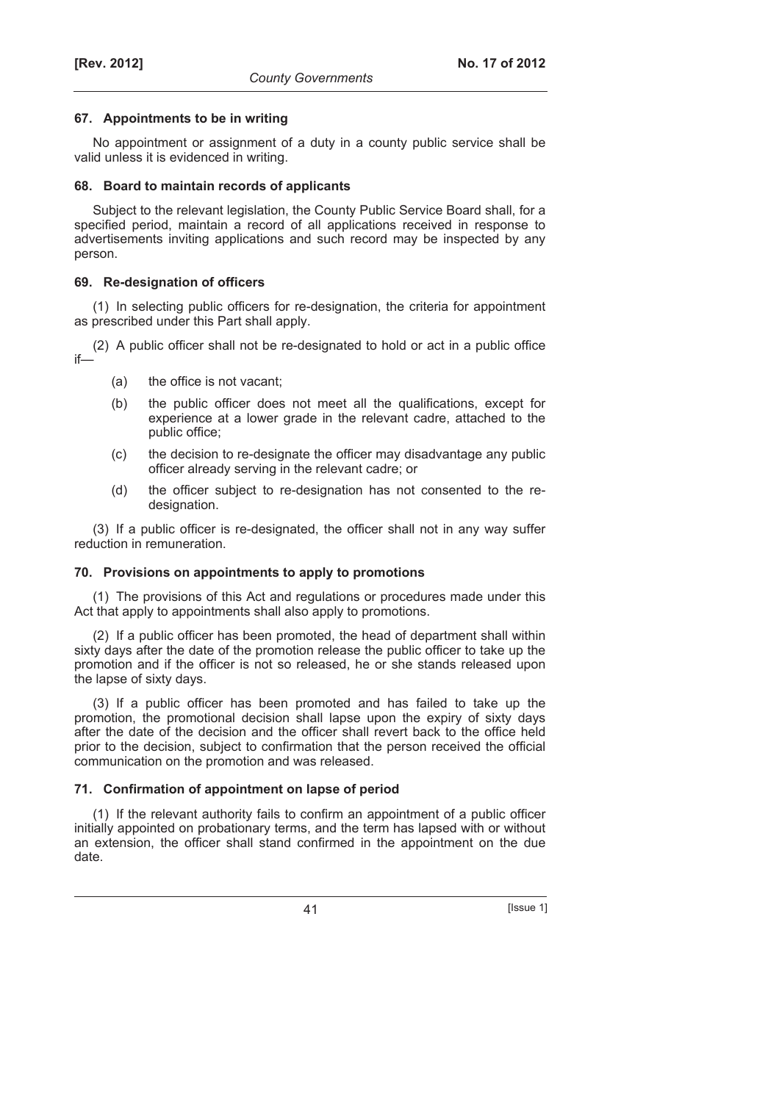### **67. Appointments to be in writing**

No appointment or assignment of a duty in a county public service shall be valid unless it is evidenced in writing.

#### **68. Board to maintain records of applicants**

Subject to the relevant legislation, the County Public Service Board shall, for a specified period, maintain a record of all applications received in response to advertisements inviting applications and such record may be inspected by any person.

## **69. Re-designation of officers**

(1) In selecting public officers for re-designation, the criteria for appointment as prescribed under this Part shall apply.

(2) A public officer shall not be re-designated to hold or act in a public office if—

- (a) the office is not vacant;
- (b) the public officer does not meet all the qualifications, except for experience at a lower grade in the relevant cadre, attached to the public office;
- (c) the decision to re-designate the officer may disadvantage any public officer already serving in the relevant cadre; or
- (d) the officer subject to re-designation has not consented to the redesignation.

(3) If a public officer is re-designated, the officer shall not in any way suffer reduction in remuneration.

## **70. Provisions on appointments to apply to promotions**

(1) The provisions of this Act and regulations or procedures made under this Act that apply to appointments shall also apply to promotions.

(2) If a public officer has been promoted, the head of department shall within sixty days after the date of the promotion release the public officer to take up the promotion and if the officer is not so released, he or she stands released upon the lapse of sixty days.

(3) If a public officer has been promoted and has failed to take up the promotion, the promotional decision shall lapse upon the expiry of sixty days after the date of the decision and the officer shall revert back to the office held prior to the decision, subject to confirmation that the person received the official communication on the promotion and was released.

## **71. Confirmation of appointment on lapse of period**

(1) If the relevant authority fails to confirm an appointment of a public officer initially appointed on probationary terms, and the term has lapsed with or without an extension, the officer shall stand confirmed in the appointment on the due date.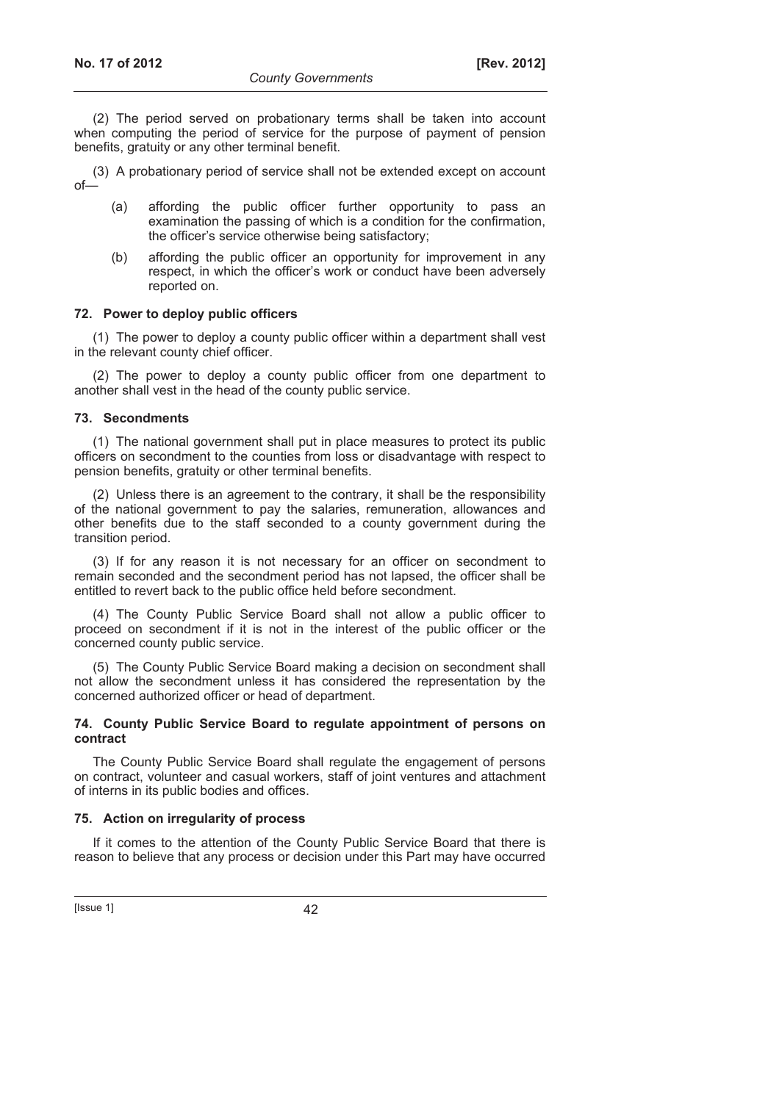(2) The period served on probationary terms shall be taken into account when computing the period of service for the purpose of payment of pension benefits, gratuity or any other terminal benefit.

(3) A probationary period of service shall not be extended except on account of—

- (a) affording the public officer further opportunity to pass an examination the passing of which is a condition for the confirmation, the officer's service otherwise being satisfactory;
- (b) affording the public officer an opportunity for improvement in any respect, in which the officer's work or conduct have been adversely reported on.

#### **72. Power to deploy public officers**

(1) The power to deploy a county public officer within a department shall vest in the relevant county chief officer.

(2) The power to deploy a county public officer from one department to another shall vest in the head of the county public service.

#### **73. Secondments**

(1) The national government shall put in place measures to protect its public officers on secondment to the counties from loss or disadvantage with respect to pension benefits, gratuity or other terminal benefits.

(2) Unless there is an agreement to the contrary, it shall be the responsibility of the national government to pay the salaries, remuneration, allowances and other benefits due to the staff seconded to a county government during the transition period.

(3) If for any reason it is not necessary for an officer on secondment to remain seconded and the secondment period has not lapsed, the officer shall be entitled to revert back to the public office held before secondment.

(4) The County Public Service Board shall not allow a public officer to proceed on secondment if it is not in the interest of the public officer or the concerned county public service.

(5) The County Public Service Board making a decision on secondment shall not allow the secondment unless it has considered the representation by the concerned authorized officer or head of department.

#### **74. County Public Service Board to regulate appointment of persons on contract**

The County Public Service Board shall regulate the engagement of persons on contract, volunteer and casual workers, staff of joint ventures and attachment of interns in its public bodies and offices.

#### **75. Action on irregularity of process**

If it comes to the attention of the County Public Service Board that there is reason to believe that any process or decision under this Part may have occurred

[Issue 1] 42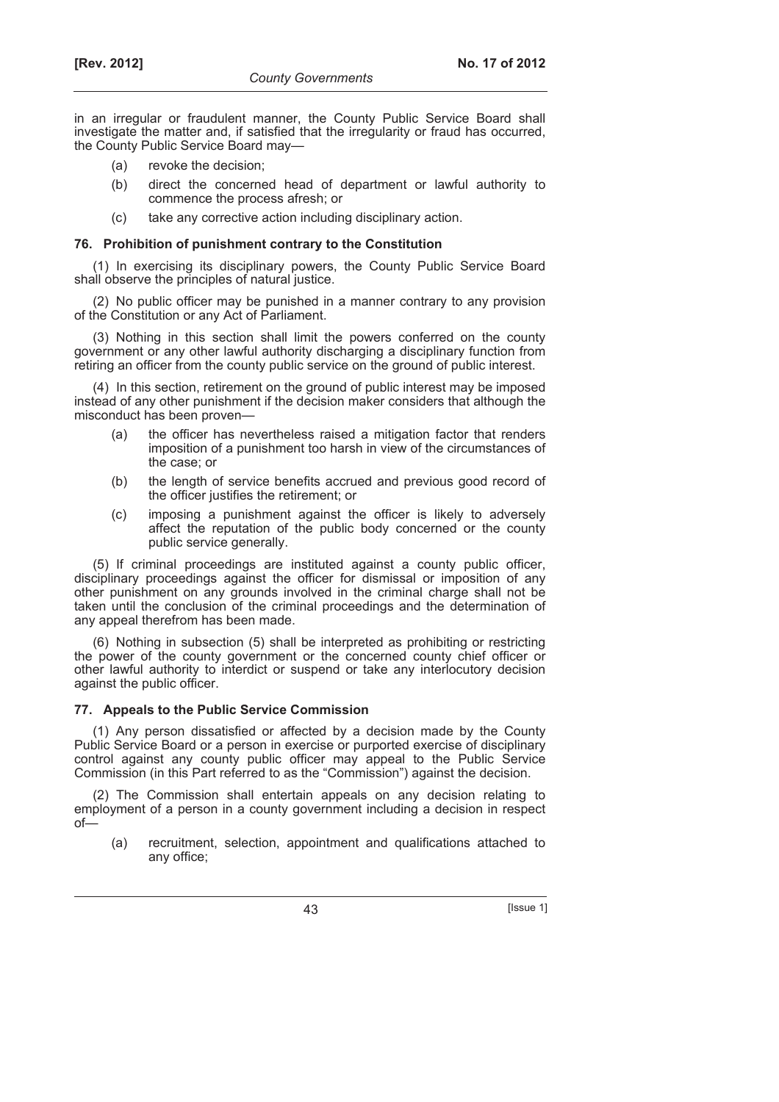in an irregular or fraudulent manner, the County Public Service Board shall investigate the matter and, if satisfied that the irregularity or fraud has occurred, the County Public Service Board may—

- (a) revoke the decision;
- (b) direct the concerned head of department or lawful authority to commence the process afresh; or
- (c) take any corrective action including disciplinary action.

### **76. Prohibition of punishment contrary to the Constitution**

(1) In exercising its disciplinary powers, the County Public Service Board shall observe the principles of natural justice.

(2) No public officer may be punished in a manner contrary to any provision of the Constitution or any Act of Parliament.

(3) Nothing in this section shall limit the powers conferred on the county government or any other lawful authority discharging a disciplinary function from retiring an officer from the county public service on the ground of public interest.

(4) In this section, retirement on the ground of public interest may be imposed instead of any other punishment if the decision maker considers that although the misconduct has been proven—

- (a) the officer has nevertheless raised a mitigation factor that renders imposition of a punishment too harsh in view of the circumstances of the case; or
- (b) the length of service benefits accrued and previous good record of the officer justifies the retirement; or
- (c) imposing a punishment against the officer is likely to adversely affect the reputation of the public body concerned or the county public service generally.

(5) If criminal proceedings are instituted against a county public officer, disciplinary proceedings against the officer for dismissal or imposition of any other punishment on any grounds involved in the criminal charge shall not be taken until the conclusion of the criminal proceedings and the determination of any appeal therefrom has been made.

(6) Nothing in subsection (5) shall be interpreted as prohibiting or restricting the power of the county government or the concerned county chief officer or other lawful authority to interdict or suspend or take any interlocutory decision against the public officer.

## **77. Appeals to the Public Service Commission**

(1) Any person dissatisfied or affected by a decision made by the County Public Service Board or a person in exercise or purported exercise of disciplinary control against any county public officer may appeal to the Public Service Commission (in this Part referred to as the "Commission") against the decision.

(2) The Commission shall entertain appeals on any decision relating to employment of a person in a county government including a decision in respect  $of$ — $\overline{)}$ 

 (a) recruitment, selection, appointment and qualifications attached to any office;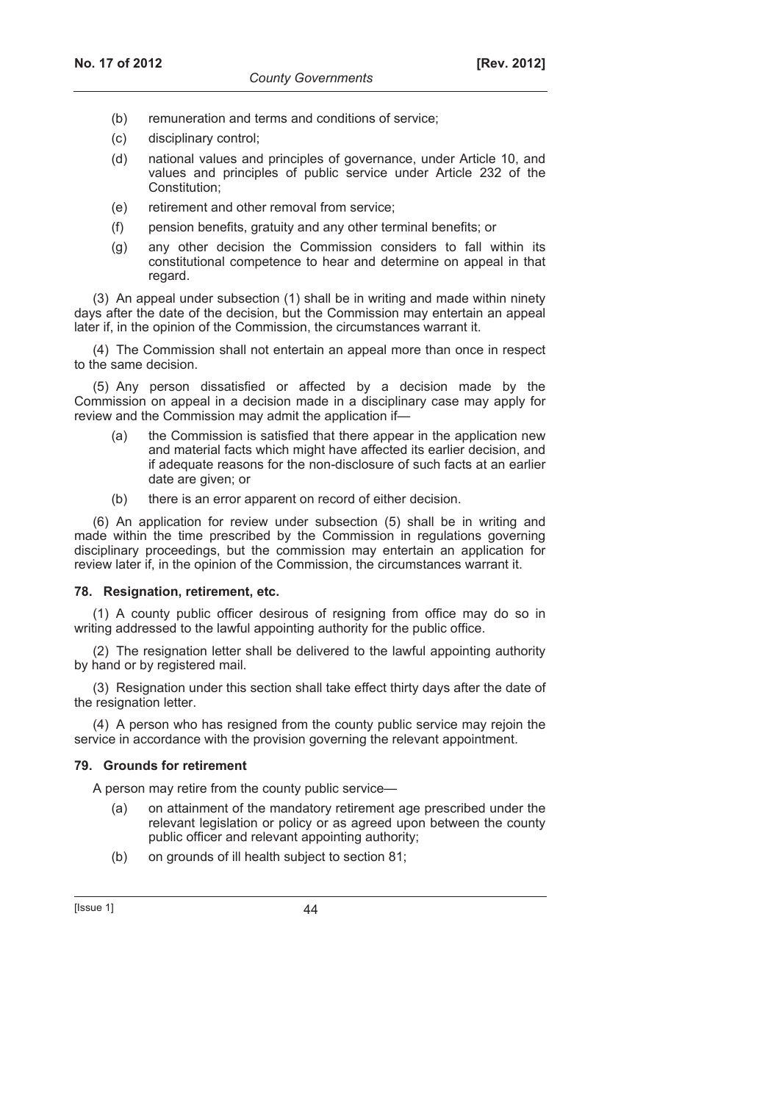- (b) remuneration and terms and conditions of service;
- (c) disciplinary control;
- (d) national values and principles of governance, under Article 10, and values and principles of public service under Article 232 of the Constitution;
- (e) retirement and other removal from service;
- (f) pension benefits, gratuity and any other terminal benefits; or
- (g) any other decision the Commission considers to fall within its constitutional competence to hear and determine on appeal in that regard.

(3) An appeal under subsection (1) shall be in writing and made within ninety days after the date of the decision, but the Commission may entertain an appeal later if, in the opinion of the Commission, the circumstances warrant it.

(4) The Commission shall not entertain an appeal more than once in respect to the same decision.

(5) Any person dissatisfied or affected by a decision made by the Commission on appeal in a decision made in a disciplinary case may apply for review and the Commission may admit the application if—

- the Commission is satisfied that there appear in the application new and material facts which might have affected its earlier decision, and if adequate reasons for the non-disclosure of such facts at an earlier date are given; or
- (b) there is an error apparent on record of either decision.

(6) An application for review under subsection (5) shall be in writing and made within the time prescribed by the Commission in regulations governing disciplinary proceedings, but the commission may entertain an application for review later if, in the opinion of the Commission, the circumstances warrant it.

#### **78. Resignation, retirement, etc.**

(1) A county public officer desirous of resigning from office may do so in writing addressed to the lawful appointing authority for the public office.

(2) The resignation letter shall be delivered to the lawful appointing authority by hand or by registered mail.

(3) Resignation under this section shall take effect thirty days after the date of the resignation letter.

(4) A person who has resigned from the county public service may rejoin the service in accordance with the provision governing the relevant appointment.

#### **79. Grounds for retirement**

A person may retire from the county public service—

- (a) on attainment of the mandatory retirement age prescribed under the relevant legislation or policy or as agreed upon between the county public officer and relevant appointing authority;
- (b) on grounds of ill health subject to section 81;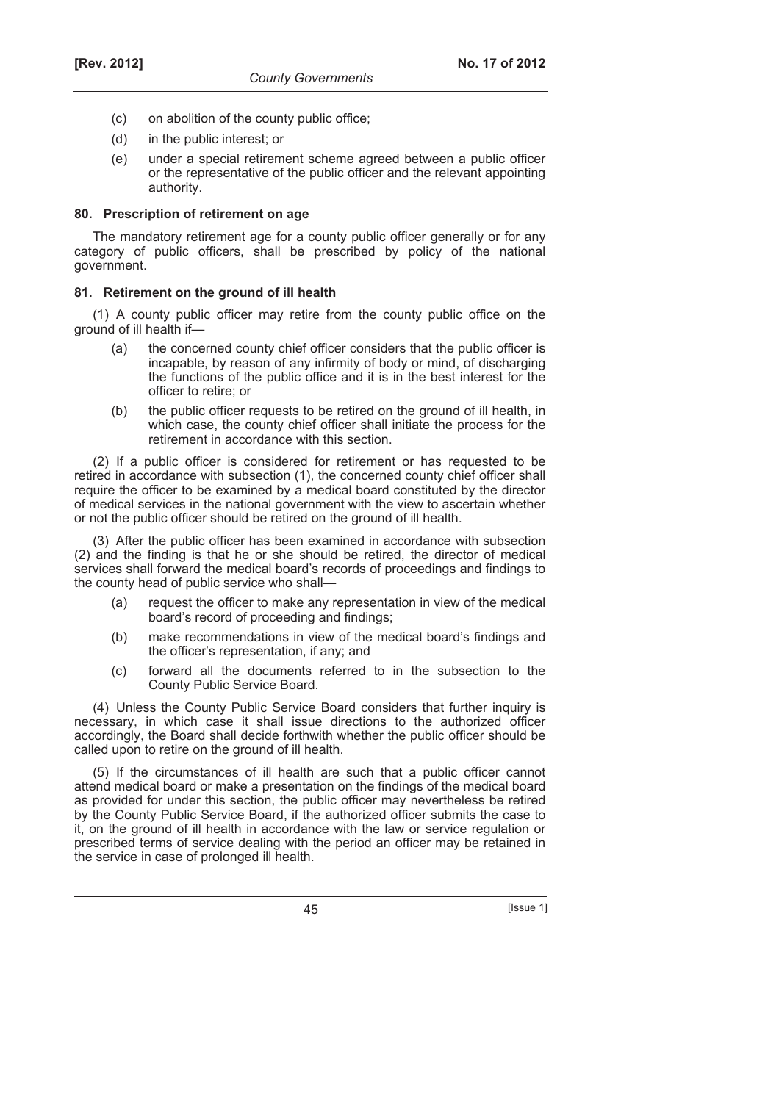- (c) on abolition of the county public office;
- (d) in the public interest; or
- (e) under a special retirement scheme agreed between a public officer or the representative of the public officer and the relevant appointing authority.

### **80. Prescription of retirement on age**

The mandatory retirement age for a county public officer generally or for any category of public officers, shall be prescribed by policy of the national government.

## **81. Retirement on the ground of ill health**

(1) A county public officer may retire from the county public office on the ground of ill health if—

- (a) the concerned county chief officer considers that the public officer is incapable, by reason of any infirmity of body or mind, of discharging the functions of the public office and it is in the best interest for the officer to retire; or
- (b) the public officer requests to be retired on the ground of ill health, in which case, the county chief officer shall initiate the process for the retirement in accordance with this section.

(2) If a public officer is considered for retirement or has requested to be retired in accordance with subsection (1), the concerned county chief officer shall require the officer to be examined by a medical board constituted by the director of medical services in the national government with the view to ascertain whether or not the public officer should be retired on the ground of ill health.

(3) After the public officer has been examined in accordance with subsection (2) and the finding is that he or she should be retired, the director of medical services shall forward the medical board's records of proceedings and findings to the county head of public service who shall—

- (a) request the officer to make any representation in view of the medical board's record of proceeding and findings;
- (b) make recommendations in view of the medical board's findings and the officer's representation, if any; and
- (c) forward all the documents referred to in the subsection to the County Public Service Board.

(4) Unless the County Public Service Board considers that further inquiry is necessary, in which case it shall issue directions to the authorized officer accordingly, the Board shall decide forthwith whether the public officer should be called upon to retire on the ground of ill health.

(5) If the circumstances of ill health are such that a public officer cannot attend medical board or make a presentation on the findings of the medical board as provided for under this section, the public officer may nevertheless be retired by the County Public Service Board, if the authorized officer submits the case to it, on the ground of ill health in accordance with the law or service regulation or prescribed terms of service dealing with the period an officer may be retained in the service in case of prolonged ill health.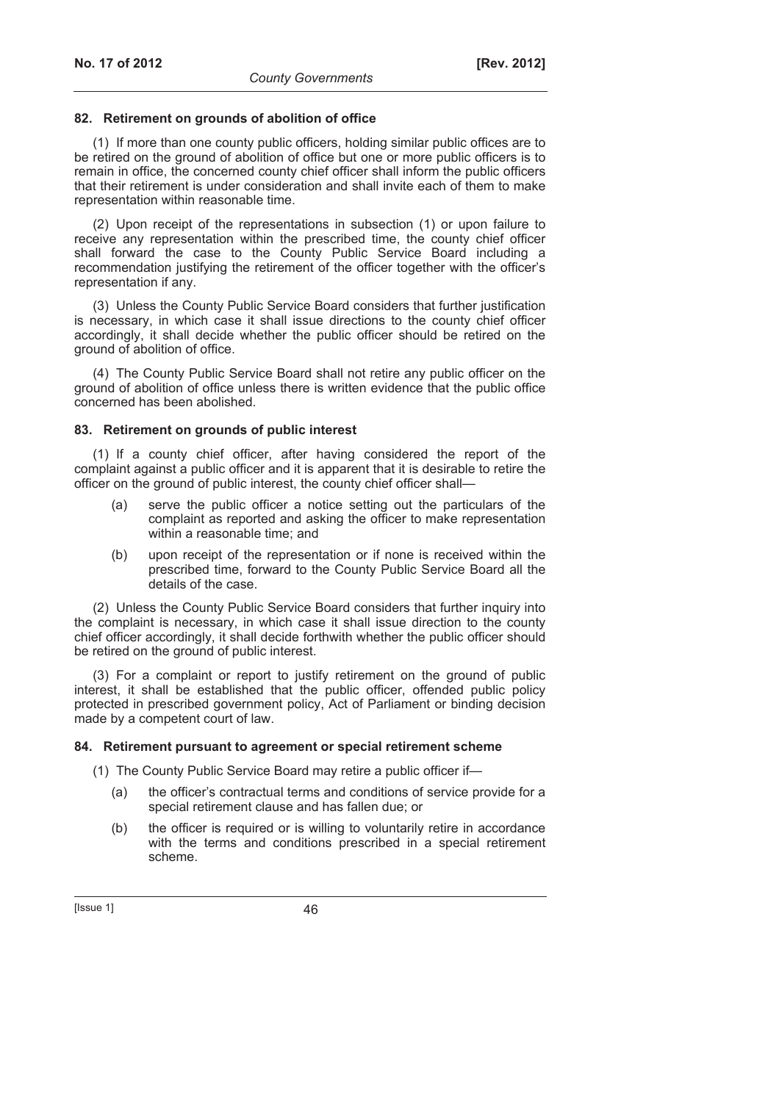#### **82. Retirement on grounds of abolition of office**

(1) If more than one county public officers, holding similar public offices are to be retired on the ground of abolition of office but one or more public officers is to remain in office, the concerned county chief officer shall inform the public officers that their retirement is under consideration and shall invite each of them to make representation within reasonable time.

(2) Upon receipt of the representations in subsection (1) or upon failure to receive any representation within the prescribed time, the county chief officer shall forward the case to the County Public Service Board including a recommendation justifying the retirement of the officer together with the officer's representation if any.

(3) Unless the County Public Service Board considers that further justification is necessary, in which case it shall issue directions to the county chief officer accordingly, it shall decide whether the public officer should be retired on the ground of abolition of office.

(4) The County Public Service Board shall not retire any public officer on the ground of abolition of office unless there is written evidence that the public office concerned has been abolished.

#### **83. Retirement on grounds of public interest**

(1) If a county chief officer, after having considered the report of the complaint against a public officer and it is apparent that it is desirable to retire the officer on the ground of public interest, the county chief officer shall—

- (a) serve the public officer a notice setting out the particulars of the complaint as reported and asking the officer to make representation within a reasonable time; and
- (b) upon receipt of the representation or if none is received within the prescribed time, forward to the County Public Service Board all the details of the case.

(2) Unless the County Public Service Board considers that further inquiry into the complaint is necessary, in which case it shall issue direction to the county chief officer accordingly, it shall decide forthwith whether the public officer should be retired on the ground of public interest.

(3) For a complaint or report to justify retirement on the ground of public interest, it shall be established that the public officer, offended public policy protected in prescribed government policy, Act of Parliament or binding decision made by a competent court of law.

#### **84. Retirement pursuant to agreement or special retirement scheme**

- (1) The County Public Service Board may retire a public officer if—
	- (a) the officer's contractual terms and conditions of service provide for a special retirement clause and has fallen due; or
	- (b) the officer is required or is willing to voluntarily retire in accordance with the terms and conditions prescribed in a special retirement scheme.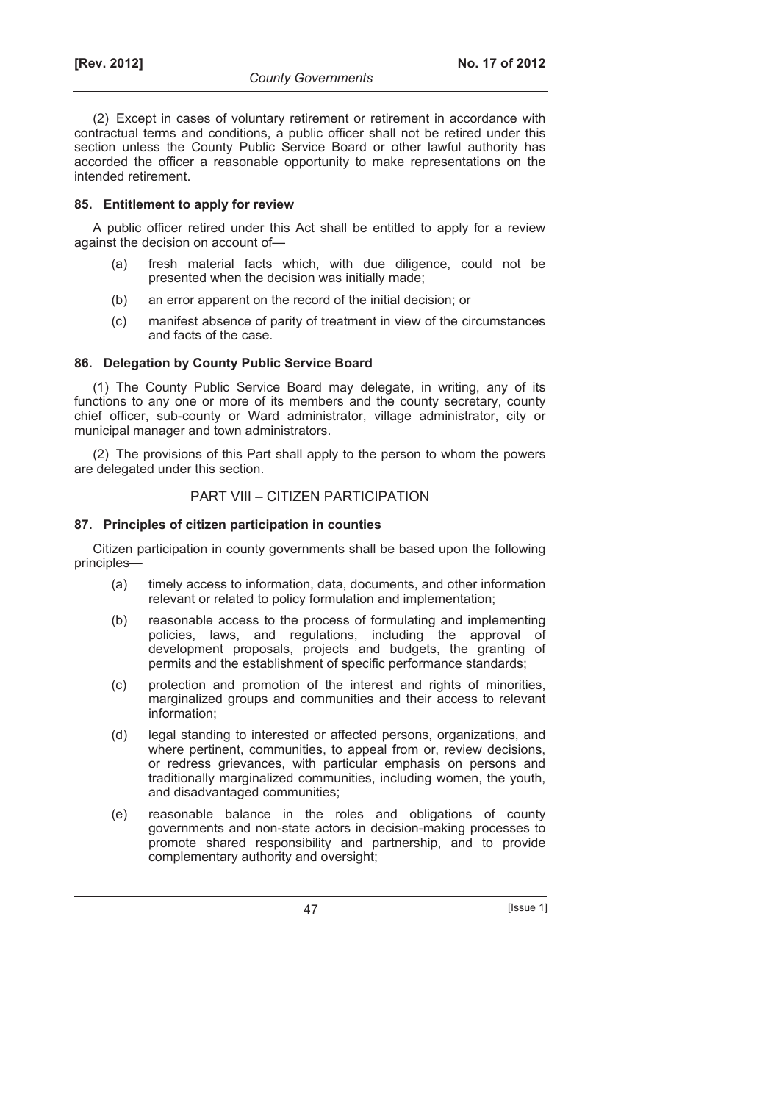(2) Except in cases of voluntary retirement or retirement in accordance with contractual terms and conditions, a public officer shall not be retired under this section unless the County Public Service Board or other lawful authority has accorded the officer a reasonable opportunity to make representations on the intended retirement.

## **85. Entitlement to apply for review**

A public officer retired under this Act shall be entitled to apply for a review against the decision on account of—

- (a) fresh material facts which, with due diligence, could not be presented when the decision was initially made;
- (b) an error apparent on the record of the initial decision; or
- (c) manifest absence of parity of treatment in view of the circumstances and facts of the case.

## **86. Delegation by County Public Service Board**

(1) The County Public Service Board may delegate, in writing, any of its functions to any one or more of its members and the county secretary, county chief officer, sub-county or Ward administrator, village administrator, city or municipal manager and town administrators.

(2) The provisions of this Part shall apply to the person to whom the powers are delegated under this section.

## PART VIII – CITIZEN PARTICIPATION

## **87. Principles of citizen participation in counties**

Citizen participation in county governments shall be based upon the following principles—

- (a) timely access to information, data, documents, and other information relevant or related to policy formulation and implementation;
- (b) reasonable access to the process of formulating and implementing policies, laws, and regulations, including the approval of development proposals, projects and budgets, the granting of permits and the establishment of specific performance standards;
- (c) protection and promotion of the interest and rights of minorities, marginalized groups and communities and their access to relevant information;
- (d) legal standing to interested or affected persons, organizations, and where pertinent, communities, to appeal from or, review decisions, or redress grievances, with particular emphasis on persons and traditionally marginalized communities, including women, the youth, and disadvantaged communities;
- (e) reasonable balance in the roles and obligations of county governments and non-state actors in decision-making processes to promote shared responsibility and partnership, and to provide complementary authority and oversight;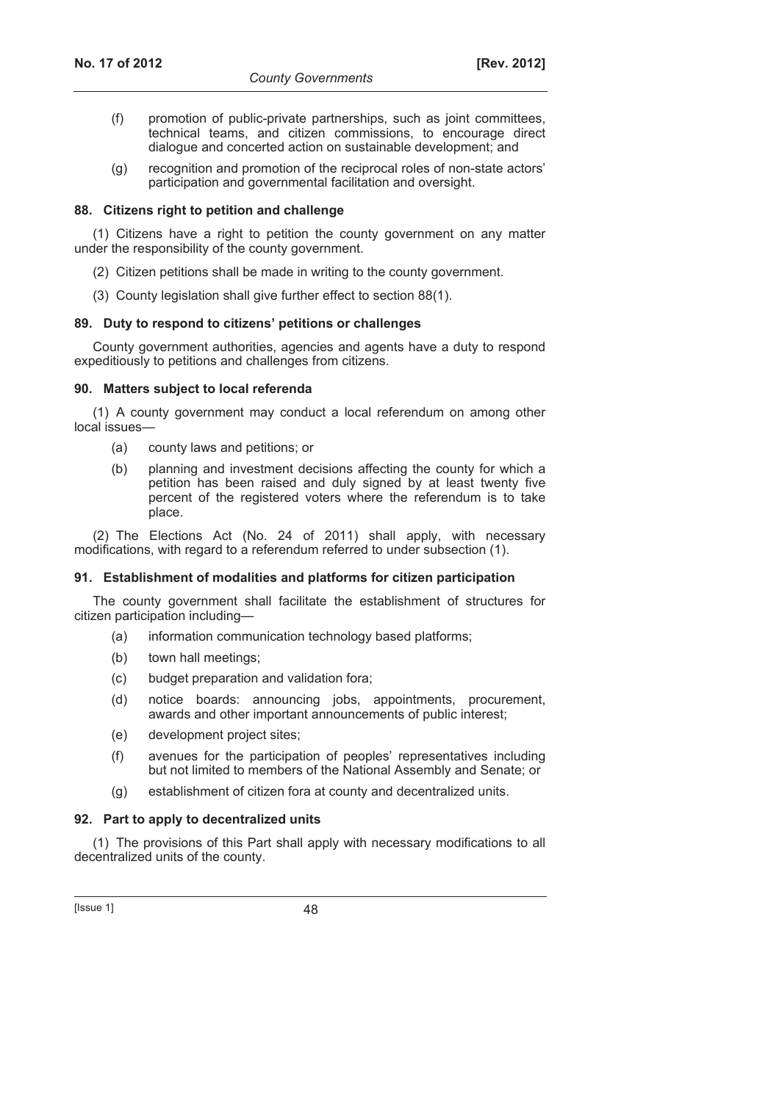- (f) promotion of public-private partnerships, such as joint committees, technical teams, and citizen commissions, to encourage direct dialogue and concerted action on sustainable development; and
- (g) recognition and promotion of the reciprocal roles of non-state actors' participation and governmental facilitation and oversight.

#### **88. Citizens right to petition and challenge**

(1) Citizens have a right to petition the county government on any matter under the responsibility of the county government.

- (2) Citizen petitions shall be made in writing to the county government.
- (3) County legislation shall give further effect to section 88(1).

#### **89. Duty to respond to citizens' petitions or challenges**

County government authorities, agencies and agents have a duty to respond expeditiously to petitions and challenges from citizens.

#### **90. Matters subject to local referenda**

(1) A county government may conduct a local referendum on among other local issues—

- (a) county laws and petitions; or
- (b) planning and investment decisions affecting the county for which a petition has been raised and duly signed by at least twenty five percent of the registered voters where the referendum is to take place.

(2) The Elections Act (No. 24 of 2011) shall apply, with necessary modifications, with regard to a referendum referred to under subsection (1).

#### **91. Establishment of modalities and platforms for citizen participation**

The county government shall facilitate the establishment of structures for citizen participation including—

- (a) information communication technology based platforms;
- (b) town hall meetings;
- (c) budget preparation and validation fora;
- (d) notice boards: announcing jobs, appointments, procurement, awards and other important announcements of public interest;
- (e) development project sites;
- (f) avenues for the participation of peoples' representatives including but not limited to members of the National Assembly and Senate; or
- (g) establishment of citizen fora at county and decentralized units.

#### **92. Part to apply to decentralized units**

(1) The provisions of this Part shall apply with necessary modifications to all decentralized units of the county.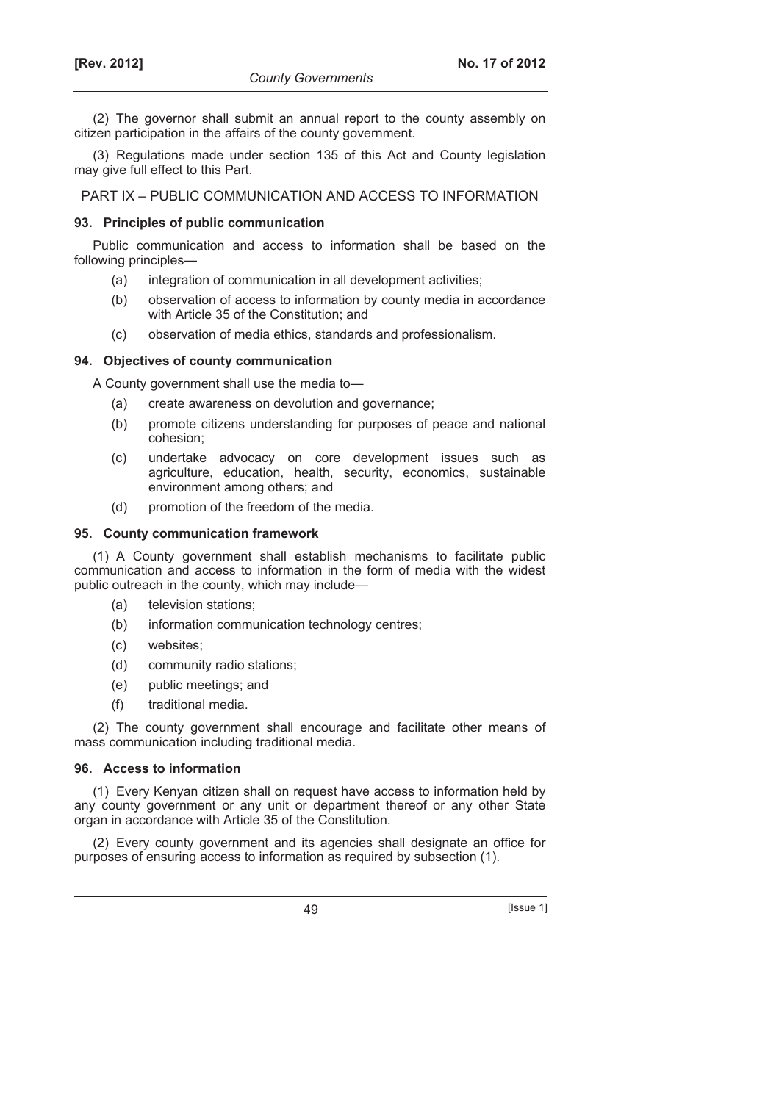(2) The governor shall submit an annual report to the county assembly on citizen participation in the affairs of the county government.

(3) Regulations made under section 135 of this Act and County legislation may give full effect to this Part.

PART IX – PUBLIC COMMUNICATION AND ACCESS TO INFORMATION

#### **93. Principles of public communication**

Public communication and access to information shall be based on the following principles—

- (a) integration of communication in all development activities;
- (b) observation of access to information by county media in accordance with Article 35 of the Constitution; and
- (c) observation of media ethics, standards and professionalism.

#### **94. Objectives of county communication**

A County government shall use the media to—

- (a) create awareness on devolution and governance;
- (b) promote citizens understanding for purposes of peace and national cohesion;
- (c) undertake advocacy on core development issues such as agriculture, education, health, security, economics, sustainable environment among others; and
- (d) promotion of the freedom of the media.

#### **95. County communication framework**

(1) A County government shall establish mechanisms to facilitate public communication and access to information in the form of media with the widest public outreach in the county, which may include—

- (a) television stations;
- (b) information communication technology centres;
- (c) websites;
- (d) community radio stations;
- (e) public meetings; and
- (f) traditional media.

(2) The county government shall encourage and facilitate other means of mass communication including traditional media.

#### **96. Access to information**

(1) Every Kenyan citizen shall on request have access to information held by any county government or any unit or department thereof or any other State organ in accordance with Article 35 of the Constitution.

(2) Every county government and its agencies shall designate an office for purposes of ensuring access to information as required by subsection (1).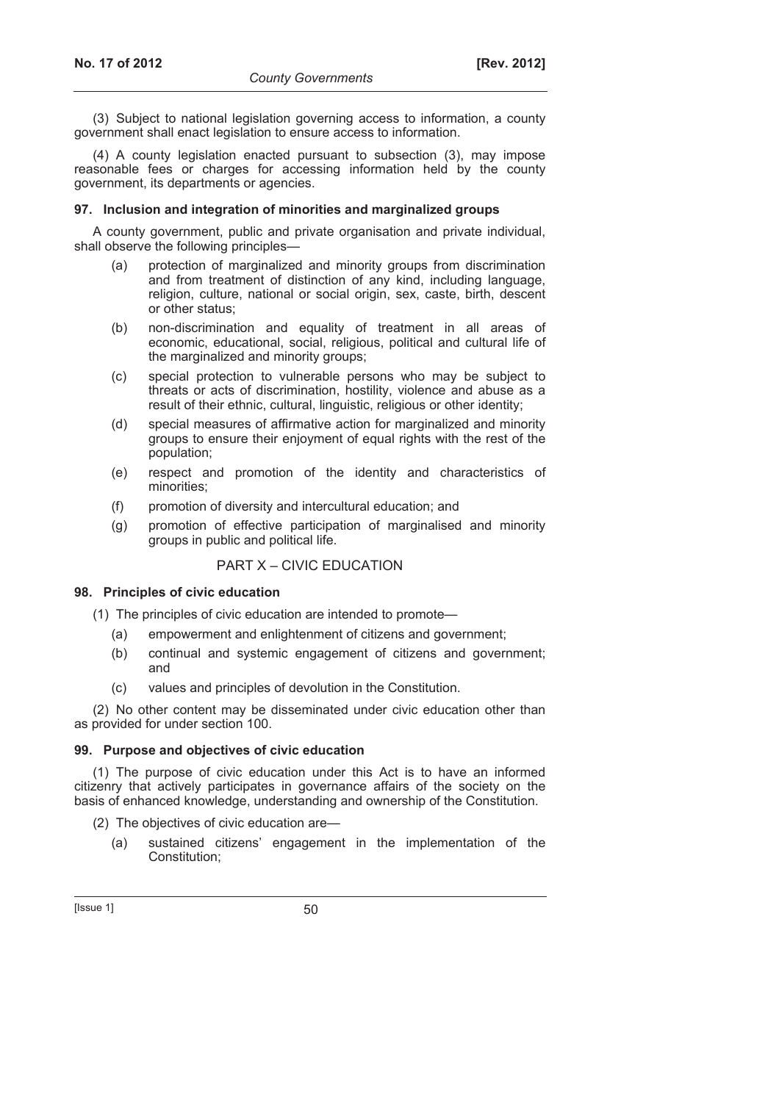(3) Subject to national legislation governing access to information, a county government shall enact legislation to ensure access to information.

(4) A county legislation enacted pursuant to subsection (3), may impose reasonable fees or charges for accessing information held by the county government, its departments or agencies.

#### **97. Inclusion and integration of minorities and marginalized groups**

A county government, public and private organisation and private individual, shall observe the following principles—

- (a) protection of marginalized and minority groups from discrimination and from treatment of distinction of any kind, including language, religion, culture, national or social origin, sex, caste, birth, descent or other status;
- (b) non-discrimination and equality of treatment in all areas of economic, educational, social, religious, political and cultural life of the marginalized and minority groups;
- (c) special protection to vulnerable persons who may be subject to threats or acts of discrimination, hostility, violence and abuse as a result of their ethnic, cultural, linguistic, religious or other identity;
- (d) special measures of affirmative action for marginalized and minority groups to ensure their enjoyment of equal rights with the rest of the population;
- (e) respect and promotion of the identity and characteristics of minorities;
- (f) promotion of diversity and intercultural education; and
- (g) promotion of effective participation of marginalised and minority groups in public and political life.

### PART X – CIVIC EDUCATION

#### **98. Principles of civic education**

- (1) The principles of civic education are intended to promote—
	- (a) empowerment and enlightenment of citizens and government;
	- (b) continual and systemic engagement of citizens and government; and
	- (c) values and principles of devolution in the Constitution.

(2) No other content may be disseminated under civic education other than as provided for under section 100.

#### **99. Purpose and objectives of civic education**

(1) The purpose of civic education under this Act is to have an informed citizenry that actively participates in governance affairs of the society on the basis of enhanced knowledge, understanding and ownership of the Constitution.

- (2) The objectives of civic education are—
	- (a) sustained citizens' engagement in the implementation of the Constitution;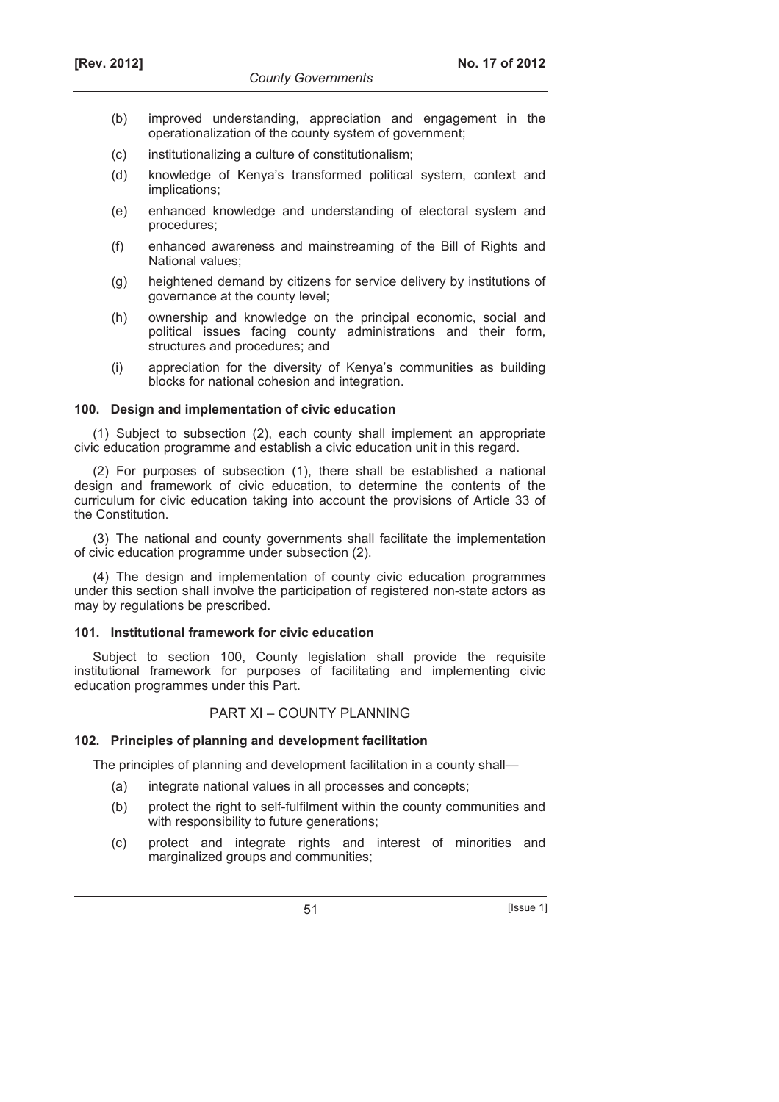- (b) improved understanding, appreciation and engagement in the operationalization of the county system of government;
- (c) institutionalizing a culture of constitutionalism;
- (d) knowledge of Kenya's transformed political system, context and implications;
- (e) enhanced knowledge and understanding of electoral system and procedures;
- (f) enhanced awareness and mainstreaming of the Bill of Rights and National values;
- (g) heightened demand by citizens for service delivery by institutions of governance at the county level;
- (h) ownership and knowledge on the principal economic, social and political issues facing county administrations and their form, structures and procedures; and
- (i) appreciation for the diversity of Kenya's communities as building blocks for national cohesion and integration.

#### **100. Design and implementation of civic education**

(1) Subject to subsection (2), each county shall implement an appropriate civic education programme and establish a civic education unit in this regard.

(2) For purposes of subsection (1), there shall be established a national design and framework of civic education, to determine the contents of the curriculum for civic education taking into account the provisions of Article 33 of the Constitution.

(3) The national and county governments shall facilitate the implementation of civic education programme under subsection (2).

(4) The design and implementation of county civic education programmes under this section shall involve the participation of registered non-state actors as may by regulations be prescribed.

#### **101. Institutional framework for civic education**

Subject to section 100, County legislation shall provide the requisite institutional framework for purposes of facilitating and implementing civic education programmes under this Part.

## PART XI – COUNTY PLANNING

#### **102. Principles of planning and development facilitation**

The principles of planning and development facilitation in a county shall—

- (a) integrate national values in all processes and concepts;
- (b) protect the right to self-fulfilment within the county communities and with responsibility to future generations;
- (c) protect and integrate rights and interest of minorities and marginalized groups and communities;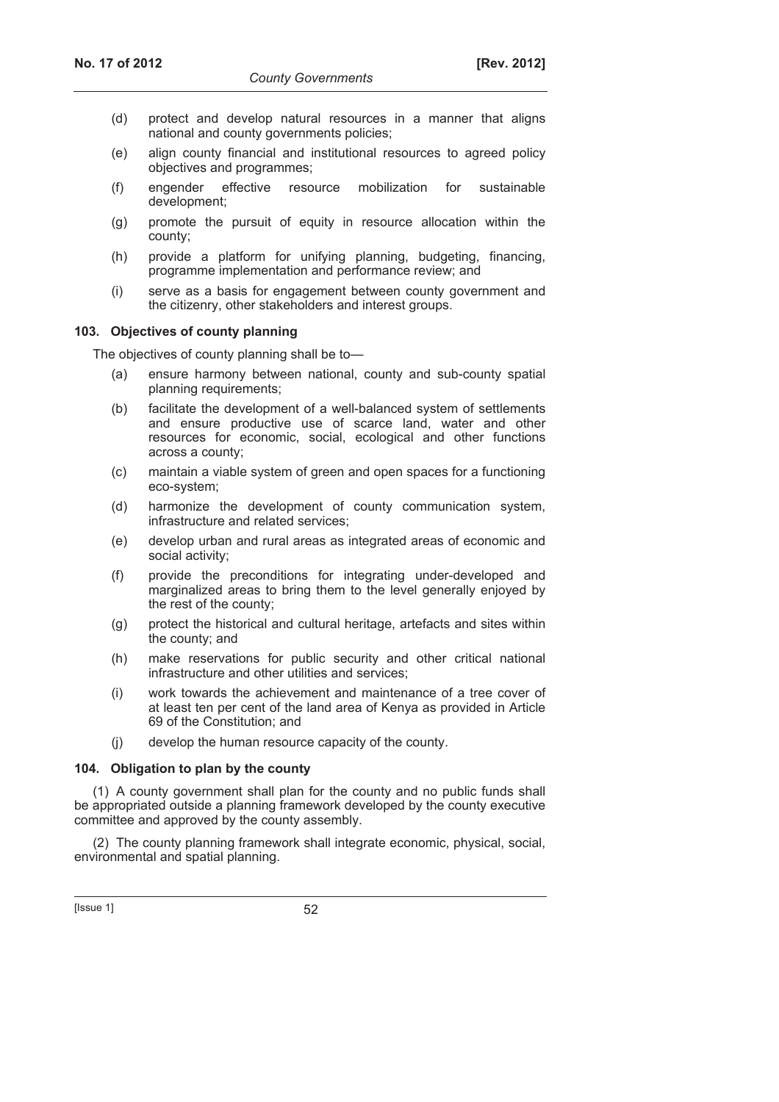- (d) protect and develop natural resources in a manner that aligns national and county governments policies;
- (e) align county financial and institutional resources to agreed policy objectives and programmes;
- (f) engender effective resource mobilization for sustainable development;
- (g) promote the pursuit of equity in resource allocation within the county;
- (h) provide a platform for unifying planning, budgeting, financing, programme implementation and performance review; and
- (i) serve as a basis for engagement between county government and the citizenry, other stakeholders and interest groups.

#### **103. Objectives of county planning**

The objectives of county planning shall be to—

- (a) ensure harmony between national, county and sub-county spatial planning requirements;
- (b) facilitate the development of a well-balanced system of settlements and ensure productive use of scarce land, water and other resources for economic, social, ecological and other functions across a county;
- (c) maintain a viable system of green and open spaces for a functioning eco-system;
- (d) harmonize the development of county communication system, infrastructure and related services;
- (e) develop urban and rural areas as integrated areas of economic and social activity;
- (f) provide the preconditions for integrating under-developed and marginalized areas to bring them to the level generally enjoyed by the rest of the county;
- (g) protect the historical and cultural heritage, artefacts and sites within the county; and
- (h) make reservations for public security and other critical national infrastructure and other utilities and services;
- (i) work towards the achievement and maintenance of a tree cover of at least ten per cent of the land area of Kenya as provided in Article 69 of the Constitution; and
- (j) develop the human resource capacity of the county.

#### **104. Obligation to plan by the county**

(1) A county government shall plan for the county and no public funds shall be appropriated outside a planning framework developed by the county executive committee and approved by the county assembly.

(2) The county planning framework shall integrate economic, physical, social, environmental and spatial planning.

 $[|$ ssue 1 $]$  52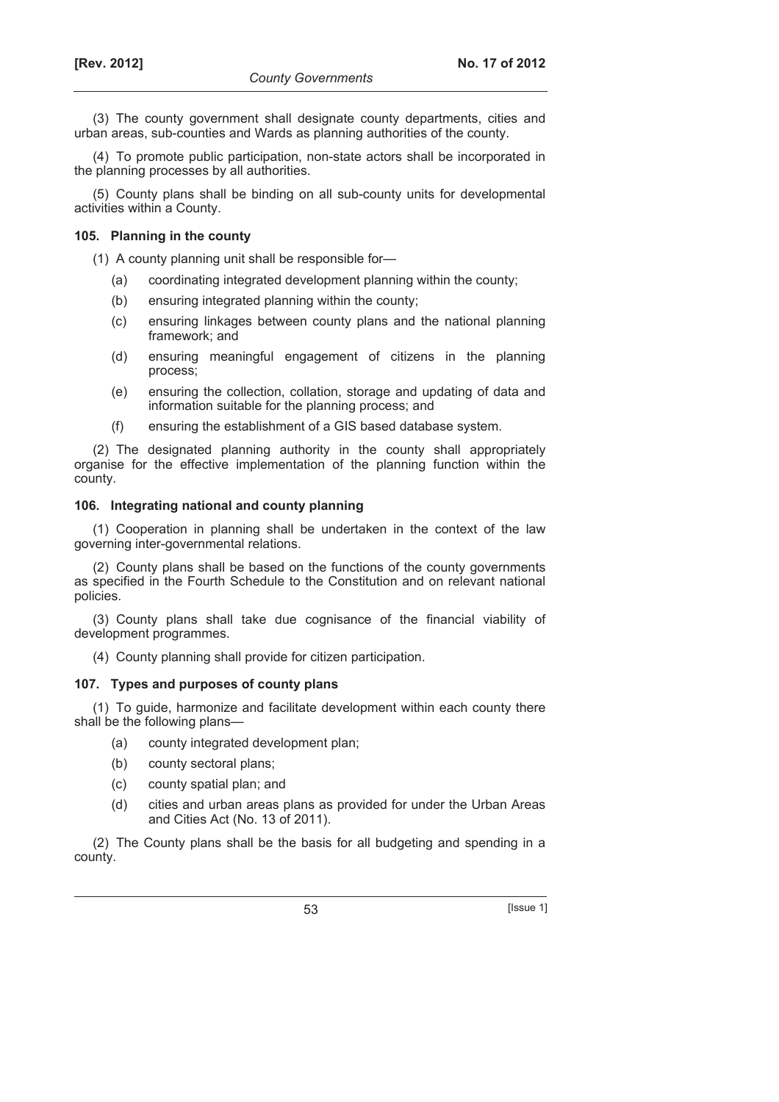(3) The county government shall designate county departments, cities and urban areas, sub-counties and Wards as planning authorities of the county.

(4) To promote public participation, non-state actors shall be incorporated in the planning processes by all authorities.

(5) County plans shall be binding on all sub-county units for developmental activities within a County.

#### **105. Planning in the county**

(1) A county planning unit shall be responsible for—

- (a) coordinating integrated development planning within the county;
- (b) ensuring integrated planning within the county;
- (c) ensuring linkages between county plans and the national planning framework; and
- (d) ensuring meaningful engagement of citizens in the planning process;
- (e) ensuring the collection, collation, storage and updating of data and information suitable for the planning process; and
- (f) ensuring the establishment of a GIS based database system.

(2) The designated planning authority in the county shall appropriately organise for the effective implementation of the planning function within the county.

#### **106. Integrating national and county planning**

(1) Cooperation in planning shall be undertaken in the context of the law governing inter-governmental relations.

(2) County plans shall be based on the functions of the county governments as specified in the Fourth Schedule to the Constitution and on relevant national policies.

(3) County plans shall take due cognisance of the financial viability of development programmes.

(4) County planning shall provide for citizen participation.

#### **107. Types and purposes of county plans**

(1) To guide, harmonize and facilitate development within each county there shall be the following plans—

- (a) county integrated development plan;
- (b) county sectoral plans;
- (c) county spatial plan; and
- (d) cities and urban areas plans as provided for under the Urban Areas and Cities Act (No. 13 of 2011).

(2) The County plans shall be the basis for all budgeting and spending in a county.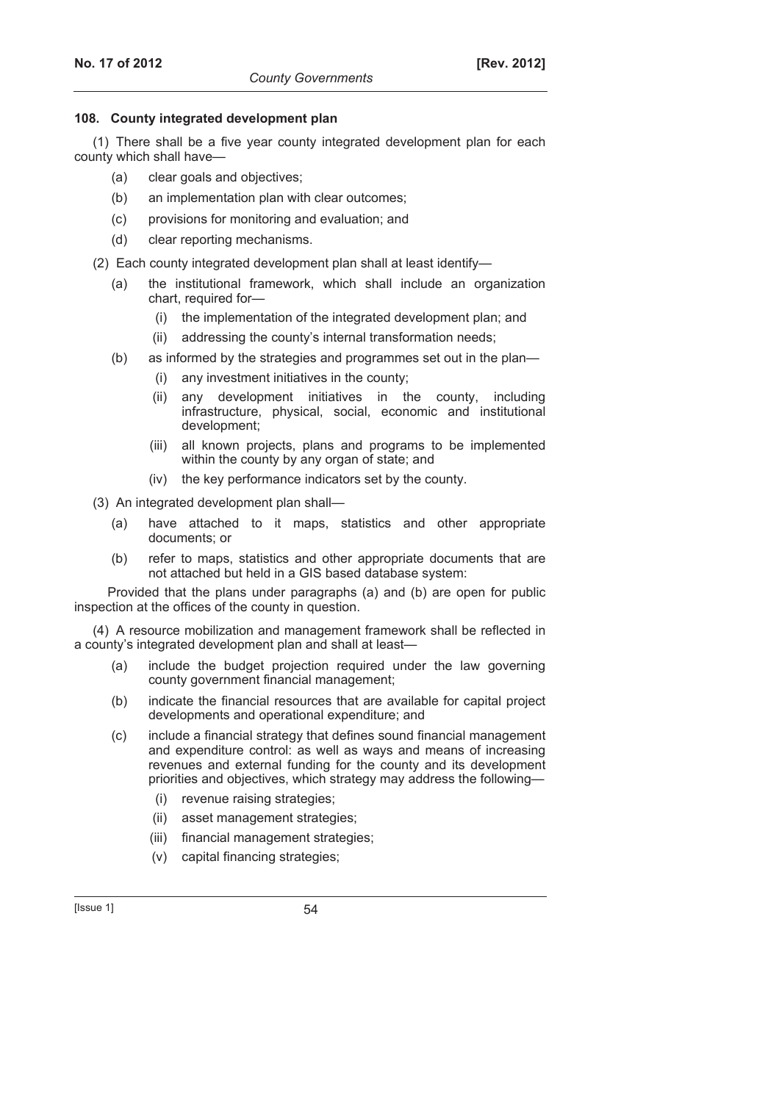### **108. County integrated development plan**

(1) There shall be a five year county integrated development plan for each county which shall have—

- (a) clear goals and objectives;
- (b) an implementation plan with clear outcomes;
- (c) provisions for monitoring and evaluation; and
- (d) clear reporting mechanisms.

(2) Each county integrated development plan shall at least identify—

- (a) the institutional framework, which shall include an organization chart, required for—
	- (i) the implementation of the integrated development plan; and
	- (ii) addressing the county's internal transformation needs;
- (b) as informed by the strategies and programmes set out in the plan—
	- (i) any investment initiatives in the county;
	- (ii) any development initiatives in the county, including infrastructure, physical, social, economic and institutional development;
	- (iii) all known projects, plans and programs to be implemented within the county by any organ of state; and
	- (iv) the key performance indicators set by the county.

(3) An integrated development plan shall—

- (a) have attached to it maps, statistics and other appropriate documents; or
- (b) refer to maps, statistics and other appropriate documents that are not attached but held in a GIS based database system:

Provided that the plans under paragraphs (a) and (b) are open for public inspection at the offices of the county in question.

(4) A resource mobilization and management framework shall be reflected in a county's integrated development plan and shall at least—

- (a) include the budget projection required under the law governing county government financial management;
- (b) indicate the financial resources that are available for capital project developments and operational expenditure; and
- (c) include a financial strategy that defines sound financial management and expenditure control: as well as ways and means of increasing revenues and external funding for the county and its development priorities and objectives, which strategy may address the following—
	- (i) revenue raising strategies;
	- (ii) asset management strategies;
	- (iii) financial management strategies;
	- (v) capital financing strategies;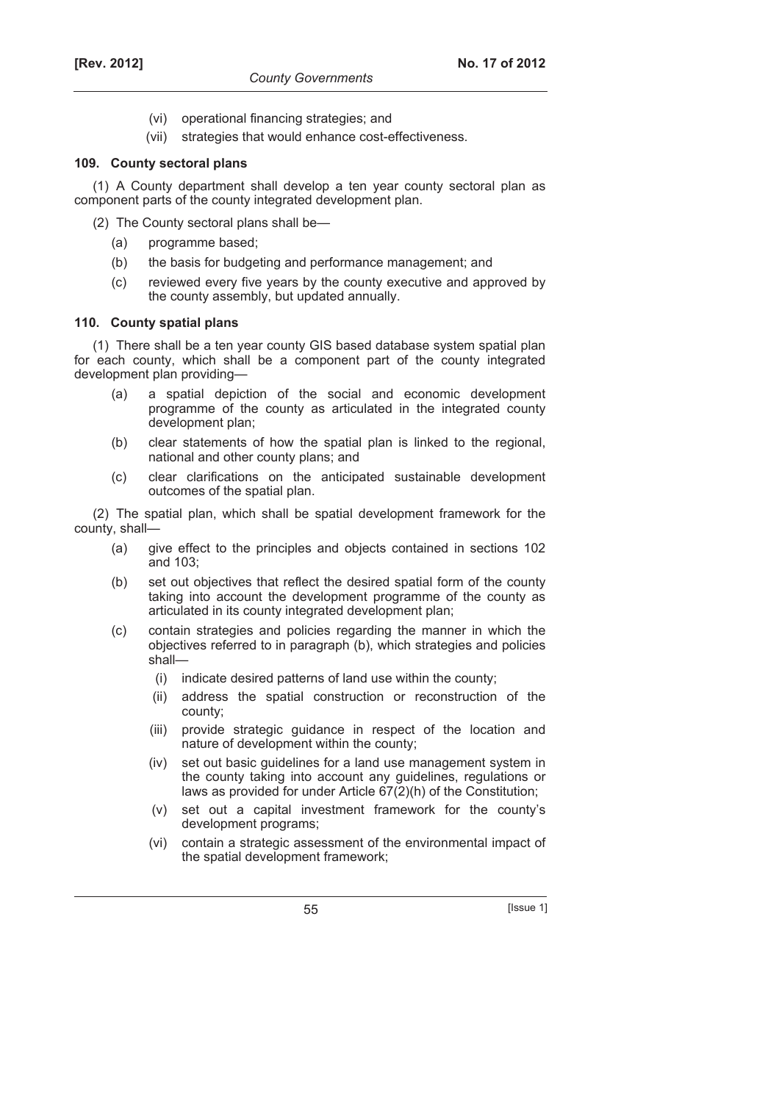- (vi) operational financing strategies; and
- (vii) strategies that would enhance cost-effectiveness.

### **109. County sectoral plans**

(1) A County department shall develop a ten year county sectoral plan as component parts of the county integrated development plan.

- (2) The County sectoral plans shall be—
	- (a) programme based;
	- (b) the basis for budgeting and performance management; and
	- (c) reviewed every five years by the county executive and approved by the county assembly, but updated annually.

#### **110. County spatial plans**

(1) There shall be a ten year county GIS based database system spatial plan for each county, which shall be a component part of the county integrated development plan providing—

- (a) a spatial depiction of the social and economic development programme of the county as articulated in the integrated county development plan;
- (b) clear statements of how the spatial plan is linked to the regional, national and other county plans; and
- (c) clear clarifications on the anticipated sustainable development outcomes of the spatial plan.

(2) The spatial plan, which shall be spatial development framework for the county, shall—

- (a) give effect to the principles and objects contained in sections 102 and 103;
- (b) set out objectives that reflect the desired spatial form of the county taking into account the development programme of the county as articulated in its county integrated development plan;
- (c) contain strategies and policies regarding the manner in which the objectives referred to in paragraph (b), which strategies and policies shall—
	- (i) indicate desired patterns of land use within the county;
	- (ii) address the spatial construction or reconstruction of the county;
	- (iii) provide strategic guidance in respect of the location and nature of development within the county;
	- (iv) set out basic guidelines for a land use management system in the county taking into account any guidelines, regulations or laws as provided for under Article 67(2)(h) of the Constitution;
	- (v) set out a capital investment framework for the county's development programs;
	- (vi) contain a strategic assessment of the environmental impact of the spatial development framework;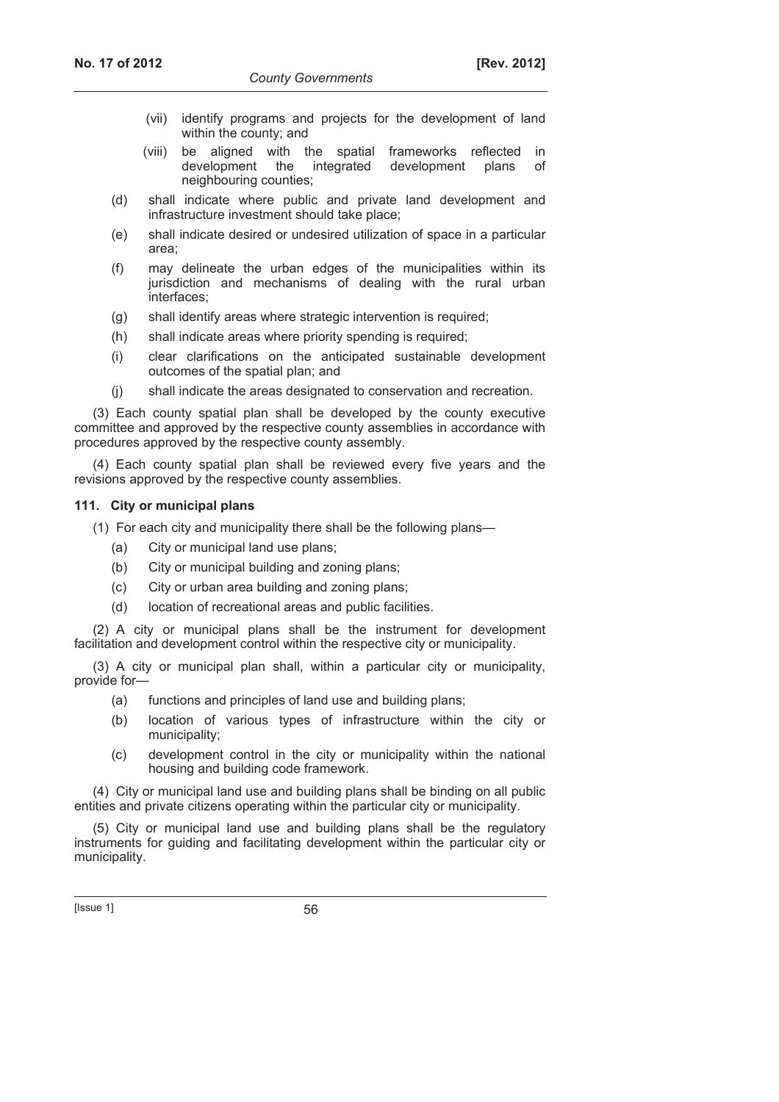- (vii) identify programs and projects for the development of land within the county; and
- (viii) be aligned with the spatial frameworks reflected in development the integrated development plans of neighbouring counties;
- (d) shall indicate where public and private land development and infrastructure investment should take place;
- (e) shall indicate desired or undesired utilization of space in a particular area;
- (f) may delineate the urban edges of the municipalities within its jurisdiction and mechanisms of dealing with the rural urban interfaces;
- (g) shall identify areas where strategic intervention is required;
- (h) shall indicate areas where priority spending is required;
- (i) clear clarifications on the anticipated sustainable development outcomes of the spatial plan; and
- (j) shall indicate the areas designated to conservation and recreation.

(3) Each county spatial plan shall be developed by the county executive committee and approved by the respective county assemblies in accordance with procedures approved by the respective county assembly.

(4) Each county spatial plan shall be reviewed every five years and the revisions approved by the respective county assemblies.

#### **111. City or municipal plans**

(1) For each city and municipality there shall be the following plans—

- (a) City or municipal land use plans;
- (b) City or municipal building and zoning plans;
- (c) City or urban area building and zoning plans;
- (d) location of recreational areas and public facilities.

(2) A city or municipal plans shall be the instrument for development facilitation and development control within the respective city or municipality.

(3) A city or municipal plan shall, within a particular city or municipality, provide for—

- (a) functions and principles of land use and building plans;
- (b) location of various types of infrastructure within the city or municipality;
- (c) development control in the city or municipality within the national housing and building code framework.

(4) City or municipal land use and building plans shall be binding on all public entities and private citizens operating within the particular city or municipality.

(5) City or municipal land use and building plans shall be the regulatory instruments for guiding and facilitating development within the particular city or municipality.

 $[|$ ssue 1 $]$  56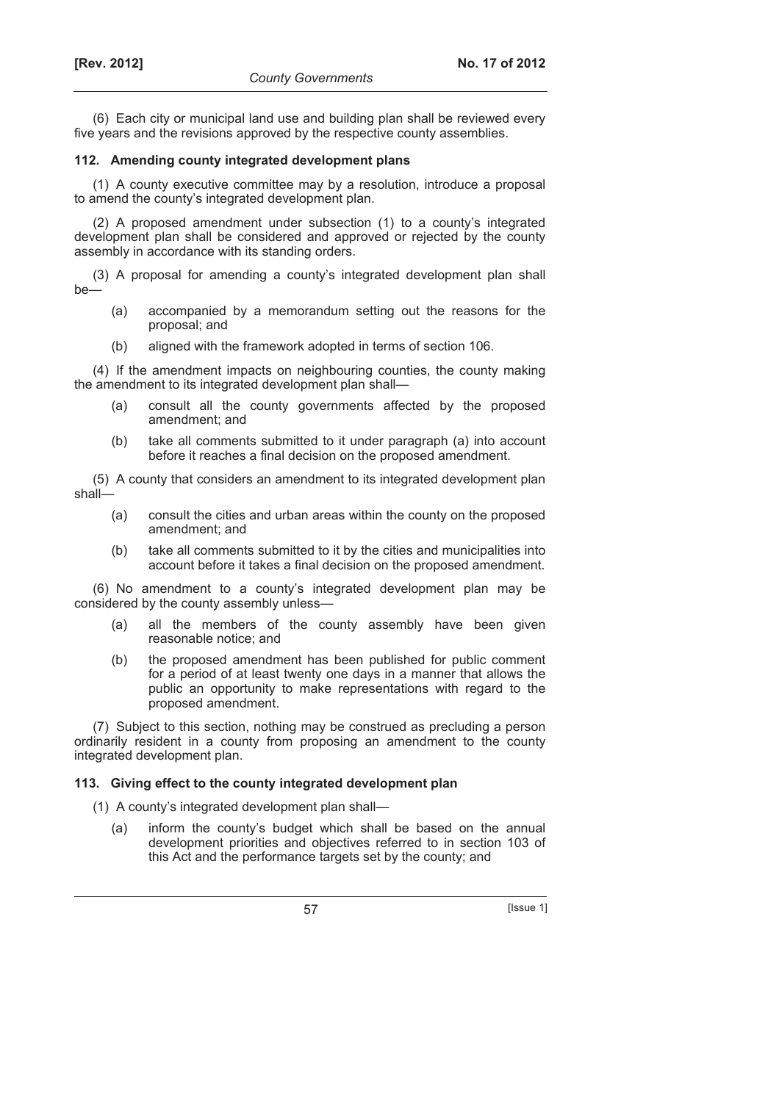(6) Each city or municipal land use and building plan shall be reviewed every five years and the revisions approved by the respective county assemblies.

### **112. Amending county integrated development plans**

(1) A county executive committee may by a resolution, introduce a proposal to amend the county's integrated development plan.

(2) A proposed amendment under subsection (1) to a county's integrated development plan shall be considered and approved or rejected by the county assembly in accordance with its standing orders.

(3) A proposal for amending a county's integrated development plan shall be—

- (a) accompanied by a memorandum setting out the reasons for the proposal; and
- (b) aligned with the framework adopted in terms of section 106.

(4) If the amendment impacts on neighbouring counties, the county making the amendment to its integrated development plan shall—

- (a) consult all the county governments affected by the proposed amendment; and
- (b) take all comments submitted to it under paragraph (a) into account before it reaches a final decision on the proposed amendment.

(5) A county that considers an amendment to its integrated development plan shall—

- (a) consult the cities and urban areas within the county on the proposed amendment; and
- (b) take all comments submitted to it by the cities and municipalities into account before it takes a final decision on the proposed amendment.

(6) No amendment to a county's integrated development plan may be considered by the county assembly unless—

- (a) all the members of the county assembly have been given reasonable notice; and
- (b) the proposed amendment has been published for public comment for a period of at least twenty one days in a manner that allows the public an opportunity to make representations with regard to the proposed amendment.

(7) Subject to this section, nothing may be construed as precluding a person ordinarily resident in a county from proposing an amendment to the county integrated development plan.

## **113. Giving effect to the county integrated development plan**

- (1) A county's integrated development plan shall—
	- (a) inform the county's budget which shall be based on the annual development priorities and objectives referred to in section 103 of this Act and the performance targets set by the county; and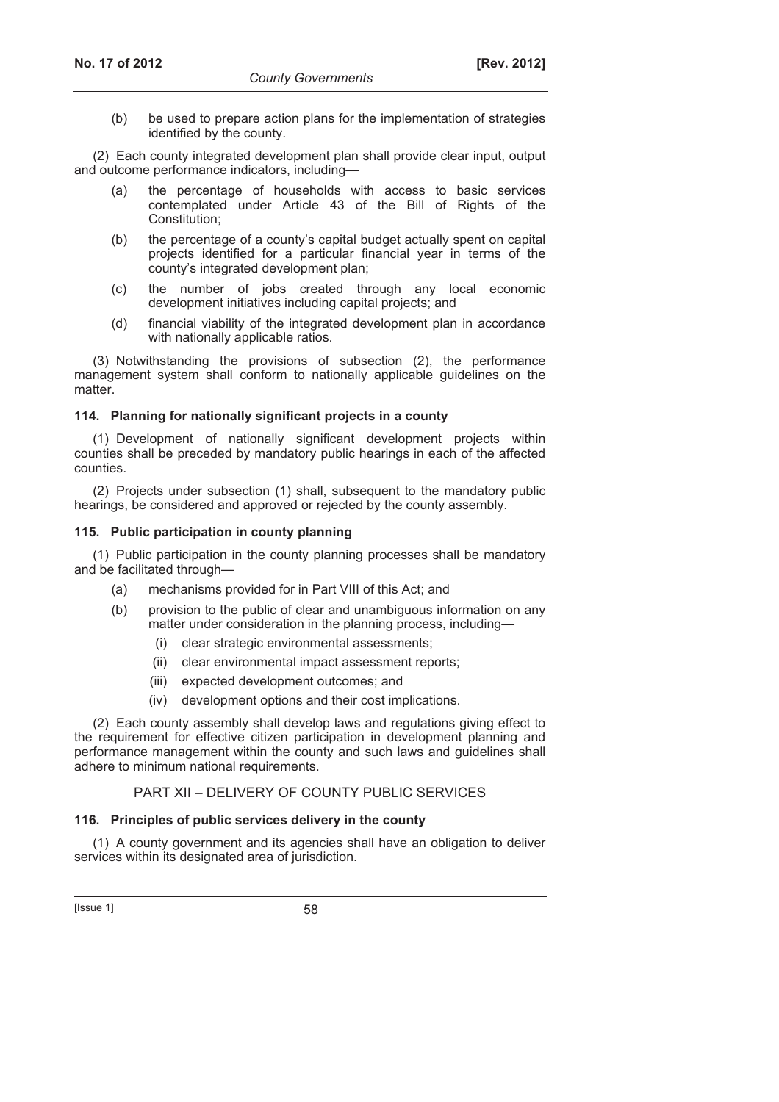(b) be used to prepare action plans for the implementation of strategies identified by the county.

(2) Each county integrated development plan shall provide clear input, output and outcome performance indicators, including—

- (a) the percentage of households with access to basic services contemplated under Article 43 of the Bill of Rights of the Constitution;
	- (b) the percentage of a county's capital budget actually spent on capital projects identified for a particular financial year in terms of the county's integrated development plan;
	- (c) the number of jobs created through any local economic development initiatives including capital projects; and
	- (d) financial viability of the integrated development plan in accordance with nationally applicable ratios.

(3) Notwithstanding the provisions of subsection (2), the performance management system shall conform to nationally applicable guidelines on the matter.

## **114. Planning for nationally significant projects in a county**

(1) Development of nationally significant development projects within counties shall be preceded by mandatory public hearings in each of the affected counties.

(2) Projects under subsection (1) shall, subsequent to the mandatory public hearings, be considered and approved or rejected by the county assembly.

## **115. Public participation in county planning**

(1) Public participation in the county planning processes shall be mandatory and be facilitated through—

- (a) mechanisms provided for in Part VIII of this Act; and
- (b) provision to the public of clear and unambiguous information on any matter under consideration in the planning process, including—
	- (i) clear strategic environmental assessments;
	- (ii) clear environmental impact assessment reports;
	- (iii) expected development outcomes; and
	- (iv) development options and their cost implications.

(2) Each county assembly shall develop laws and regulations giving effect to the requirement for effective citizen participation in development planning and performance management within the county and such laws and guidelines shall adhere to minimum national requirements.

## PART XII – DELIVERY OF COUNTY PUBLIC SERVICES

## **116. Principles of public services delivery in the county**

(1) A county government and its agencies shall have an obligation to deliver services within its designated area of jurisdiction.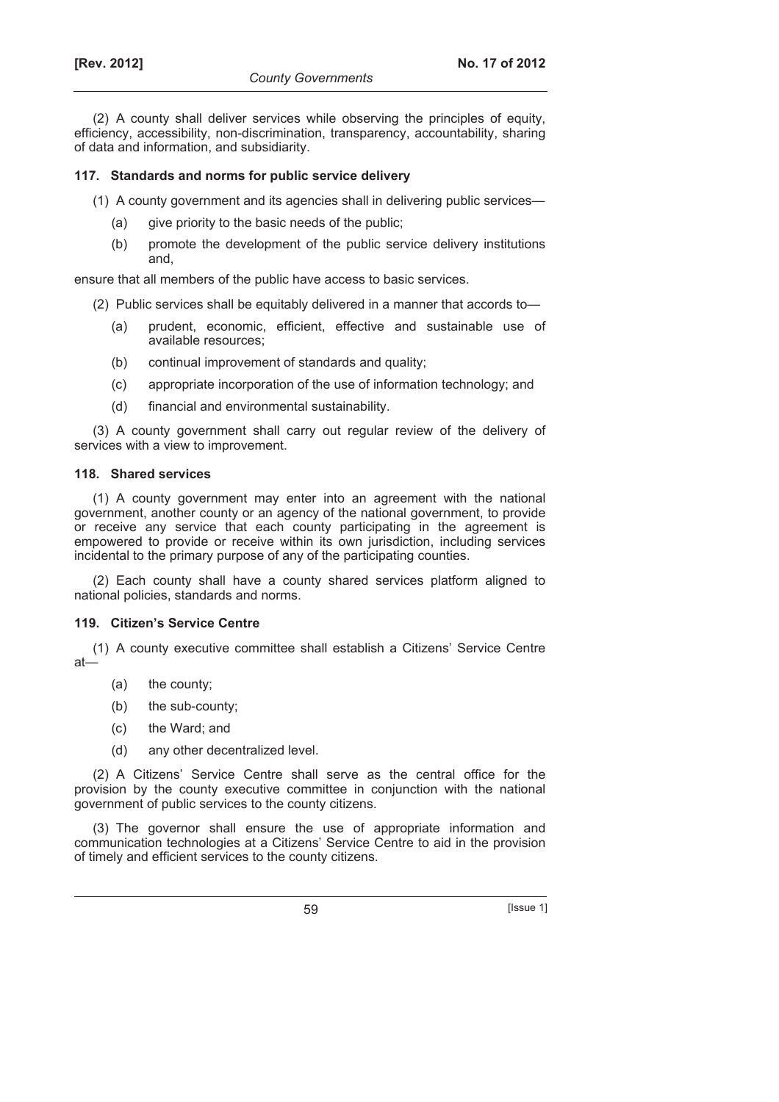(2) A county shall deliver services while observing the principles of equity, efficiency, accessibility, non-discrimination, transparency, accountability, sharing of data and information, and subsidiarity.

## **117. Standards and norms for public service delivery**

- (1) A county government and its agencies shall in delivering public services—
	- (a) give priority to the basic needs of the public;
	- (b) promote the development of the public service delivery institutions and,

ensure that all members of the public have access to basic services.

- (2) Public services shall be equitably delivered in a manner that accords to—
	- (a) prudent, economic, efficient, effective and sustainable use of available resources;
	- (b) continual improvement of standards and quality;
	- (c) appropriate incorporation of the use of information technology; and
	- (d) financial and environmental sustainability.

(3) A county government shall carry out regular review of the delivery of services with a view to improvement.

#### **118. Shared services**

(1) A county government may enter into an agreement with the national government, another county or an agency of the national government, to provide or receive any service that each county participating in the agreement is empowered to provide or receive within its own jurisdiction, including services incidental to the primary purpose of any of the participating counties.

(2) Each county shall have a county shared services platform aligned to national policies, standards and norms.

## **119. Citizen's Service Centre**

(1) A county executive committee shall establish a Citizens' Service Centre at—

- (a) the county;
- (b) the sub-county;
- (c) the Ward; and
- (d) any other decentralized level.

(2) A Citizens' Service Centre shall serve as the central office for the provision by the county executive committee in conjunction with the national government of public services to the county citizens.

(3) The governor shall ensure the use of appropriate information and communication technologies at a Citizens' Service Centre to aid in the provision of timely and efficient services to the county citizens.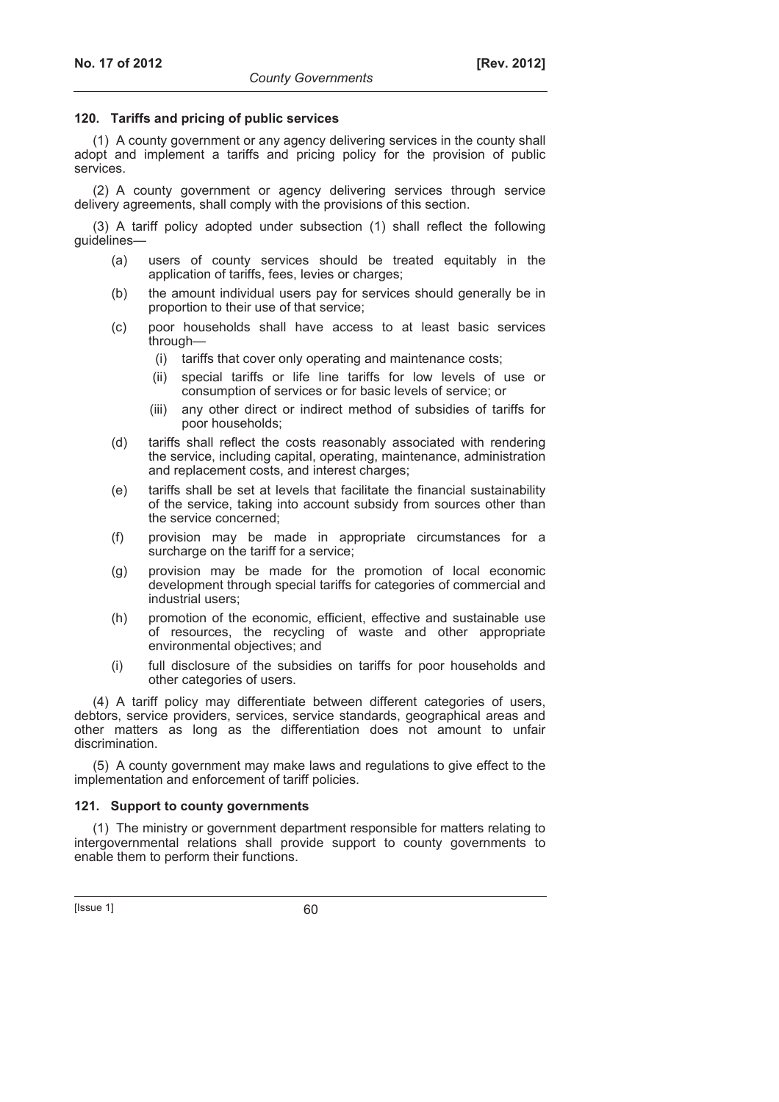#### **120. Tariffs and pricing of public services**

(1) A county government or any agency delivering services in the county shall adopt and implement a tariffs and pricing policy for the provision of public services.

(2) A county government or agency delivering services through service delivery agreements, shall comply with the provisions of this section.

(3) A tariff policy adopted under subsection (1) shall reflect the following guidelines—

- (a) users of county services should be treated equitably in the application of tariffs, fees, levies or charges;
- (b) the amount individual users pay for services should generally be in proportion to their use of that service;
- (c) poor households shall have access to at least basic services through—
	- (i) tariffs that cover only operating and maintenance costs;
	- (ii) special tariffs or life line tariffs for low levels of use or consumption of services or for basic levels of service; or
	- (iii) any other direct or indirect method of subsidies of tariffs for poor households;
- (d) tariffs shall reflect the costs reasonably associated with rendering the service, including capital, operating, maintenance, administration and replacement costs, and interest charges;
- (e) tariffs shall be set at levels that facilitate the financial sustainability of the service, taking into account subsidy from sources other than the service concerned;
- (f) provision may be made in appropriate circumstances for a surcharge on the tariff for a service;
- (g) provision may be made for the promotion of local economic development through special tariffs for categories of commercial and industrial users;
- (h) promotion of the economic, efficient, effective and sustainable use of resources, the recycling of waste and other appropriate environmental objectives; and
- (i) full disclosure of the subsidies on tariffs for poor households and other categories of users.

(4) A tariff policy may differentiate between different categories of users, debtors, service providers, services, service standards, geographical areas and other matters as long as the differentiation does not amount to unfair discrimination.

(5) A county government may make laws and regulations to give effect to the implementation and enforcement of tariff policies.

#### **121. Support to county governments**

(1) The ministry or government department responsible for matters relating to intergovernmental relations shall provide support to county governments to enable them to perform their functions.

 $[|$ Ssue 1 $]$  60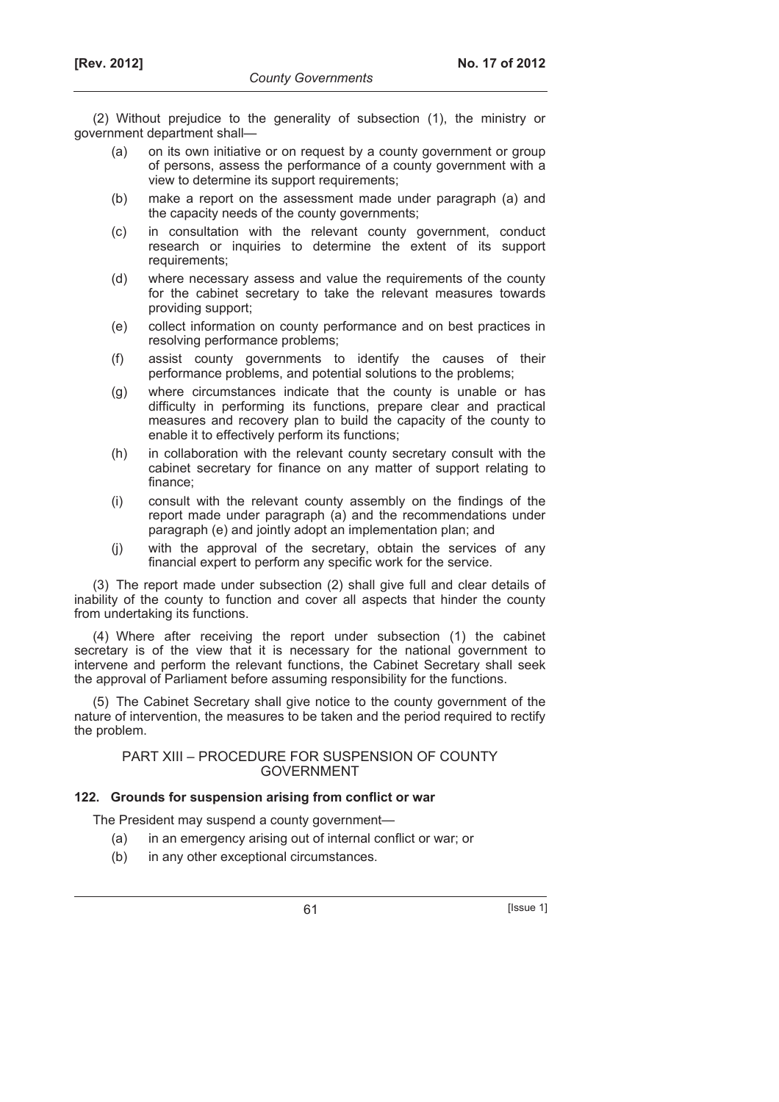(2) Without prejudice to the generality of subsection (1), the ministry or government department shall—

- (a) on its own initiative or on request by a county government or group of persons, assess the performance of a county government with a view to determine its support requirements;
- (b) make a report on the assessment made under paragraph (a) and the capacity needs of the county governments;
- (c) in consultation with the relevant county government, conduct research or inquiries to determine the extent of its support requirements;
- (d) where necessary assess and value the requirements of the county for the cabinet secretary to take the relevant measures towards providing support;
- (e) collect information on county performance and on best practices in resolving performance problems;
- (f) assist county governments to identify the causes of their performance problems, and potential solutions to the problems;
- (g) where circumstances indicate that the county is unable or has difficulty in performing its functions, prepare clear and practical measures and recovery plan to build the capacity of the county to enable it to effectively perform its functions;
- (h) in collaboration with the relevant county secretary consult with the cabinet secretary for finance on any matter of support relating to finance;
- (i) consult with the relevant county assembly on the findings of the report made under paragraph (a) and the recommendations under paragraph (e) and jointly adopt an implementation plan; and
- (j) with the approval of the secretary, obtain the services of any financial expert to perform any specific work for the service.

(3) The report made under subsection (2) shall give full and clear details of inability of the county to function and cover all aspects that hinder the county from undertaking its functions.

(4) Where after receiving the report under subsection (1) the cabinet secretary is of the view that it is necessary for the national government to intervene and perform the relevant functions, the Cabinet Secretary shall seek the approval of Parliament before assuming responsibility for the functions.

(5) The Cabinet Secretary shall give notice to the county government of the nature of intervention, the measures to be taken and the period required to rectify the problem.

### PART XIII – PROCEDURE FOR SUSPENSION OF COUNTY GOVERNMENT

#### **122. Grounds for suspension arising from conflict or war**

The President may suspend a county government—

- (a) in an emergency arising out of internal conflict or war; or
- (b) in any other exceptional circumstances.

61 [Issue 1]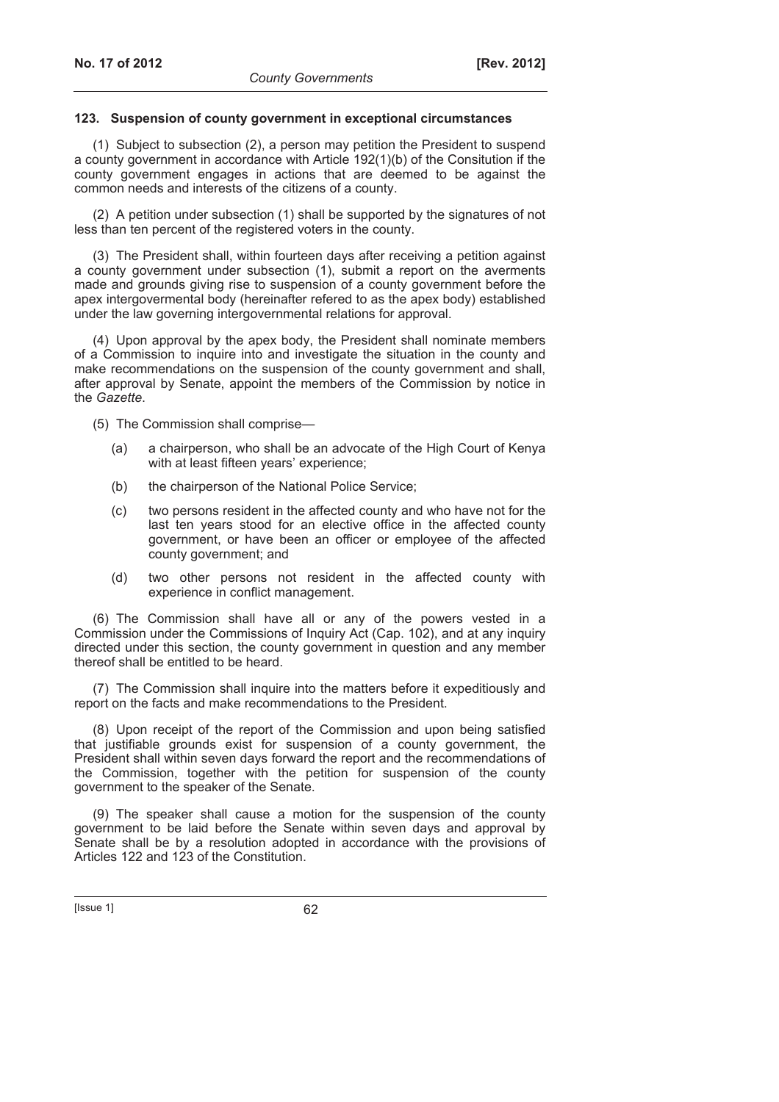#### **123. Suspension of county government in exceptional circumstances**

(1) Subject to subsection (2), a person may petition the President to suspend a county government in accordance with Article 192(1)(b) of the Consitution if the county government engages in actions that are deemed to be against the common needs and interests of the citizens of a county.

(2) A petition under subsection (1) shall be supported by the signatures of not less than ten percent of the registered voters in the county.

(3) The President shall, within fourteen days after receiving a petition against a county government under subsection (1), submit a report on the averments made and grounds giving rise to suspension of a county government before the apex intergovermental body (hereinafter refered to as the apex body) established under the law governing intergovernmental relations for approval.

(4) Upon approval by the apex body, the President shall nominate members of a Commission to inquire into and investigate the situation in the county and make recommendations on the suspension of the county government and shall, after approval by Senate, appoint the members of the Commission by notice in the *Gazette*.

(5) The Commission shall comprise—

- (a) a chairperson, who shall be an advocate of the High Court of Kenya with at least fifteen years' experience;
- (b) the chairperson of the National Police Service;
- (c) two persons resident in the affected county and who have not for the last ten years stood for an elective office in the affected county government, or have been an officer or employee of the affected county government; and
- (d) two other persons not resident in the affected county with experience in conflict management.

(6) The Commission shall have all or any of the powers vested in a Commission under the Commissions of Inquiry Act (Cap. 102), and at any inquiry directed under this section, the county government in question and any member thereof shall be entitled to be heard.

(7) The Commission shall inquire into the matters before it expeditiously and report on the facts and make recommendations to the President.

(8) Upon receipt of the report of the Commission and upon being satisfied that justifiable grounds exist for suspension of a county government, the President shall within seven days forward the report and the recommendations of the Commission, together with the petition for suspension of the county government to the speaker of the Senate.

(9) The speaker shall cause a motion for the suspension of the county government to be laid before the Senate within seven days and approval by Senate shall be by a resolution adopted in accordance with the provisions of Articles 122 and 123 of the Constitution.

 $[|$ Ssue 1 $]$  62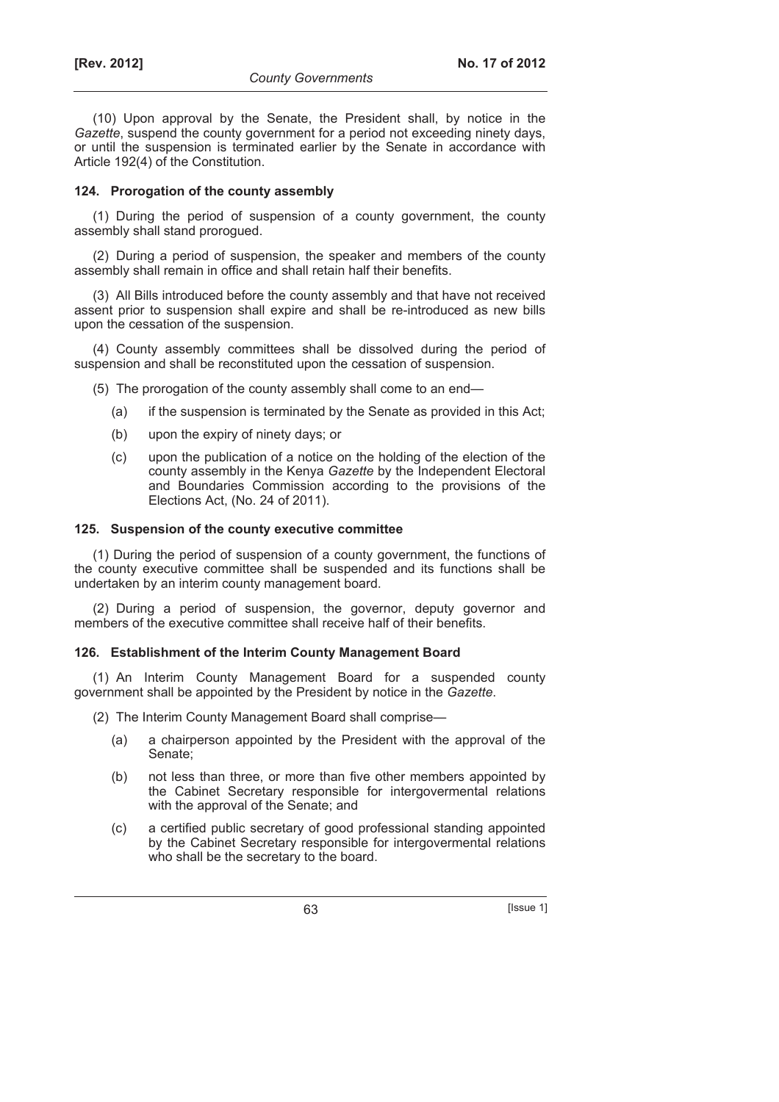(10) Upon approval by the Senate, the President shall, by notice in the *Gazette*, suspend the county government for a period not exceeding ninety days, or until the suspension is terminated earlier by the Senate in accordance with Article 192(4) of the Constitution.

#### **124. Prorogation of the county assembly**

(1) During the period of suspension of a county government, the county assembly shall stand prorogued.

(2) During a period of suspension, the speaker and members of the county assembly shall remain in office and shall retain half their benefits.

(3) All Bills introduced before the county assembly and that have not received assent prior to suspension shall expire and shall be re-introduced as new bills upon the cessation of the suspension.

(4) County assembly committees shall be dissolved during the period of suspension and shall be reconstituted upon the cessation of suspension.

- (5) The prorogation of the county assembly shall come to an end—
	- (a) if the suspension is terminated by the Senate as provided in this Act;
	- (b) upon the expiry of ninety days; or
	- (c) upon the publication of a notice on the holding of the election of the county assembly in the Kenya *Gazette* by the Independent Electoral and Boundaries Commission according to the provisions of the Elections Act, (No. 24 of 2011).

#### **125. Suspension of the county executive committee**

(1) During the period of suspension of a county government, the functions of the county executive committee shall be suspended and its functions shall be undertaken by an interim county management board.

(2) During a period of suspension, the governor, deputy governor and members of the executive committee shall receive half of their benefits.

#### **126. Establishment of the Interim County Management Board**

(1) An Interim County Management Board for a suspended county government shall be appointed by the President by notice in the *Gazette*.

- (2) The Interim County Management Board shall comprise—
	- (a) a chairperson appointed by the President with the approval of the Senate;
	- (b) not less than three, or more than five other members appointed by the Cabinet Secretary responsible for intergovermental relations with the approval of the Senate; and
	- (c) a certified public secretary of good professional standing appointed by the Cabinet Secretary responsible for intergovermental relations who shall be the secretary to the board.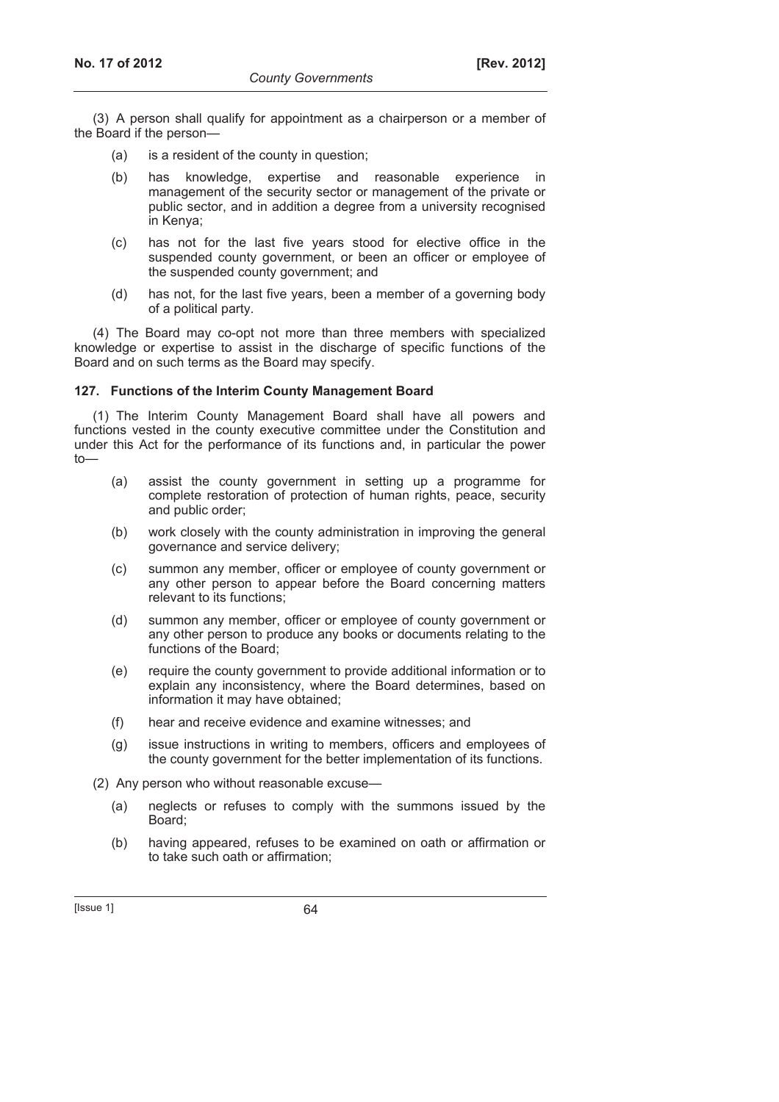(3) A person shall qualify for appointment as a chairperson or a member of the Board if the person—

- (a) is a resident of the county in question;
- (b) has knowledge, expertise and reasonable experience in management of the security sector or management of the private or public sector, and in addition a degree from a university recognised in Kenya;
- (c) has not for the last five years stood for elective office in the suspended county government, or been an officer or employee of the suspended county government; and
- (d) has not, for the last five years, been a member of a governing body of a political party.

(4) The Board may co-opt not more than three members with specialized knowledge or expertise to assist in the discharge of specific functions of the Board and on such terms as the Board may specify.

## **127. Functions of the Interim County Management Board**

(1) The Interim County Management Board shall have all powers and functions vested in the county executive committee under the Constitution and under this Act for the performance of its functions and, in particular the power  $t_0$ 

- (a) assist the county government in setting up a programme for complete restoration of protection of human rights, peace, security and public order;
- (b) work closely with the county administration in improving the general governance and service delivery;
- (c) summon any member, officer or employee of county government or any other person to appear before the Board concerning matters relevant to its functions;
- (d) summon any member, officer or employee of county government or any other person to produce any books or documents relating to the functions of the Board;
- (e) require the county government to provide additional information or to explain any inconsistency, where the Board determines, based on information it may have obtained;
- (f) hear and receive evidence and examine witnesses; and
- (g) issue instructions in writing to members, officers and employees of the county government for the better implementation of its functions.

(2) Any person who without reasonable excuse—

- (a) neglects or refuses to comply with the summons issued by the Board;
- (b) having appeared, refuses to be examined on oath or affirmation or to take such oath or affirmation;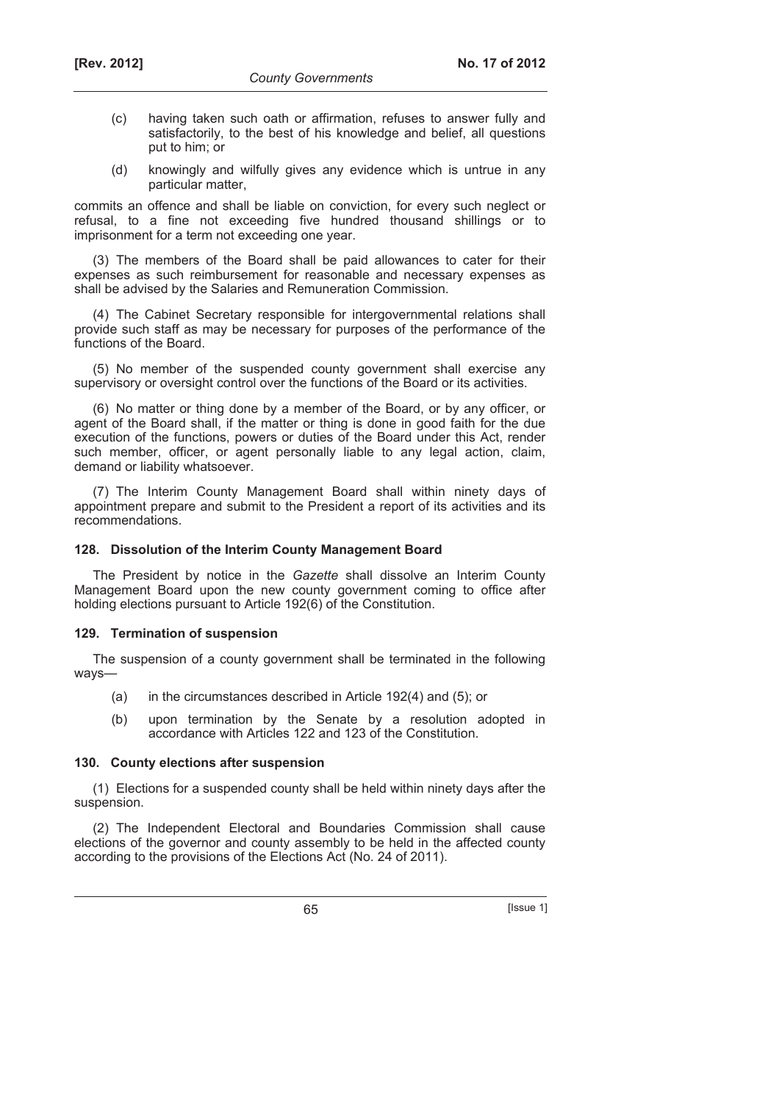- (c) having taken such oath or affirmation, refuses to answer fully and satisfactorily, to the best of his knowledge and belief, all questions put to him; or
- (d) knowingly and wilfully gives any evidence which is untrue in any particular matter,

commits an offence and shall be liable on conviction, for every such neglect or refusal, to a fine not exceeding five hundred thousand shillings or to imprisonment for a term not exceeding one year.

(3) The members of the Board shall be paid allowances to cater for their expenses as such reimbursement for reasonable and necessary expenses as shall be advised by the Salaries and Remuneration Commission.

(4) The Cabinet Secretary responsible for intergovernmental relations shall provide such staff as may be necessary for purposes of the performance of the functions of the Board.

(5) No member of the suspended county government shall exercise any supervisory or oversight control over the functions of the Board or its activities.

(6) No matter or thing done by a member of the Board, or by any officer, or agent of the Board shall, if the matter or thing is done in good faith for the due execution of the functions, powers or duties of the Board under this Act, render such member, officer, or agent personally liable to any legal action, claim, demand or liability whatsoever.

(7) The Interim County Management Board shall within ninety days of appointment prepare and submit to the President a report of its activities and its recommendations.

#### **128. Dissolution of the Interim County Management Board**

The President by notice in the *Gazette* shall dissolve an Interim County Management Board upon the new county government coming to office after holding elections pursuant to Article 192(6) of the Constitution.

#### **129. Termination of suspension**

The suspension of a county government shall be terminated in the following ways—

- (a) in the circumstances described in Article 192(4) and (5); or
- (b) upon termination by the Senate by a resolution adopted in accordance with Articles 122 and 123 of the Constitution.

#### **130. County elections after suspension**

(1) Elections for a suspended county shall be held within ninety days after the suspension.

(2) The Independent Electoral and Boundaries Commission shall cause elections of the governor and county assembly to be held in the affected county according to the provisions of the Elections Act (No. 24 of 2011).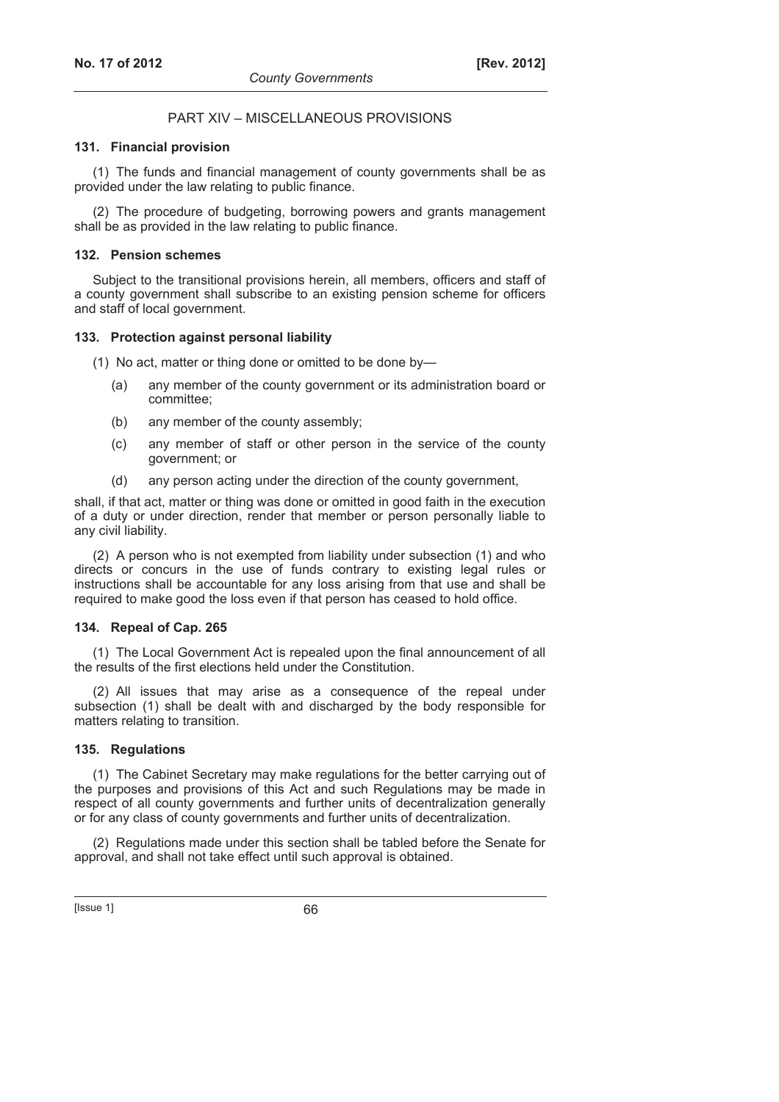## PART XIV – MISCELLANEOUS PROVISIONS

#### **131. Financial provision**

(1) The funds and financial management of county governments shall be as provided under the law relating to public finance.

(2) The procedure of budgeting, borrowing powers and grants management shall be as provided in the law relating to public finance.

#### **132. Pension schemes**

Subject to the transitional provisions herein, all members, officers and staff of a county government shall subscribe to an existing pension scheme for officers and staff of local government.

#### **133. Protection against personal liability**

(1) No act, matter or thing done or omitted to be done by—

- (a) any member of the county government or its administration board or committee;
- (b) any member of the county assembly;
- (c) any member of staff or other person in the service of the county government; or
- (d) any person acting under the direction of the county government,

shall, if that act, matter or thing was done or omitted in good faith in the execution of a duty or under direction, render that member or person personally liable to any civil liability.

(2) A person who is not exempted from liability under subsection (1) and who directs or concurs in the use of funds contrary to existing legal rules or instructions shall be accountable for any loss arising from that use and shall be required to make good the loss even if that person has ceased to hold office.

#### **134. Repeal of Cap. 265**

(1) The Local Government Act is repealed upon the final announcement of all the results of the first elections held under the Constitution.

(2) All issues that may arise as a consequence of the repeal under subsection (1) shall be dealt with and discharged by the body responsible for matters relating to transition.

### **135. Regulations**

(1) The Cabinet Secretary may make regulations for the better carrying out of the purposes and provisions of this Act and such Regulations may be made in respect of all county governments and further units of decentralization generally or for any class of county governments and further units of decentralization.

(2) Regulations made under this section shall be tabled before the Senate for approval, and shall not take effect until such approval is obtained.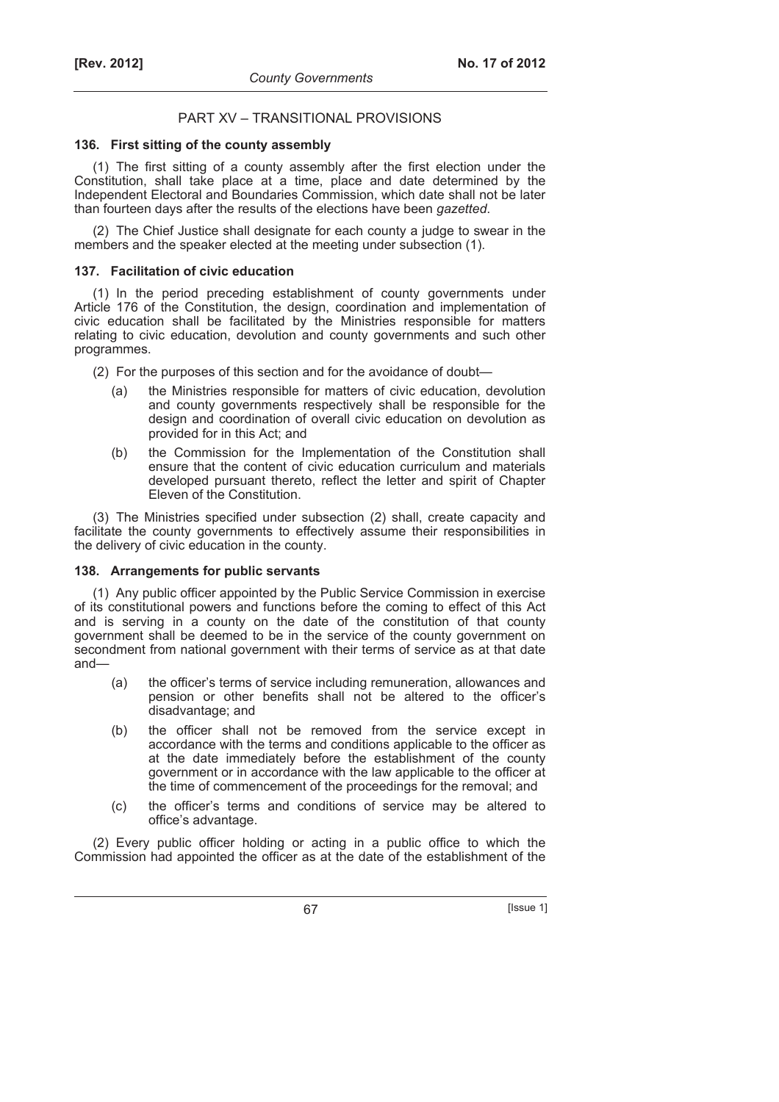## PART XV – TRANSITIONAL PROVISIONS

### **136. First sitting of the county assembly**

(1) The first sitting of a county assembly after the first election under the Constitution, shall take place at a time, place and date determined by the Independent Electoral and Boundaries Commission, which date shall not be later than fourteen days after the results of the elections have been *gazetted*.

(2) The Chief Justice shall designate for each county a judge to swear in the members and the speaker elected at the meeting under subsection (1).

## **137. Facilitation of civic education**

(1) In the period preceding establishment of county governments under Article 176 of the Constitution, the design, coordination and implementation of civic education shall be facilitated by the Ministries responsible for matters relating to civic education, devolution and county governments and such other programmes.

(2) For the purposes of this section and for the avoidance of doubt—

- (a) the Ministries responsible for matters of civic education, devolution and county governments respectively shall be responsible for the design and coordination of overall civic education on devolution as provided for in this Act; and
- (b) the Commission for the Implementation of the Constitution shall ensure that the content of civic education curriculum and materials developed pursuant thereto, reflect the letter and spirit of Chapter Eleven of the Constitution.

(3) The Ministries specified under subsection (2) shall, create capacity and facilitate the county governments to effectively assume their responsibilities in the delivery of civic education in the county.

#### **138. Arrangements for public servants**

(1) Any public officer appointed by the Public Service Commission in exercise of its constitutional powers and functions before the coming to effect of this Act and is serving in a county on the date of the constitution of that county government shall be deemed to be in the service of the county government on secondment from national government with their terms of service as at that date and—

- (a) the officer's terms of service including remuneration, allowances and pension or other benefits shall not be altered to the officer's disadvantage; and
- (b) the officer shall not be removed from the service except in accordance with the terms and conditions applicable to the officer as at the date immediately before the establishment of the county government or in accordance with the law applicable to the officer at the time of commencement of the proceedings for the removal; and
- (c) the officer's terms and conditions of service may be altered to office's advantage.

(2) Every public officer holding or acting in a public office to which the Commission had appointed the officer as at the date of the establishment of the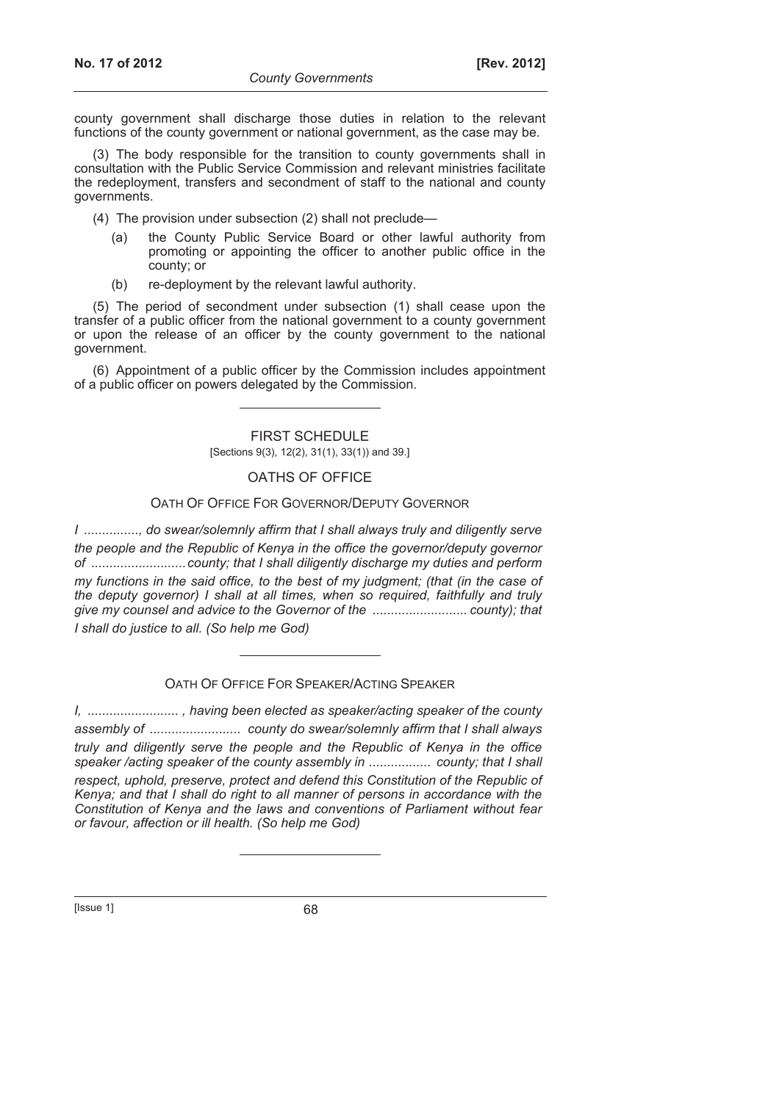county government shall discharge those duties in relation to the relevant functions of the county government or national government, as the case may be.

(3) The body responsible for the transition to county governments shall in consultation with the Public Service Commission and relevant ministries facilitate the redeployment, transfers and secondment of staff to the national and county governments.

- (4) The provision under subsection (2) shall not preclude—
	- (a) the County Public Service Board or other lawful authority from promoting or appointing the officer to another public office in the county; or
	- (b) re-deployment by the relevant lawful authority.

(5) The period of secondment under subsection (1) shall cease upon the transfer of a public officer from the national government to a county government or upon the release of an officer by the county government to the national government.

(6) Appointment of a public officer by the Commission includes appointment of a public officer on powers delegated by the Commission.

> FIRST SCHEDULE [Sections 9(3), 12(2), 31(1), 33(1)) and 39.]

#### OATHS OF OFFICE

#### OATH OF OFFICE FOR GOVERNOR/DEPUTY GOVERNOR

*I ..............., do swear/solemnly affirm that I shall always truly and diligently serve the people and the Republic of Kenya in the office the governor/deputy governor of ..........................county; that I shall diligently discharge my duties and perform my functions in the said office, to the best of my judgment; (that (in the case of the deputy governor) I shall at all times, when so required, faithfully and truly give my counsel and advice to the Governor of the .......................... county); that I shall do justice to all. (So help me God)* 

OATH OF OFFICE FOR SPEAKER/ACTING SPEAKER

*I, ......................... , having been elected as speaker/acting speaker of the county assembly of ......................... county do swear/solemnly affirm that I shall always truly and diligently serve the people and the Republic of Kenya in the office speaker /acting speaker of the county assembly in ................. county; that I shall respect, uphold, preserve, protect and defend this Constitution of the Republic of Kenya; and that I shall do right to all manner of persons in accordance with the Constitution of Kenya and the laws and conventions of Parliament without fear or favour, affection or ill health. (So help me God)* 

 $[|$ Ssue 1 $|$  68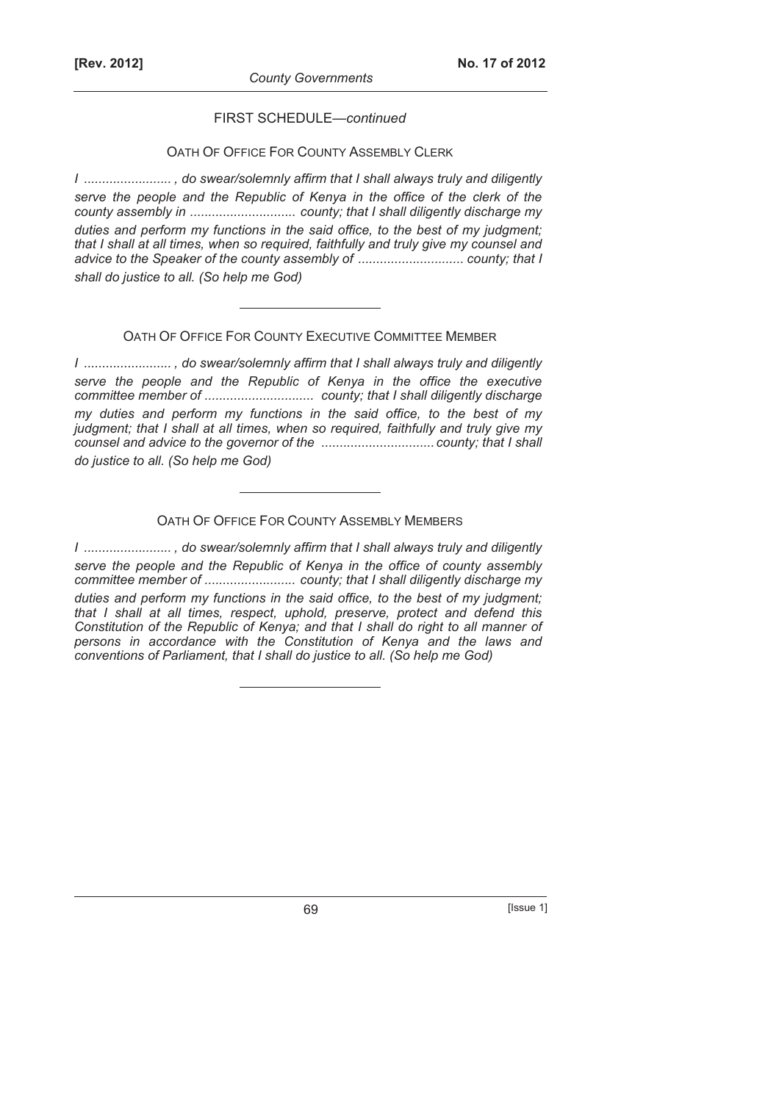FIRST SCHEDULE—*continued*

## OATH OF OFFICE FOR COUNTY ASSEMBLY CLERK

*I ........................ , do swear/solemnly affirm that I shall always truly and diligently serve the people and the Republic of Kenya in the office of the clerk of the county assembly in ............................. county; that I shall diligently discharge my duties and perform my functions in the said office, to the best of my judgment; that I shall at all times, when so required, faithfully and truly give my counsel and advice to the Speaker of the county assembly of ............................. county; that I shall do justice to all. (So help me God)* 

## OATH OF OFFICE FOR COUNTY EXECUTIVE COMMITTEE MEMBER

*I ........................ , do swear/solemnly affirm that I shall always truly and diligently serve the people and the Republic of Kenya in the office the executive committee member of .............................. county; that I shall diligently discharge my duties and perform my functions in the said office, to the best of my judgment; that I shall at all times, when so required, faithfully and truly give my counsel and advice to the governor of the ...............................county; that I shall do justice to all. (So help me God)* 

## OATH OF OFFICE FOR COUNTY ASSEMBLY MEMBERS

*I ........................ , do swear/solemnly affirm that I shall always truly and diligently serve the people and the Republic of Kenya in the office of county assembly committee member of ......................... county; that I shall diligently discharge my duties and perform my functions in the said office, to the best of my judgment; that I shall at all times, respect, uphold, preserve, protect and defend this Constitution of the Republic of Kenya; and that I shall do right to all manner of persons in accordance with the Constitution of Kenya and the laws and conventions of Parliament, that I shall do justice to all. (So help me God)*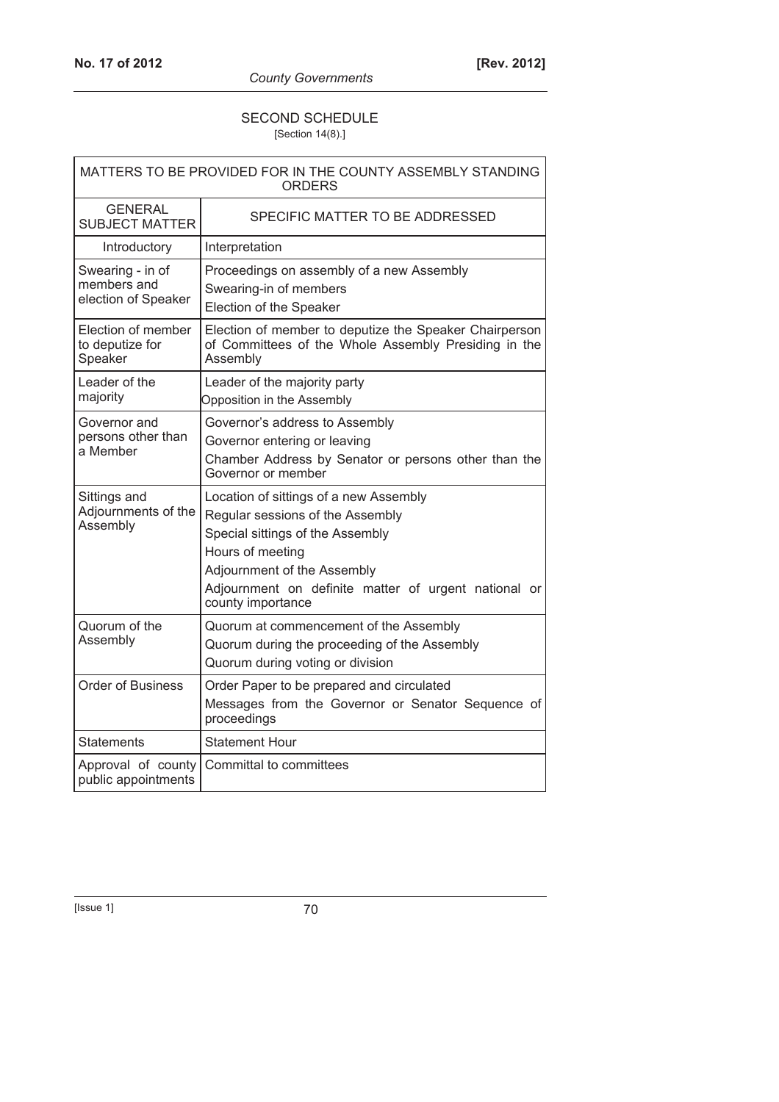## SECOND SCHEDULE [Section 14(8).]

| MATTERS TO BE PROVIDED FOR IN THE COUNTY ASSEMBLY STANDING<br>ORDERS |                                                                                                                                                                                                                                                |  |
|----------------------------------------------------------------------|------------------------------------------------------------------------------------------------------------------------------------------------------------------------------------------------------------------------------------------------|--|
| <b>GENERAL</b><br><b>SUBJECT MATTER</b>                              | SPECIFIC MATTER TO BE ADDRESSED                                                                                                                                                                                                                |  |
| Introductory                                                         | Interpretation                                                                                                                                                                                                                                 |  |
| Swearing - in of<br>members and<br>election of Speaker               | Proceedings on assembly of a new Assembly<br>Swearing-in of members<br>Election of the Speaker                                                                                                                                                 |  |
| Election of member<br>to deputize for<br>Speaker                     | Election of member to deputize the Speaker Chairperson<br>of Committees of the Whole Assembly Presiding in the<br>Assembly                                                                                                                     |  |
| Leader of the<br>majority                                            | Leader of the majority party<br>Opposition in the Assembly                                                                                                                                                                                     |  |
| Governor and<br>persons other than<br>a Member                       | Governor's address to Assembly<br>Governor entering or leaving<br>Chamber Address by Senator or persons other than the<br>Governor or member                                                                                                   |  |
| Sittings and<br>Adjournments of the<br>Assembly                      | Location of sittings of a new Assembly<br>Regular sessions of the Assembly<br>Special sittings of the Assembly<br>Hours of meeting<br>Adjournment of the Assembly<br>Adjournment on definite matter of urgent national or<br>county importance |  |
| Quorum of the<br>Assembly                                            | Quorum at commencement of the Assembly<br>Quorum during the proceeding of the Assembly<br>Quorum during voting or division                                                                                                                     |  |
| <b>Order of Business</b>                                             | Order Paper to be prepared and circulated<br>Messages from the Governor or Senator Sequence of<br>proceedings                                                                                                                                  |  |
| Statements                                                           | <b>Statement Hour</b>                                                                                                                                                                                                                          |  |
| Approval of county<br>public appointments                            | Committal to committees                                                                                                                                                                                                                        |  |

[Issue 1] 70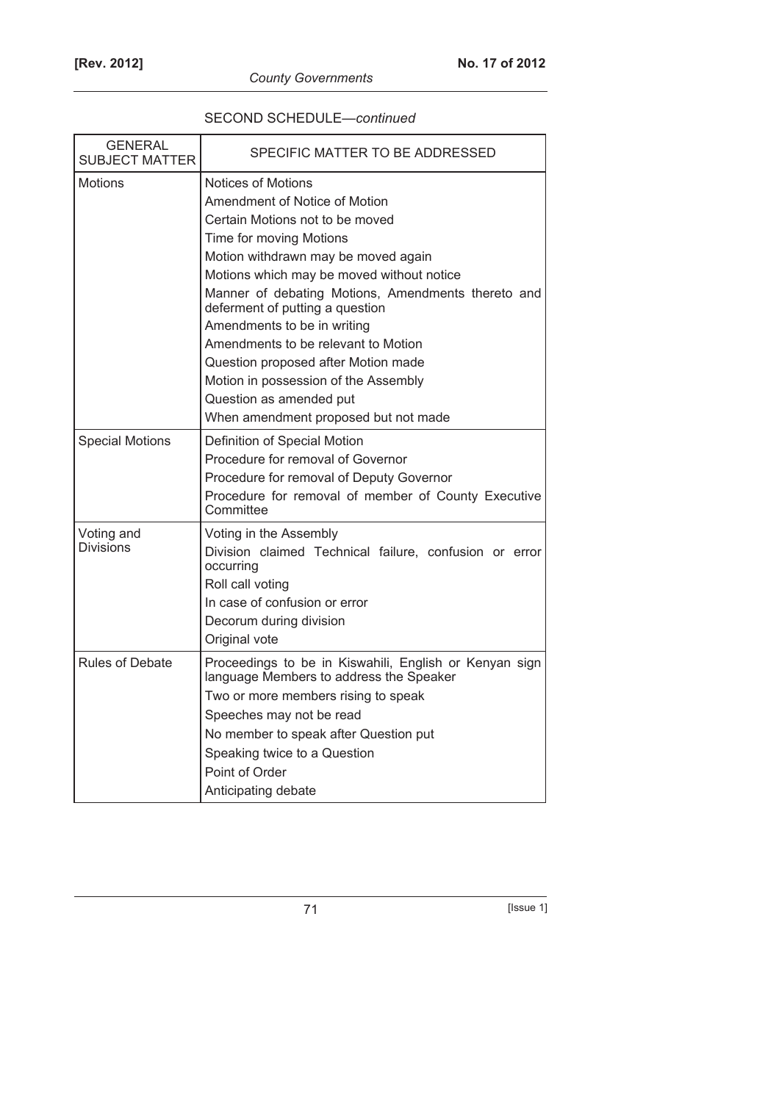# SECOND SCHEDULE—*continued*

| <b>GENERAL</b><br><b>SUBJECT MATTER</b> | SPECIFIC MATTER TO BE ADDRESSED                                                                                                                                                                                                                                                                                                                                                                                                                                                                                               |
|-----------------------------------------|-------------------------------------------------------------------------------------------------------------------------------------------------------------------------------------------------------------------------------------------------------------------------------------------------------------------------------------------------------------------------------------------------------------------------------------------------------------------------------------------------------------------------------|
| Motions                                 | <b>Notices of Motions</b><br>Amendment of Notice of Motion<br>Certain Motions not to be moved<br>Time for moving Motions<br>Motion withdrawn may be moved again<br>Motions which may be moved without notice<br>Manner of debating Motions, Amendments thereto and<br>deferment of putting a question<br>Amendments to be in writing<br>Amendments to be relevant to Motion<br>Question proposed after Motion made<br>Motion in possession of the Assembly<br>Question as amended put<br>When amendment proposed but not made |
| <b>Special Motions</b>                  | Definition of Special Motion<br>Procedure for removal of Governor<br>Procedure for removal of Deputy Governor<br>Procedure for removal of member of County Executive<br>Committee                                                                                                                                                                                                                                                                                                                                             |
| Voting and<br><b>Divisions</b>          | Voting in the Assembly<br>Division claimed Technical failure, confusion or error<br>occurring<br>Roll call voting<br>In case of confusion or error<br>Decorum during division<br>Original vote                                                                                                                                                                                                                                                                                                                                |
| <b>Rules of Debate</b>                  | Proceedings to be in Kiswahili, English or Kenyan sign<br>language Members to address the Speaker<br>Two or more members rising to speak<br>Speeches may not be read<br>No member to speak after Question put<br>Speaking twice to a Question<br>Point of Order<br>Anticipating debate                                                                                                                                                                                                                                        |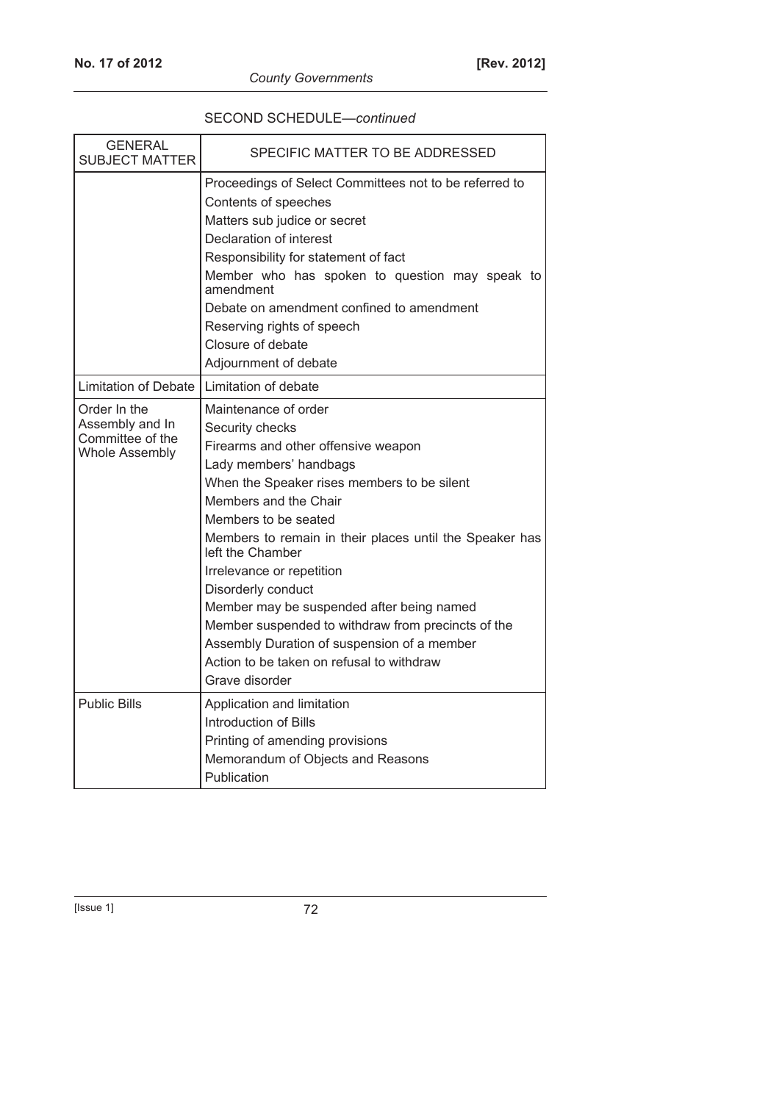| <b>GENERAL</b><br><b>SUBJECT MATTER</b>                                      | SPECIFIC MATTER TO BE ADDRESSED                                                                                                                                                                                                                                                                                                                                                                                                                                                                                                                             |
|------------------------------------------------------------------------------|-------------------------------------------------------------------------------------------------------------------------------------------------------------------------------------------------------------------------------------------------------------------------------------------------------------------------------------------------------------------------------------------------------------------------------------------------------------------------------------------------------------------------------------------------------------|
|                                                                              | Proceedings of Select Committees not to be referred to<br>Contents of speeches<br>Matters sub judice or secret<br>Declaration of interest<br>Responsibility for statement of fact<br>Member who has spoken to question may speak to<br>amendment<br>Debate on amendment confined to amendment<br>Reserving rights of speech<br>Closure of debate<br>Adjournment of debate                                                                                                                                                                                   |
| <b>Limitation of Debate</b>                                                  | Limitation of debate                                                                                                                                                                                                                                                                                                                                                                                                                                                                                                                                        |
| Order In the<br>Assembly and In<br>Committee of the<br><b>Whole Assembly</b> | Maintenance of order<br>Security checks<br>Firearms and other offensive weapon<br>Lady members' handbags<br>When the Speaker rises members to be silent<br>Members and the Chair<br>Members to be seated<br>Members to remain in their places until the Speaker has<br>left the Chamber<br>Irrelevance or repetition<br>Disorderly conduct<br>Member may be suspended after being named<br>Member suspended to withdraw from precincts of the<br>Assembly Duration of suspension of a member<br>Action to be taken on refusal to withdraw<br>Grave disorder |
| <b>Public Bills</b>                                                          | Application and limitation<br>Introduction of Bills<br>Printing of amending provisions<br>Memorandum of Objects and Reasons<br>Publication                                                                                                                                                                                                                                                                                                                                                                                                                  |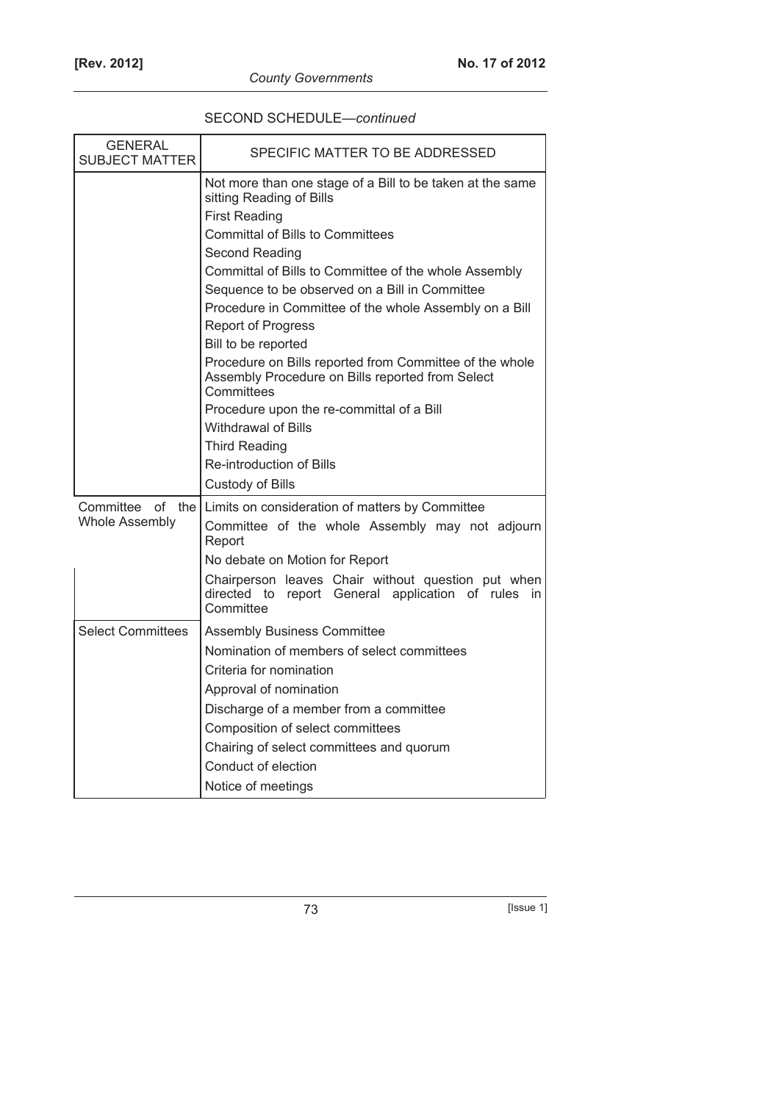| SECOND SCHEDULE-continued |  |
|---------------------------|--|
|---------------------------|--|

| <b>GENERAL</b><br><b>SUBJECT MATTER</b> | SPECIFIC MATTER TO BE ADDRESSED                                                                                           |
|-----------------------------------------|---------------------------------------------------------------------------------------------------------------------------|
|                                         | Not more than one stage of a Bill to be taken at the same<br>sitting Reading of Bills                                     |
|                                         | <b>First Reading</b>                                                                                                      |
|                                         | <b>Committal of Bills to Committees</b>                                                                                   |
|                                         | Second Reading<br>Committal of Bills to Committee of the whole Assembly                                                   |
|                                         | Sequence to be observed on a Bill in Committee                                                                            |
|                                         | Procedure in Committee of the whole Assembly on a Bill                                                                    |
|                                         | <b>Report of Progress</b>                                                                                                 |
|                                         | Bill to be reported                                                                                                       |
|                                         | Procedure on Bills reported from Committee of the whole<br>Assembly Procedure on Bills reported from Select<br>Committees |
|                                         | Procedure upon the re-committal of a Bill                                                                                 |
|                                         | <b>Withdrawal of Bills</b>                                                                                                |
|                                         | <b>Third Reading</b>                                                                                                      |
|                                         | Re-introduction of Bills                                                                                                  |
|                                         | <b>Custody of Bills</b>                                                                                                   |
| Committee of the                        | Limits on consideration of matters by Committee                                                                           |
| <b>Whole Assembly</b>                   | Committee of the whole Assembly may not adjourn<br>Report                                                                 |
|                                         | No debate on Motion for Report                                                                                            |
|                                         | Chairperson leaves Chair without question put when<br>directed to<br>report General application of rules in<br>Committee  |
| <b>Select Committees</b>                | <b>Assembly Business Committee</b>                                                                                        |
|                                         | Nomination of members of select committees                                                                                |
|                                         | Criteria for nomination                                                                                                   |
|                                         | Approval of nomination                                                                                                    |
|                                         | Discharge of a member from a committee                                                                                    |
|                                         | Composition of select committees                                                                                          |
|                                         | Chairing of select committees and quorum                                                                                  |
|                                         | Conduct of election                                                                                                       |
|                                         | Notice of meetings                                                                                                        |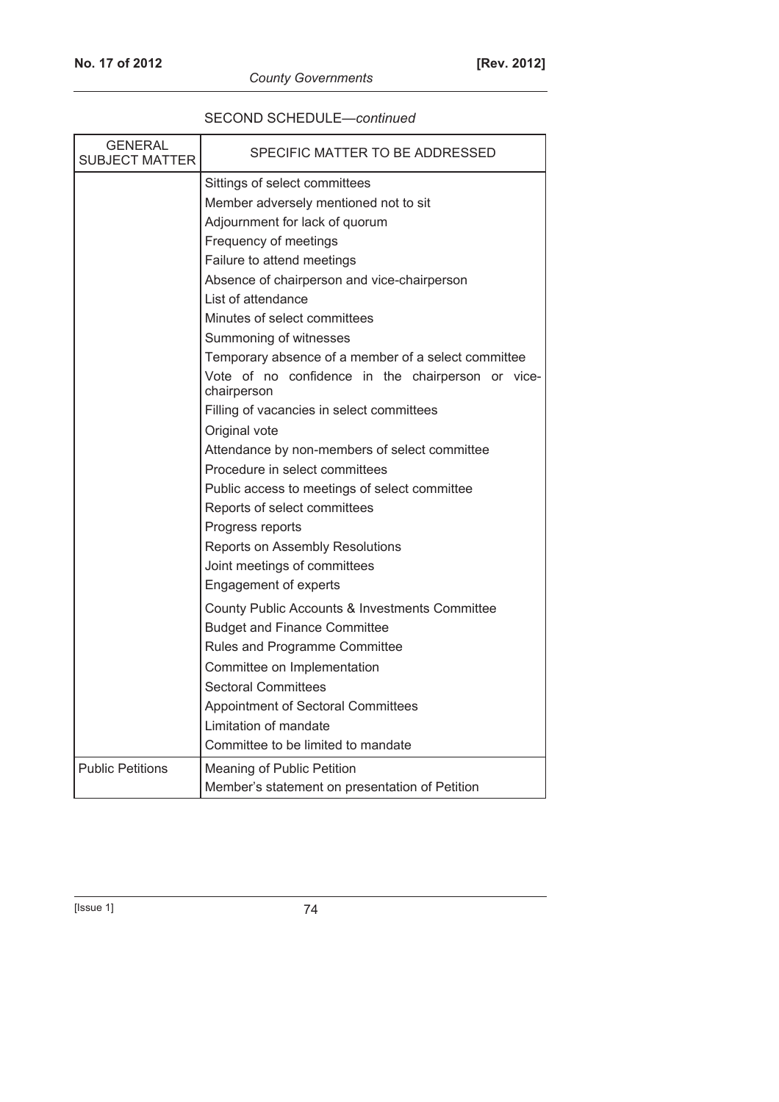| <b>GENERAL</b><br>SUBJECT MATTER | SPECIFIC MATTER TO BE ADDRESSED                                  |
|----------------------------------|------------------------------------------------------------------|
|                                  | Sittings of select committees                                    |
|                                  | Member adversely mentioned not to sit                            |
|                                  | Adjournment for lack of quorum                                   |
|                                  | Frequency of meetings                                            |
|                                  | Failure to attend meetings                                       |
|                                  | Absence of chairperson and vice-chairperson                      |
|                                  | List of attendance                                               |
|                                  | Minutes of select committees                                     |
|                                  | Summoning of witnesses                                           |
|                                  | Temporary absence of a member of a select committee              |
|                                  | Vote of no confidence in the chairperson or vice-<br>chairperson |
|                                  | Filling of vacancies in select committees                        |
|                                  | Original vote                                                    |
|                                  | Attendance by non-members of select committee                    |
|                                  | Procedure in select committees                                   |
|                                  | Public access to meetings of select committee                    |
|                                  | Reports of select committees                                     |
|                                  | Progress reports                                                 |
|                                  | Reports on Assembly Resolutions                                  |
|                                  | Joint meetings of committees                                     |
|                                  | <b>Engagement of experts</b>                                     |
|                                  | County Public Accounts & Investments Committee                   |
|                                  | <b>Budget and Finance Committee</b>                              |
|                                  | Rules and Programme Committee                                    |
|                                  | Committee on Implementation                                      |
|                                  | <b>Sectoral Committees</b>                                       |
|                                  | Appointment of Sectoral Committees                               |
|                                  | Limitation of mandate                                            |
|                                  | Committee to be limited to mandate                               |
| <b>Public Petitions</b>          | Meaning of Public Petition                                       |
|                                  | Member's statement on presentation of Petition                   |

## SECOND SCHEDULE—*continued*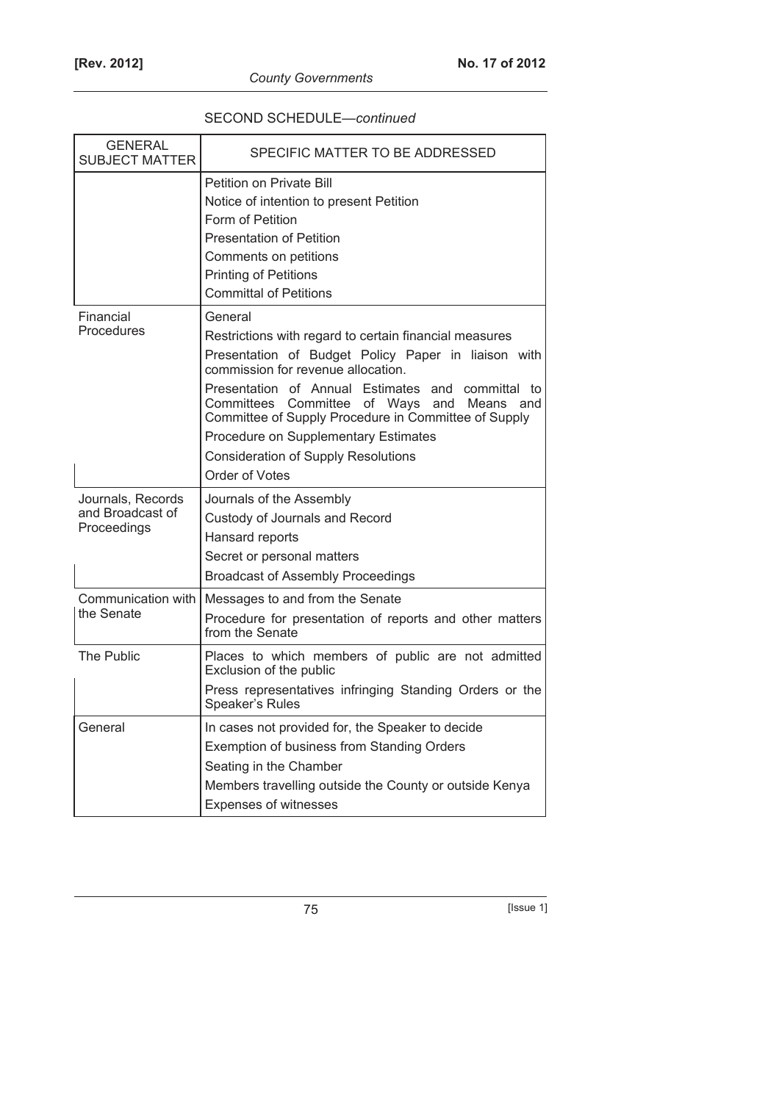## SECOND SCHEDULE—*continued*

| <b>GENERAL</b><br><b>SUBJECT MATTER</b>              | SPECIFIC MATTER TO BE ADDRESSED                                                                                                                                                                                                                                                   |
|------------------------------------------------------|-----------------------------------------------------------------------------------------------------------------------------------------------------------------------------------------------------------------------------------------------------------------------------------|
|                                                      | Petition on Private Bill<br>Notice of intention to present Petition<br>Form of Petition<br><b>Presentation of Petition</b><br>Comments on petitions<br><b>Printing of Petitions</b>                                                                                               |
|                                                      | <b>Committal of Petitions</b>                                                                                                                                                                                                                                                     |
| Financial<br>Procedures                              | General<br>Restrictions with regard to certain financial measures<br>Presentation of Budget Policy Paper in liaison with<br>commission for revenue allocation.<br>Presentation of Annual Estimates and<br>committal to<br>Committees Committee of Ways and<br><b>Means</b><br>and |
|                                                      | Committee of Supply Procedure in Committee of Supply<br>Procedure on Supplementary Estimates<br><b>Consideration of Supply Resolutions</b><br>Order of Votes                                                                                                                      |
| Journals, Records<br>and Broadcast of<br>Proceedings | Journals of the Assembly<br>Custody of Journals and Record<br>Hansard reports<br>Secret or personal matters<br><b>Broadcast of Assembly Proceedings</b>                                                                                                                           |
| Communication with<br>the Senate                     | Messages to and from the Senate<br>Procedure for presentation of reports and other matters<br>from the Senate                                                                                                                                                                     |
| <b>The Public</b>                                    | Places to which members of public are not admitted<br>Exclusion of the public<br>Press representatives infringing Standing Orders or the<br>Speaker's Rules                                                                                                                       |
| General                                              | In cases not provided for, the Speaker to decide<br>Exemption of business from Standing Orders<br>Seating in the Chamber<br>Members travelling outside the County or outside Kenya<br><b>Expenses of witnesses</b>                                                                |